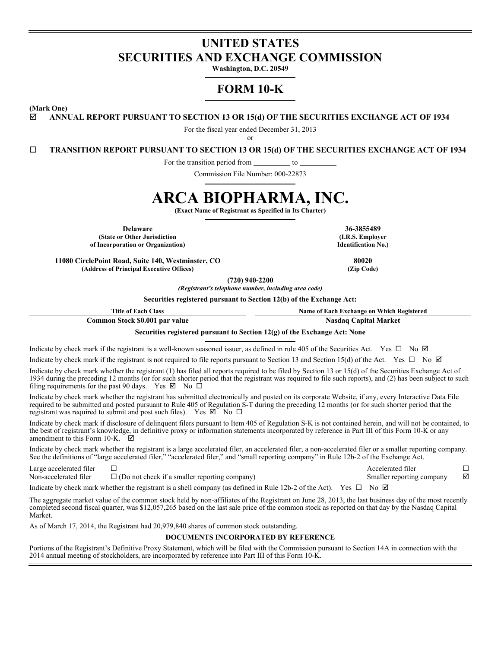# **UNITED STATES SECURITIES AND EXCHANGE COMMISSION**

**Washington, D.C. 20549**

# **FORM 10-K**

**(Mark One)**

**ANNUAL REPORT PURSUANT TO SECTION 13 OR 15(d) OF THE SECURITIES EXCHANGE ACT OF 1934**

For the fiscal year ended December 31, 2013

or

**TRANSITION REPORT PURSUANT TO SECTION 13 OR 15(d) OF THE SECURITIES EXCHANGE ACT OF 1934**

For the transition period from \_\_\_\_\_\_\_\_\_\_ to \_

Commission File Number: 000-22873

# **ARCA BIOPHARMA, INC.**

**(Exact Name of Registrant as Specified in Its Charter)**

**Delaware 36-3855489 (State or Other Jurisdiction of Incorporation or Organization)**

**11080 CirclePoint Road, Suite 140, Westminster, CO 80020 (Address of Principal Executive Offices) (Zip Code)**

**(720) 940-2200**

*(Registrant's telephone number, including area code)*

**Securities registered pursuant to Section 12(b) of the Exchange Act:**

**Title of Each Class Name of Each Exchange on Which Registered**

**Common Stock \$0.001 par value Nasdaq Capital Nasdaq Capital Market** 

**Securities registered pursuant to Section 12(g) of the Exchange Act: None**

Indicate by check mark if the registrant is a well-known seasoned issuer, as defined in rule 405 of the Securities Act. Yes  $\Box$  No  $\Box$ 

Indicate by check mark if the registrant is not required to file reports pursuant to Section 13 and Section 15(d) of the Act. Yes  $\Box$  No  $\Box$ Indicate by check mark whether the registrant (1) has filed all reports required to be filed by Section 13 or 15(d) of the Securities Exchange Act of 1934 during the preceding 12 months (or for such shorter period that the registrant was required to file such reports), and (2) has been subject to such filing requirements for the past 90 days. Yes  $\boxtimes$  No  $\Box$ 

Indicate by check mark whether the registrant has submitted electronically and posted on its corporate Website, if any, every Interactive Data File required to be submitted and posted pursuant to Rule 405 of Regulation S-T during the preceding 12 months (or for such shorter period that the registrant was required to submit and post such files). Yes  $\boxtimes$  No  $\Box$ 

Indicate by check mark if disclosure of delinquent filers pursuant to Item 405 of Regulation S-K is not contained herein, and will not be contained, to the best of registrant's knowledge, in definitive proxy or information statements incorporated by reference in Part III of this Form 10-K or any amendment to this Form 10-K  $\blacksquare$ amendment to this Form 10-K.

Indicate by check mark whether the registrant is a large accelerated filer, an accelerated filer, a non-accelerated filer or a smaller reporting company. See the definitions of "large accelerated filer," "accelerated filer," and "small reporting company" in Rule 12b-2 of the Exchange Act.

| Large accelerated filer |                                                      | Accelerated filer         |   |
|-------------------------|------------------------------------------------------|---------------------------|---|
| Non-accelerated filer   | $\Box$ (Do not check if a smaller reporting company) | Smaller reporting company | ☑ |
|                         |                                                      |                           |   |

Indicate by check mark whether the registrant is a shell company (as defined in Rule 12b-2 of the Act). Yes  $\Box$  No  $\Box$ 

The aggregate market value of the common stock held by non-affiliates of the Registrant on June 28, 2013, the last business day of the most recently completed second fiscal quarter, was \$12,057,265 based on the last sale price of the common stock as reported on that day by the Nasdaq Capital Market.

As of March 17, 2014, the Registrant had 20,979,840 shares of common stock outstanding.

#### **DOCUMENTS INCORPORATED BY REFERENCE**

Portions of the Registrant's Definitive Proxy Statement, which will be filed with the Commission pursuant to Section 14A in connection with the 2014 annual meeting of stockholders, are incorporated by reference into Part III of this Form 10-K.

**(I.R.S. Employer Identification No.)**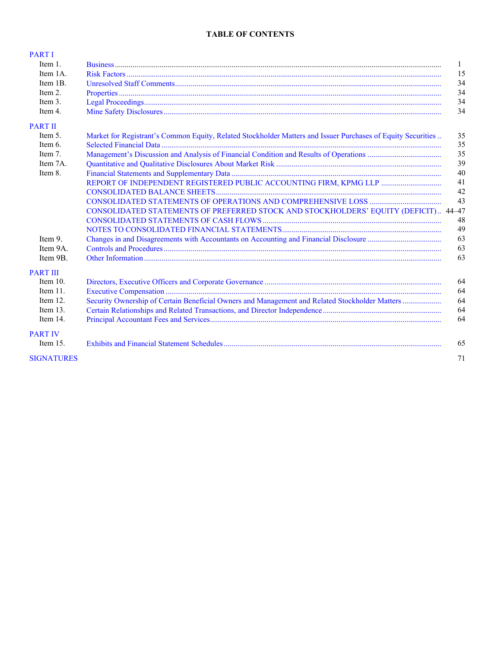# **TABLE OF CONTENTS**

| <b>PARTI</b>      |                                                                                                              |    |
|-------------------|--------------------------------------------------------------------------------------------------------------|----|
| Item $1$ .        |                                                                                                              | 1  |
| Item 1A.          |                                                                                                              | 15 |
| Item 1B.          |                                                                                                              | 34 |
| Item 2.           |                                                                                                              | 34 |
| Item 3.           |                                                                                                              | 34 |
| Item 4.           |                                                                                                              | 34 |
| <b>PART II</b>    |                                                                                                              |    |
| Item 5.           | Market for Registrant's Common Equity, Related Stockholder Matters and Issuer Purchases of Equity Securities | 35 |
| Item 6.           |                                                                                                              | 35 |
| Item 7.           |                                                                                                              | 35 |
| Item 7A.          |                                                                                                              | 39 |
| Item 8.           |                                                                                                              | 40 |
|                   |                                                                                                              | 41 |
|                   |                                                                                                              | 42 |
|                   |                                                                                                              | 43 |
|                   | CONSOLIDATED STATEMENTS OF PREFERRED STOCK AND STOCKHOLDERS' EQUITY (DEFICIT) 44-47                          |    |
|                   |                                                                                                              | 48 |
|                   |                                                                                                              | 49 |
| Item 9.           |                                                                                                              | 63 |
| Item 9A.          |                                                                                                              | 63 |
| Item 9B.          |                                                                                                              | 63 |
| <b>PART III</b>   |                                                                                                              |    |
| Item $10$ .       |                                                                                                              | 64 |
| Item 11.          |                                                                                                              | 64 |
| Item 12.          | Security Ownership of Certain Beneficial Owners and Management and Related Stockholder Matters               | 64 |
| Item $13$ .       |                                                                                                              | 64 |
| Item 14.          |                                                                                                              | 64 |
| <b>PART IV</b>    |                                                                                                              |    |
| Item $15$ .       |                                                                                                              | 65 |
| <b>SIGNATURES</b> |                                                                                                              | 71 |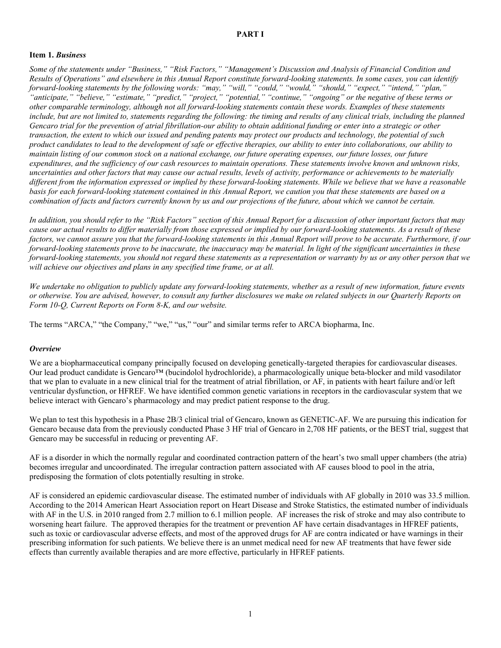# <span id="page-2-0"></span>**PART I**

# <span id="page-2-1"></span>**Item 1.** *Business*

Some of the statements under "Business," "Risk Factors," "Management's Discussion and Analysis of Financial Condition and Results of Operations" and elsewhere in this Annual Report constitute forward-looking statements. In some cases, you can identify *forward-looking statements by the following words: "may," "will," "could," "would," "should," "expect," "intend," "plan,"* "anticipate," "believe," "estimate," "predict," "project," "potential," "continue," "ongoing" or the negative of these terms or other comparable terminology, although not all forward-looking statements contain these words. Examples of these statements include, but are not limited to, statements regarding the following: the timing and results of any clinical trials, including the planned Gencaro trial for the prevention of atrial fibrillation-our ability to obtain additional funding or enter into a strategic or other transaction, the extent to which our issued and pending patents may protect our products and technology, the potential of such product candidates to lead to the development of safe or effective therapies, our ability to enter into collaborations, our ability to maintain listing of our common stock on a national exchange, our future operating expenses, our future losses, our future expenditures, and the sufficiency of our cash resources to maintain operations. These statements involve known and unknown risks, uncertainties and other factors that may cause our actual results, levels of activity, performance or achievements to be materially different from the information expressed or implied by these forward-looking statements. While we believe that we have a reasonable basis for each forward-looking statement contained in this Annual Report, we caution you that these statements are based on a combination of facts and factors currently known by us and our projections of the future, about which we cannot be certain.

In addition, you should refer to the "Risk Factors" section of this Annual Report for a discussion of other important factors that may cause our actual results to differ materially from those expressed or implied by our forward-looking statements. As a result of these factors, we cannot assure you that the forward-looking statements in this Annual Report will prove to be accurate. Furthermore, if our forward-looking statements prove to be inaccurate, the inaccuracy may be material. In light of the significant uncertainties in these forward-looking statements, you should not regard these statements as a representation or warranty by us or any other person that we *will achieve our objectives and plans in any specified time frame, or at all.*

We undertake no obligation to publicly update any forward-looking statements, whether as a result of new information, future events or otherwise. You are advised, however, to consult any further disclosures we make on related subjects in our Quarterly Reports on *Form 10-Q, Current Reports on Form 8-K, and our website.*

The terms "ARCA," "the Company," "we," "us," "our" and similar terms refer to ARCA biopharma, Inc.

# *Overview*

We are a biopharmaceutical company principally focused on developing genetically-targeted therapies for cardiovascular diseases. Our lead product candidate is Gencaro™ (bucindolol hydrochloride), a pharmacologically unique beta-blocker and mild vasodilator that we plan to evaluate in a new clinical trial for the treatment of atrial fibrillation, or AF, in patients with heart failure and/or left ventricular dysfunction, or HFREF. We have identified common genetic variations in receptors in the cardiovascular system that we believe interact with Gencaro's pharmacology and may predict patient response to the drug.

We plan to test this hypothesis in a Phase 2B/3 clinical trial of Gencaro, known as GENETIC-AF. We are pursuing this indication for Gencaro because data from the previously conducted Phase 3 HF trial of Gencaro in 2,708 HF patients, or the BEST trial, suggest that Gencaro may be successful in reducing or preventing AF.

AF is a disorder in which the normally regular and coordinated contraction pattern of the heart's two small upper chambers (the atria) becomes irregular and uncoordinated. The irregular contraction pattern associated with AF causes blood to pool in the atria, predisposing the formation of clots potentially resulting in stroke.

AF is considered an epidemic cardiovascular disease. The estimated number of individuals with AF globally in 2010 was 33.5 million. According to the 2014 American Heart Association report on Heart Disease and Stroke Statistics, the estimated number of individuals with AF in the U.S. in 2010 ranged from 2.7 million to 6.1 million people. AF increases the risk of stroke and may also contribute to worsening heart failure. The approved therapies for the treatment or prevention AF have certain disadvantages in HFREF patients, such as toxic or cardiovascular adverse effects, and most of the approved drugs for AF are contra indicated or have warnings in their prescribing information for such patients. We believe there is an unmet medical need for new AF treatments that have fewer side effects than currently available therapies and are more effective, particularly in HFREF patients.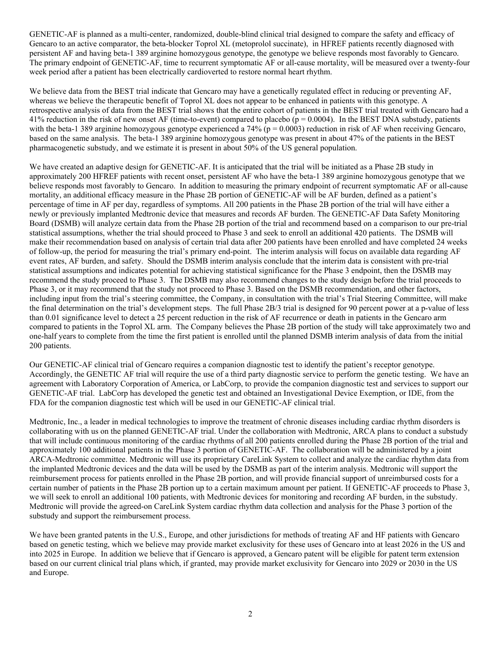GENETIC-AF is planned as a multi-center, randomized, double-blind clinical trial designed to compare the safety and efficacy of Gencaro to an active comparator, the beta-blocker Toprol XL (metoprolol succinate), in HFREF patients recently diagnosed with persistent AF and having beta-1 389 arginine homozygous genotype, the genotype we believe responds most favorably to Gencaro. The primary endpoint of GENETIC-AF, time to recurrent symptomatic AF or all-cause mortality, will be measured over a twenty-four week period after a patient has been electrically cardioverted to restore normal heart rhythm.

We believe data from the BEST trial indicate that Gencaro may have a genetically regulated effect in reducing or preventing AF, whereas we believe the therapeutic benefit of Toprol XL does not appear to be enhanced in patients with this genotype. A retrospective analysis of data from the BEST trial shows that the entire cohort of patients in the BEST trial treated with Gencaro had a 41% reduction in the risk of new onset AF (time-to-event) compared to placebo ( $p = 0.0004$ ). In the BEST DNA substudy, patients with the beta-1 389 arginine homozygous genotype experienced a 74% ( $p = 0.0003$ ) reduction in risk of AF when receiving Gencaro, based on the same analysis. The beta-1 389 arginine homozygous genotype was present in about 47% of the patients in the BEST pharmacogenetic substudy, and we estimate it is present in about 50% of the US general population.

We have created an adaptive design for GENETIC-AF. It is anticipated that the trial will be initiated as a Phase 2B study in approximately 200 HFREF patients with recent onset, persistent AF who have the beta-1 389 arginine homozygous genotype that we believe responds most favorably to Gencaro. In addition to measuring the primary endpoint of recurrent symptomatic AF or all-cause mortality, an additional efficacy measure in the Phase 2B portion of GENETIC-AF will be AF burden, defined as a patient's percentage of time in AF per day, regardless of symptoms. All 200 patients in the Phase 2B portion of the trial will have either a newly or previously implanted Medtronic device that measures and records AF burden. The GENETIC-AF Data Safety Monitoring Board (DSMB) will analyze certain data from the Phase 2B portion of the trial and recommend based on a comparison to our pre-trial statistical assumptions, whether the trial should proceed to Phase 3 and seek to enroll an additional 420 patients. The DSMB will make their recommendation based on analysis of certain trial data after 200 patients have been enrolled and have completed 24 weeks of follow-up, the period for measuring the trial's primary end-point. The interim analysis will focus on available data regarding AF event rates, AF burden, and safety. Should the DSMB interim analysis conclude that the interim data is consistent with pre-trial statistical assumptions and indicates potential for achieving statistical significance for the Phase 3 endpoint, then the DSMB may recommend the study proceed to Phase 3. The DSMB may also recommend changes to the study design before the trial proceeds to Phase 3, or it may recommend that the study not proceed to Phase 3. Based on the DSMB recommendation, and other factors, including input from the trial's steering committee, the Company, in consultation with the trial's Trial Steering Committee, will make the final determination on the trial's development steps. The full Phase 2B/3 trial is designed for 90 percent power at a p-value of less than 0.01 significance level to detect a 25 percent reduction in the risk of AF recurrence or death in patients in the Gencaro arm compared to patients in the Toprol XL arm. The Company believes the Phase 2B portion of the study will take approximately two and one-half years to complete from the time the first patient is enrolled until the planned DSMB interim analysis of data from the initial 200 patients.

Our GENETIC-AF clinical trial of Gencaro requires a companion diagnostic test to identify the patient's receptor genotype. Accordingly, the GENETIC AF trial will require the use of a third party diagnostic service to perform the genetic testing. We have an agreement with Laboratory Corporation of America, or LabCorp, to provide the companion diagnostic test and services to support our GENETIC-AF trial. LabCorp has developed the genetic test and obtained an Investigational Device Exemption, or IDE, from the FDA for the companion diagnostic test which will be used in our GENETIC-AF clinical trial.

Medtronic, Inc., a leader in medical technologies to improve the treatment of chronic diseases including cardiac rhythm disorders is collaborating with us on the planned GENETIC-AF trial. Under the collaboration with Medtronic, ARCA plans to conduct a substudy that will include continuous monitoring of the cardiac rhythms of all 200 patients enrolled during the Phase 2B portion of the trial and approximately 100 additional patients in the Phase 3 portion of GENETIC-AF. The collaboration will be administered by a joint ARCA-Medtronic committee. Medtronic will use its proprietary CareLink System to collect and analyze the cardiac rhythm data from the implanted Medtronic devices and the data will be used by the DSMB as part of the interim analysis. Medtronic will support the reimbursement process for patients enrolled in the Phase 2B portion, and will provide financial support of unreimbursed costs for a certain number of patients in the Phase 2B portion up to a certain maximum amount per patient. If GENETIC-AF proceeds to Phase 3, we will seek to enroll an additional 100 patients, with Medtronic devices for monitoring and recording AF burden, in the substudy. Medtronic will provide the agreed-on CareLink System cardiac rhythm data collection and analysis for the Phase 3 portion of the substudy and support the reimbursement process.

We have been granted patents in the U.S., Europe, and other jurisdictions for methods of treating AF and HF patients with Gencaro based on genetic testing, which we believe may provide market exclusivity for these uses of Gencaro into at least 2026 in the US and into 2025 in Europe. In addition we believe that if Gencaro is approved, a Gencaro patent will be eligible for patent term extension based on our current clinical trial plans which, if granted, may provide market exclusivity for Gencaro into 2029 or 2030 in the US and Europe.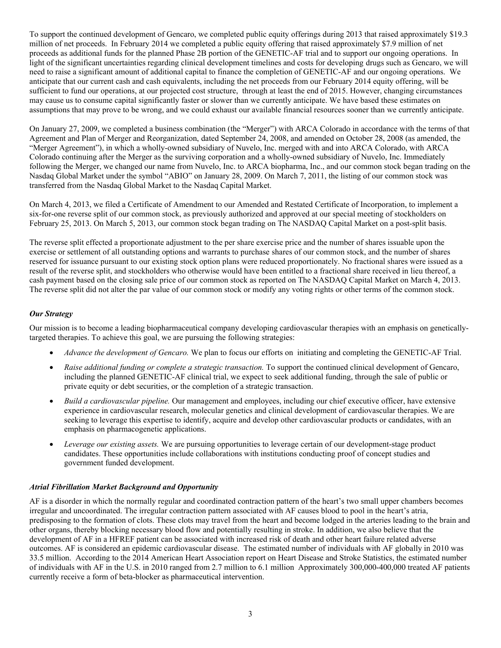To support the continued development of Gencaro, we completed public equity offerings during 2013 that raised approximately \$19.3 million of net proceeds. In February 2014 we completed a public equity offering that raised approximately \$7.9 million of net proceeds as additional funds for the planned Phase 2B portion of the GENETIC-AF trial and to support our ongoing operations. In light of the significant uncertainties regarding clinical development timelines and costs for developing drugs such as Gencaro, we will need to raise a significant amount of additional capital to finance the completion of GENETIC-AF and our ongoing operations. We anticipate that our current cash and cash equivalents, including the net proceeds from our February 2014 equity offering, will be sufficient to fund our operations, at our projected cost structure, through at least the end of 2015. However, changing circumstances may cause us to consume capital significantly faster or slower than we currently anticipate. We have based these estimates on assumptions that may prove to be wrong, and we could exhaust our available financial resources sooner than we currently anticipate.

On January 27, 2009, we completed a business combination (the "Merger") with ARCA Colorado in accordance with the terms of that Agreement and Plan of Merger and Reorganization, dated September 24, 2008, and amended on October 28, 2008 (as amended, the "Merger Agreement"), in which a wholly-owned subsidiary of Nuvelo, Inc. merged with and into ARCA Colorado, with ARCA Colorado continuing after the Merger as the surviving corporation and a wholly-owned subsidiary of Nuvelo, Inc. Immediately following the Merger, we changed our name from Nuvelo, Inc. to ARCA biopharma, Inc., and our common stock began trading on the Nasdaq Global Market under the symbol "ABIO" on January 28, 2009. On March 7, 2011, the listing of our common stock was transferred from the Nasdaq Global Market to the Nasdaq Capital Market.

On March 4, 2013, we filed a Certificate of Amendment to our Amended and Restated Certificate of Incorporation, to implement a six-for-one reverse split of our common stock, as previously authorized and approved at our special meeting of stockholders on February 25, 2013. On March 5, 2013, our common stock began trading on The NASDAQ Capital Market on a post-split basis.

The reverse split effected a proportionate adjustment to the per share exercise price and the number of shares issuable upon the exercise or settlement of all outstanding options and warrants to purchase shares of our common stock, and the number of shares reserved for issuance pursuant to our existing stock option plans were reduced proportionately. No fractional shares were issued as a result of the reverse split, and stockholders who otherwise would have been entitled to a fractional share received in lieu thereof, a cash payment based on the closing sale price of our common stock as reported on The NASDAQ Capital Market on March 4, 2013. The reverse split did not alter the par value of our common stock or modify any voting rights or other terms of the common stock.

# *Our Strategy*

Our mission is to become a leading biopharmaceutical company developing cardiovascular therapies with an emphasis on geneticallytargeted therapies. To achieve this goal, we are pursuing the following strategies:

- *Advance the development of Gencaro.* We plan to focus our efforts on initiating and completing the GENETIC-AF Trial.
- *Raise additional funding or complete a strategic transaction.* To support the continued clinical development of Gencaro, including the planned GENETIC-AF clinical trial, we expect to seek additional funding, through the sale of public or private equity or debt securities, or the completion of a strategic transaction.
- *Build a cardiovascular pipeline.* Our management and employees, including our chief executive officer, have extensive experience in cardiovascular research, molecular genetics and clinical development of cardiovascular therapies. We are seeking to leverage this expertise to identify, acquire and develop other cardiovascular products or candidates, with an emphasis on pharmacogenetic applications.
- *Leverage our existing assets.* We are pursuing opportunities to leverage certain of our development-stage product candidates. These opportunities include collaborations with institutions conducting proof of concept studies and government funded development.

# *Atrial Fibrillation Market Background and Opportunity*

AF is a disorder in which the normally regular and coordinated contraction pattern of the heart's two small upper chambers becomes irregular and uncoordinated. The irregular contraction pattern associated with AF causes blood to pool in the heart's atria, predisposing to the formation of clots. These clots may travel from the heart and become lodged in the arteries leading to the brain and other organs, thereby blocking necessary blood flow and potentially resulting in stroke. In addition, we also believe that the development of AF in a HFREF patient can be associated with increased risk of death and other heart failure related adverse outcomes. AF is considered an epidemic cardiovascular disease. The estimated number of individuals with AF globally in 2010 was 33.5 million. According to the 2014 American Heart Association report on Heart Disease and Stroke Statistics, the estimated number of individuals with AF in the U.S. in 2010 ranged from 2.7 million to 6.1 million Approximately 300,000-400,000 treated AF patients currently receive a form of beta-blocker as pharmaceutical intervention.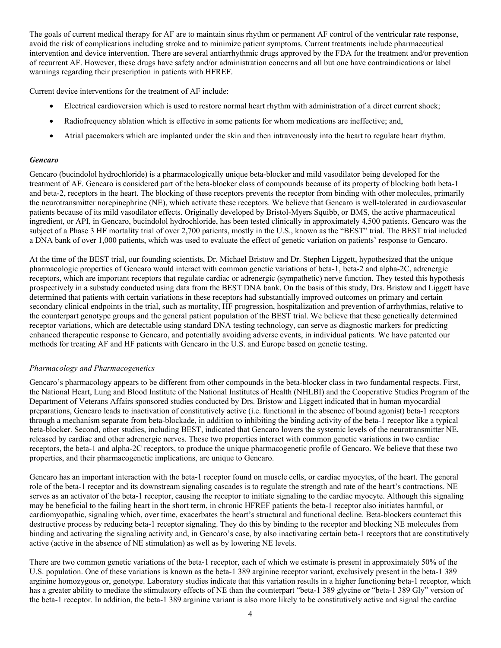The goals of current medical therapy for AF are to maintain sinus rhythm or permanent AF control of the ventricular rate response, avoid the risk of complications including stroke and to minimize patient symptoms. Current treatments include pharmaceutical intervention and device intervention. There are several antiarrhythmic drugs approved by the FDA for the treatment and/or prevention of recurrent AF. However, these drugs have safety and/or administration concerns and all but one have contraindications or label warnings regarding their prescription in patients with HFREF.

Current device interventions for the treatment of AF include:

- Electrical cardioversion which is used to restore normal heart rhythm with administration of a direct current shock;
- Radiofrequency ablation which is effective in some patients for whom medications are ineffective; and,
- Atrial pacemakers which are implanted under the skin and then intravenously into the heart to regulate heart rhythm.

#### *Gencaro*

Gencaro (bucindolol hydrochloride) is a pharmacologically unique beta-blocker and mild vasodilator being developed for the treatment of AF. Gencaro is considered part of the beta-blocker class of compounds because of its property of blocking both beta-1 and beta-2, receptors in the heart. The blocking of these receptors prevents the receptor from binding with other molecules, primarily the neurotransmitter norepinephrine (NE), which activate these receptors. We believe that Gencaro is well-tolerated in cardiovascular patients because of its mild vasodilator effects. Originally developed by Bristol-Myers Squibb, or BMS, the active pharmaceutical ingredient, or API, in Gencaro, bucindolol hydrochloride, has been tested clinically in approximately 4,500 patients. Gencaro was the subject of a Phase 3 HF mortality trial of over 2,700 patients, mostly in the U.S., known as the "BEST" trial. The BEST trial included a DNA bank of over 1,000 patients, which was used to evaluate the effect of genetic variation on patients' response to Gencaro.

At the time of the BEST trial, our founding scientists, Dr. Michael Bristow and Dr. Stephen Liggett, hypothesized that the unique pharmacologic properties of Gencaro would interact with common genetic variations of beta-1, beta-2 and alpha-2C, adrenergic receptors, which are important receptors that regulate cardiac or adrenergic (sympathetic) nerve function. They tested this hypothesis prospectively in a substudy conducted using data from the BEST DNA bank. On the basis of this study, Drs. Bristow and Liggett have determined that patients with certain variations in these receptors had substantially improved outcomes on primary and certain secondary clinical endpoints in the trial, such as mortality, HF progression, hospitalization and prevention of arrhythmias, relative to the counterpart genotype groups and the general patient population of the BEST trial. We believe that these genetically determined receptor variations, which are detectable using standard DNA testing technology, can serve as diagnostic markers for predicting enhanced therapeutic response to Gencaro, and potentially avoiding adverse events, in individual patients. We have patented our methods for treating AF and HF patients with Gencaro in the U.S. and Europe based on genetic testing.

#### *Pharmacology and Pharmacogenetics*

Gencaro's pharmacology appears to be different from other compounds in the beta-blocker class in two fundamental respects. First, the National Heart, Lung and Blood Institute of the National Institutes of Health (NHLBI) and the Cooperative Studies Program of the Department of Veterans Affairs sponsored studies conducted by Drs. Bristow and Liggett indicated that in human myocardial preparations, Gencaro leads to inactivation of constitutively active (i.e. functional in the absence of bound agonist) beta-1 receptors through a mechanism separate from beta-blockade, in addition to inhibiting the binding activity of the beta-1 receptor like a typical beta-blocker. Second, other studies, including BEST, indicated that Gencaro lowers the systemic levels of the neurotransmitter NE, released by cardiac and other adrenergic nerves. These two properties interact with common genetic variations in two cardiac receptors, the beta-1 and alpha-2C receptors, to produce the unique pharmacogenetic profile of Gencaro. We believe that these two properties, and their pharmacogenetic implications, are unique to Gencaro.

Gencaro has an important interaction with the beta-1 receptor found on muscle cells, or cardiac myocytes, of the heart. The general role of the beta-1 receptor and its downstream signaling cascades is to regulate the strength and rate of the heart's contractions. NE serves as an activator of the beta-1 receptor, causing the receptor to initiate signaling to the cardiac myocyte. Although this signaling may be beneficial to the failing heart in the short term, in chronic HFREF patients the beta-1 receptor also initiates harmful, or cardiomyopathic, signaling which, over time, exacerbates the heart's structural and functional decline. Beta-blockers counteract this destructive process by reducing beta-1 receptor signaling. They do this by binding to the receptor and blocking NE molecules from binding and activating the signaling activity and, in Gencaro's case, by also inactivating certain beta-1 receptors that are constitutively active (active in the absence of NE stimulation) as well as by lowering NE levels.

There are two common genetic variations of the beta-1 receptor, each of which we estimate is present in approximately 50% of the U.S. population. One of these variations is known as the beta-1 389 arginine receptor variant, exclusively present in the beta-1 389 arginine homozygous or, genotype. Laboratory studies indicate that this variation results in a higher functioning beta-1 receptor, which has a greater ability to mediate the stimulatory effects of NE than the counterpart "beta-1 389 glycine or "beta-1 389 Gly" version of the beta-1 receptor. In addition, the beta-1 389 arginine variant is also more likely to be constitutively active and signal the cardiac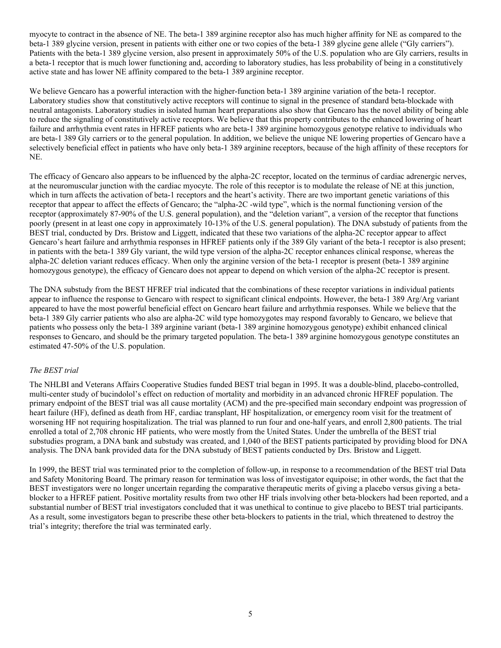myocyte to contract in the absence of NE. The beta-1 389 arginine receptor also has much higher affinity for NE as compared to the beta-1 389 glycine version, present in patients with either one or two copies of the beta-1 389 glycine gene allele ("Gly carriers"). Patients with the beta-1 389 glycine version, also present in approximately 50% of the U.S. population who are Gly carriers, results in a beta-1 receptor that is much lower functioning and, according to laboratory studies, has less probability of being in a constitutively active state and has lower NE affinity compared to the beta-1 389 arginine receptor.

We believe Gencaro has a powerful interaction with the higher-function beta-1 389 arginine variation of the beta-1 receptor. Laboratory studies show that constitutively active receptors will continue to signal in the presence of standard beta-blockade with neutral antagonists. Laboratory studies in isolated human heart preparations also show that Gencaro has the novel ability of being able to reduce the signaling of constitutively active receptors. We believe that this property contributes to the enhanced lowering of heart failure and arrhythmia event rates in HFREF patients who are beta-1 389 arginine homozygous genotype relative to individuals who are beta-1 389 Gly carriers or to the general population. In addition, we believe the unique NE lowering properties of Gencaro have a selectively beneficial effect in patients who have only beta-1 389 arginine receptors, because of the high affinity of these receptors for NE.

The efficacy of Gencaro also appears to be influenced by the alpha-2C receptor, located on the terminus of cardiac adrenergic nerves, at the neuromuscular junction with the cardiac myocyte. The role of this receptor is to modulate the release of NE at this junction, which in turn affects the activation of beta-1 receptors and the heart's activity. There are two important genetic variations of this receptor that appear to affect the effects of Gencaro; the "alpha-2C -wild type", which is the normal functioning version of the receptor (approximately 87-90% of the U.S. general population), and the "deletion variant", a version of the receptor that functions poorly (present in at least one copy in approximately 10-13% of the U.S. general population). The DNA substudy of patients from the BEST trial, conducted by Drs. Bristow and Liggett, indicated that these two variations of the alpha-2C receptor appear to affect Gencaro's heart failure and arrhythmia responses in HFREF patients only if the 389 Gly variant of the beta-1 receptor is also present; in patients with the beta-1 389 Gly variant, the wild type version of the alpha-2C receptor enhances clinical response, whereas the alpha-2C deletion variant reduces efficacy. When only the arginine version of the beta-1 receptor is present (beta-1 389 arginine homozygous genotype), the efficacy of Gencaro does not appear to depend on which version of the alpha-2C receptor is present.

The DNA substudy from the BEST HFREF trial indicated that the combinations of these receptor variations in individual patients appear to influence the response to Gencaro with respect to significant clinical endpoints. However, the beta-1 389 Arg/Arg variant appeared to have the most powerful beneficial effect on Gencaro heart failure and arrhythmia responses. While we believe that the beta-1 389 Gly carrier patients who also are alpha-2C wild type homozygotes may respond favorably to Gencaro, we believe that patients who possess only the beta-1 389 arginine variant (beta-1 389 arginine homozygous genotype) exhibit enhanced clinical responses to Gencaro, and should be the primary targeted population. The beta-1 389 arginine homozygous genotype constitutes an estimated 47-50% of the U.S. population.

# *The BEST trial*

The NHLBI and Veterans Affairs Cooperative Studies funded BEST trial began in 1995. It was a double-blind, placebo-controlled, multi-center study of bucindolol's effect on reduction of mortality and morbidity in an advanced chronic HFREF population. The primary endpoint of the BEST trial was all cause mortality (ACM) and the pre-specified main secondary endpoint was progression of heart failure (HF), defined as death from HF, cardiac transplant, HF hospitalization, or emergency room visit for the treatment of worsening HF not requiring hospitalization. The trial was planned to run four and one-half years, and enroll 2,800 patients. The trial enrolled a total of 2,708 chronic HF patients, who were mostly from the United States. Under the umbrella of the BEST trial substudies program, a DNA bank and substudy was created, and 1,040 of the BEST patients participated by providing blood for DNA analysis. The DNA bank provided data for the DNA substudy of BEST patients conducted by Drs. Bristow and Liggett.

In 1999, the BEST trial was terminated prior to the completion of follow-up, in response to a recommendation of the BEST trial Data and Safety Monitoring Board. The primary reason for termination was loss of investigator equipoise; in other words, the fact that the BEST investigators were no longer uncertain regarding the comparative therapeutic merits of giving a placebo versus giving a betablocker to a HFREF patient. Positive mortality results from two other HF trials involving other beta-blockers had been reported, and a substantial number of BEST trial investigators concluded that it was unethical to continue to give placebo to BEST trial participants. As a result, some investigators began to prescribe these other beta-blockers to patients in the trial, which threatened to destroy the trial's integrity; therefore the trial was terminated early.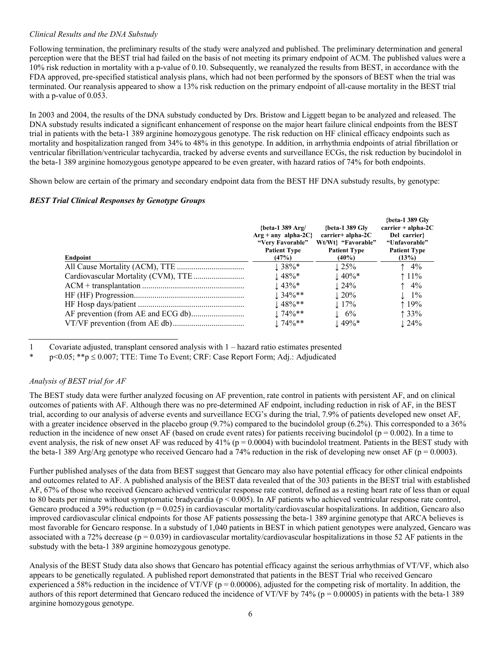# *Clinical Results and the DNA Substudy*

Following termination, the preliminary results of the study were analyzed and published. The preliminary determination and general perception were that the BEST trial had failed on the basis of not meeting its primary endpoint of ACM. The published values were a 10% risk reduction in mortality with a p-value of 0.10. Subsequently, we reanalyzed the results from BEST, in accordance with the FDA approved, pre-specified statistical analysis plans, which had not been performed by the sponsors of BEST when the trial was terminated. Our reanalysis appeared to show a 13% risk reduction on the primary endpoint of all-cause mortality in the BEST trial with a p-value of 0.053.

In 2003 and 2004, the results of the DNA substudy conducted by Drs. Bristow and Liggett began to be analyzed and released. The DNA substudy results indicated a significant enhancement of response on the major heart failure clinical endpoints from the BEST trial in patients with the beta-1 389 arginine homozygous genotype. The risk reduction on HF clinical efficacy endpoints such as mortality and hospitalization ranged from 34% to 48% in this genotype. In addition, in arrhythmia endpoints of atrial fibrillation or ventricular fibrillation/ventricular tachycardia, tracked by adverse events and surveillance ECGs, the risk reduction by bucindolol in the beta-1 389 arginine homozygous genotype appeared to be even greater, with hazard ratios of 74% for both endpoints.

Shown below are certain of the primary and secondary endpoint data from the BEST HF DNA substudy results, by genotype:

#### *BEST Trial Clinical Responses by Genotype Groups*

|          | {beta-1 389 Arg/<br>$Arg + any alpha-2C$<br>"Very Favorable"<br><b>Patient Type</b> | {beta-1 389 $Glv$<br>$carrier + alpha-2C$<br>Wt/Wt} "Favorable"<br><b>Patient Type</b> | {beta-1 389 Glv<br>$\text{carrier} + \text{alpha-2C}$<br>Del carrier?<br>"Unfavorable"<br><b>Patient Type</b> |
|----------|-------------------------------------------------------------------------------------|----------------------------------------------------------------------------------------|---------------------------------------------------------------------------------------------------------------|
| Endpoint | (47%)                                                                               | $(40\%)$                                                                               | (13%)                                                                                                         |
|          | $1.38\%*$                                                                           | $\perp$ 25%                                                                            | $\uparrow$ 4%                                                                                                 |
|          | $\pm 48\%$ *                                                                        | $\pm 40\%$ *                                                                           | $11\%$                                                                                                        |
|          | $\pm 43\%$ *                                                                        | $\downarrow$ 24%                                                                       | $\uparrow$ 4%                                                                                                 |
|          | $1.34\%**$                                                                          | $\pm 20\%$                                                                             | $\perp$ 1%                                                                                                    |
|          | $\pm 48\%$ **                                                                       | $\pm 17\%$                                                                             | $19\%$                                                                                                        |
|          | $1.74\%**$                                                                          | $\pm 6\%$                                                                              | 133%                                                                                                          |
|          | $174\%**$                                                                           | $\pm 49\%$ *                                                                           | $\pm 24\%$                                                                                                    |

1 Covariate adjusted, transplant censored analysis with 1 – hazard ratio estimates presented

\* p<0.05; \*\*p  $\leq 0.007$ ; TTE: Time To Event; CRF: Case Report Form; Adj.: Adjudicated

# *Analysis of BEST trial for AF*

The BEST study data were further analyzed focusing on AF prevention, rate control in patients with persistent AF, and on clinical outcomes of patients with AF. Although there was no pre-determined AF endpoint, including reduction in risk of AF, in the BEST trial, according to our analysis of adverse events and surveillance ECG's during the trial, 7.9% of patients developed new onset AF, with a greater incidence observed in the placebo group (9.7%) compared to the bucindolol group (6.2%). This corresponded to a 36% reduction in the incidence of new onset AF (based on crude event rates) for patients receiving bucindolol ( $p = 0.002$ ). In a time to event analysis, the risk of new onset AF was reduced by  $41\%$  (p = 0.0004) with bucindolol treatment. Patients in the BEST study with the beta-1 389 Arg/Arg genotype who received Gencaro had a 74% reduction in the risk of developing new onset AF ( $p = 0.0003$ ).

Further published analyses of the data from BEST suggest that Gencaro may also have potential efficacy for other clinical endpoints and outcomes related to AF. A published analysis of the BEST data revealed that of the 303 patients in the BEST trial with established AF, 67% of those who received Gencaro achieved ventricular response rate control, defined as a resting heart rate of less than or equal to 80 beats per minute without symptomatic bradycardia (p < 0.005). In AF patients who achieved ventricular response rate control, Gencaro produced a 39% reduction ( $p = 0.025$ ) in cardiovascular mortality/cardiovascular hospitalizations. In addition, Gencaro also improved cardiovascular clinical endpoints for those AF patients possessing the beta-1 389 arginine genotype that ARCA believes is most favorable for Gencaro response. In a substudy of 1,040 patients in BEST in which patient genotypes were analyzed, Gencaro was associated with a 72% decrease ( $p = 0.039$ ) in cardiovascular mortality/cardiovascular hospitalizations in those 52 AF patients in the substudy with the beta-1 389 arginine homozygous genotype.

Analysis of the BEST Study data also shows that Gencaro has potential efficacy against the serious arrhythmias of VT/VF, which also appears to be genetically regulated. A published report demonstrated that patients in the BEST Trial who received Gencaro experienced a 58% reduction in the incidence of VT/VF ( $p = 0.00006$ ), adjusted for the competing risk of mortality. In addition, the authors of this report determined that Gencaro reduced the incidence of VT/VF by 74% ( $p = 0.00005$ ) in patients with the beta-1 389 arginine homozygous genotype.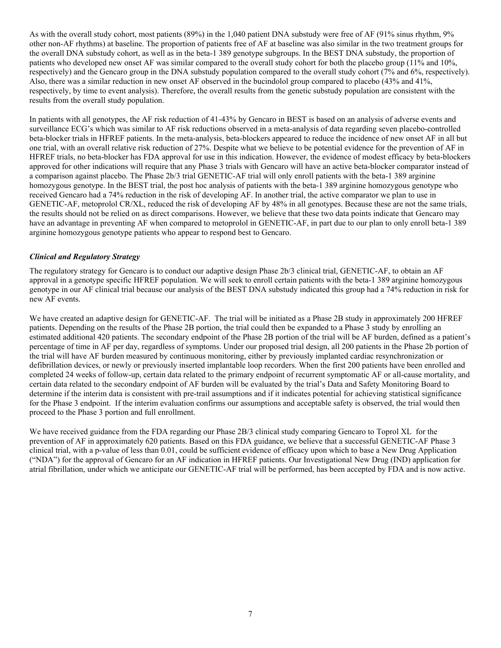As with the overall study cohort, most patients (89%) in the 1,040 patient DNA substudy were free of AF (91% sinus rhythm, 9% other non-AF rhythms) at baseline. The proportion of patients free of AF at baseline was also similar in the two treatment groups for the overall DNA substudy cohort, as well as in the beta-1 389 genotype subgroups. In the BEST DNA substudy, the proportion of patients who developed new onset AF was similar compared to the overall study cohort for both the placebo group (11% and 10%, respectively) and the Gencaro group in the DNA substudy population compared to the overall study cohort (7% and 6%, respectively). Also, there was a similar reduction in new onset AF observed in the bucindolol group compared to placebo (43% and 41%, respectively, by time to event analysis). Therefore, the overall results from the genetic substudy population are consistent with the results from the overall study population.

In patients with all genotypes, the AF risk reduction of 41-43% by Gencaro in BEST is based on an analysis of adverse events and surveillance ECG's which was similar to AF risk reductions observed in a meta-analysis of data regarding seven placebo-controlled beta-blocker trials in HFREF patients. In the meta-analysis, beta-blockers appeared to reduce the incidence of new onset AF in all but one trial, with an overall relative risk reduction of 27%. Despite what we believe to be potential evidence for the prevention of AF in HFREF trials, no beta-blocker has FDA approval for use in this indication. However, the evidence of modest efficacy by beta-blockers approved for other indications will require that any Phase 3 trials with Gencaro will have an active beta-blocker comparator instead of a comparison against placebo. The Phase 2b/3 trial GENETIC-AF trial will only enroll patients with the beta-1 389 arginine homozygous genotype. In the BEST trial, the post hoc analysis of patients with the beta-1 389 arginine homozygous genotype who received Gencaro had a 74% reduction in the risk of developing AF. In another trial, the active comparator we plan to use in GENETIC-AF, metoprolol CR/XL, reduced the risk of developing AF by 48% in all genotypes. Because these are not the same trials, the results should not be relied on as direct comparisons. However, we believe that these two data points indicate that Gencaro may have an advantage in preventing AF when compared to metoprolol in GENETIC-AF, in part due to our plan to only enroll beta-1 389 arginine homozygous genotype patients who appear to respond best to Gencaro.

# *Clinical and Regulatory Strategy*

The regulatory strategy for Gencaro is to conduct our adaptive design Phase 2b/3 clinical trial, GENETIC-AF, to obtain an AF approval in a genotype specific HFREF population. We will seek to enroll certain patients with the beta-1 389 arginine homozygous genotype in our AF clinical trial because our analysis of the BEST DNA substudy indicated this group had a 74% reduction in risk for new AF events.

We have created an adaptive design for GENETIC-AF. The trial will be initiated as a Phase 2B study in approximately 200 HFREF patients. Depending on the results of the Phase 2B portion, the trial could then be expanded to a Phase 3 study by enrolling an estimated additional 420 patients. The secondary endpoint of the Phase 2B portion of the trial will be AF burden, defined as a patient's percentage of time in AF per day, regardless of symptoms. Under our proposed trial design, all 200 patients in the Phase 2b portion of the trial will have AF burden measured by continuous monitoring, either by previously implanted cardiac resynchronization or defibrillation devices, or newly or previously inserted implantable loop recorders. When the first 200 patients have been enrolled and completed 24 weeks of follow-up, certain data related to the primary endpoint of recurrent symptomatic AF or all-cause mortality, and certain data related to the secondary endpoint of AF burden will be evaluated by the trial's Data and Safety Monitoring Board to determine if the interim data is consistent with pre-trail assumptions and if it indicates potential for achieving statistical significance for the Phase 3 endpoint. If the interim evaluation confirms our assumptions and acceptable safety is observed, the trial would then proceed to the Phase 3 portion and full enrollment.

We have received guidance from the FDA regarding our Phase 2B/3 clinical study comparing Gencaro to Toprol XL for the prevention of AF in approximately 620 patients. Based on this FDA guidance, we believe that a successful GENETIC-AF Phase 3 clinical trial, with a p-value of less than 0.01, could be sufficient evidence of efficacy upon which to base a New Drug Application ("NDA") for the approval of Gencaro for an AF indication in HFREF patients. Our Investigational New Drug (IND) application for atrial fibrillation, under which we anticipate our GENETIC-AF trial will be performed, has been accepted by FDA and is now active.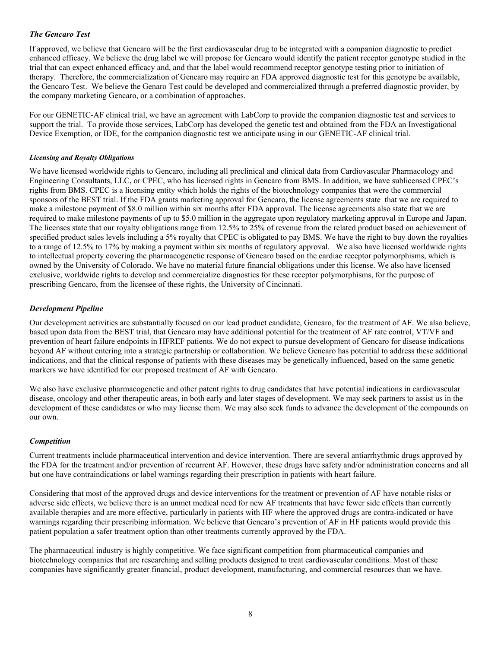# *The Gencaro Test*

If approved, we believe that Gencaro will be the first cardiovascular drug to be integrated with a companion diagnostic to predict enhanced efficacy. We believe the drug label we will propose for Gencaro would identify the patient receptor genotype studied in the trial that can expect enhanced efficacy and, and that the label would recommend receptor genotype testing prior to initiation of therapy. Therefore, the commercialization of Gencaro may require an FDA approved diagnostic test for this genotype be available, the Gencaro Test. We believe the Genaro Test could be developed and commercialized through a preferred diagnostic provider, by the company marketing Gencaro, or a combination of approaches.

For our GENETIC-AF clinical trial, we have an agreement with LabCorp to provide the companion diagnostic test and services to support the trial. To provide those services, LabCorp has developed the genetic test and obtained from the FDA an Investigational Device Exemption, or IDE, for the companion diagnostic test we anticipate using in our GENETIC-AF clinical trial.

#### *Licensing and Royalty Obligations*

We have licensed worldwide rights to Gencaro, including all preclinical and clinical data from Cardiovascular Pharmacology and Engineering Consultants, LLC, or CPEC, who has licensed rights in Gencaro from BMS. In addition, we have sublicensed CPEC's rights from BMS. CPEC is a licensing entity which holds the rights of the biotechnology companies that were the commercial sponsors of the BEST trial. If the FDA grants marketing approval for Gencaro, the license agreements state that we are required to make a milestone payment of \$8.0 million within six months after FDA approval. The license agreements also state that we are required to make milestone payments of up to \$5.0 million in the aggregate upon regulatory marketing approval in Europe and Japan. The licenses state that our royalty obligations range from 12.5% to 25% of revenue from the related product based on achievement of specified product sales levels including a 5% royalty that CPEC is obligated to pay BMS. We have the right to buy down the royalties to a range of 12.5% to 17% by making a payment within six months of regulatory approval. We also have licensed worldwide rights to intellectual property covering the pharmacogenetic response of Gencaro based on the cardiac receptor polymorphisms, which is owned by the University of Colorado. We have no material future financial obligations under this license. We also have licensed exclusive, worldwide rights to develop and commercialize diagnostics for these receptor polymorphisms, for the purpose of prescribing Gencaro, from the licensee of these rights, the University of Cincinnati.

# *Development Pipeline*

Our development activities are substantially focused on our lead product candidate, Gencaro, for the treatment of AF. We also believe, based upon data from the BEST trial, that Gencaro may have additional potential for the treatment of AF rate control, VT/VF and prevention of heart failure endpoints in HFREF patients. We do not expect to pursue development of Gencaro for disease indications beyond AF without entering into a strategic partnership or collaboration. We believe Gencaro has potential to address these additional indications, and that the clinical response of patients with these diseases may be genetically influenced, based on the same genetic markers we have identified for our proposed treatment of AF with Gencaro.

We also have exclusive pharmacogenetic and other patent rights to drug candidates that have potential indications in cardiovascular disease, oncology and other therapeutic areas, in both early and later stages of development. We may seek partners to assist us in the development of these candidates or who may license them. We may also seek funds to advance the development of the compounds on our own.

#### *Competition*

Current treatments include pharmaceutical intervention and device intervention. There are several antiarrhythmic drugs approved by the FDA for the treatment and/or prevention of recurrent AF. However, these drugs have safety and/or administration concerns and all but one have contraindications or label warnings regarding their prescription in patients with heart failure.

Considering that most of the approved drugs and device interventions for the treatment or prevention of AF have notable risks or adverse side effects, we believe there is an unmet medical need for new AF treatments that have fewer side effects than currently available therapies and are more effective, particularly in patients with HF where the approved drugs are contra-indicated or have warnings regarding their prescribing information. We believe that Gencaro's prevention of AF in HF patients would provide this patient population a safer treatment option than other treatments currently approved by the FDA.

The pharmaceutical industry is highly competitive. We face significant competition from pharmaceutical companies and biotechnology companies that are researching and selling products designed to treat cardiovascular conditions. Most of these companies have significantly greater financial, product development, manufacturing, and commercial resources than we have.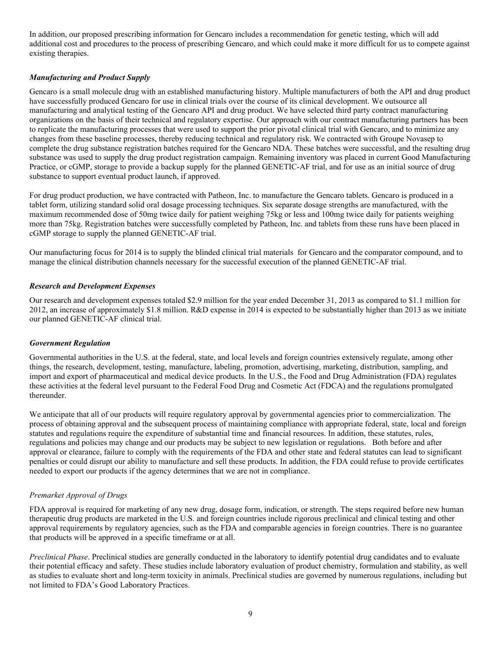In addition, our proposed prescribing information for Gencaro includes a recommendation for genetic testing, which will add additional cost and procedures to the process of prescribing Gencaro, and which could make it more difficult for us to compete against existing therapies.

# *Manufacturing and Product Supply*

Gencaro is a small molecule drug with an established manufacturing history. Multiple manufacturers of both the API and drug product have successfully produced Gencaro for use in clinical trials over the course of its clinical development. We outsource all manufacturing and analytical testing of the Gencaro API and drug product. We have selected third party contract manufacturing organizations on the basis of their technical and regulatory expertise. Our approach with our contract manufacturing partners has been to replicate the manufacturing processes that were used to support the prior pivotal clinical trial with Gencaro, and to minimize any changes from these baseline processes, thereby reducing technical and regulatory risk. We contracted with Groupe Novasep to complete the drug substance registration batches required for the Gencaro NDA. These batches were successful, and the resulting drug substance was used to supply the drug product registration campaign. Remaining inventory was placed in current Good Manufacturing Practice, or cGMP, storage to provide a backup supply for the planned GENETIC-AF trial, and for use as an initial source of drug substance to support eventual product launch, if approved.

For drug product production, we have contracted with Patheon, Inc. to manufacture the Gencaro tablets. Gencaro is produced in a tablet form, utilizing standard solid oral dosage processing techniques. Six separate dosage strengths are manufactured, with the maximum recommended dose of 50mg twice daily for patient weighing 75kg or less and 100mg twice daily for patients weighing more than 75kg. Registration batches were successfully completed by Patheon, Inc. and tablets from these runs have been placed in cGMP storage to supply the planned GENETIC-AF trial.

Our manufacturing focus for 2014 is to supply the blinded clinical trial materials for Gencaro and the comparator compound, and to manage the clinical distribution channels necessary for the successful execution of the planned GENETIC-AF trial.

# *Research and Development Expenses*

Our research and development expenses totaled \$2.9 million for the year ended December 31, 2013 as compared to \$1.1 million for 2012, an increase of approximately \$1.8 million. R&D expense in 2014 is expected to be substantially higher than 2013 as we initiate our planned GENETIC-AF clinical trial.

# *Government Regulation*

Governmental authorities in the U.S. at the federal, state, and local levels and foreign countries extensively regulate, among other things, the research, development, testing, manufacture, labeling, promotion, advertising, marketing, distribution, sampling, and import and export of pharmaceutical and medical device products. In the U.S., the Food and Drug Administration (FDA) regulates these activities at the federal level pursuant to the Federal Food Drug and Cosmetic Act (FDCA) and the regulations promulgated thereunder.

We anticipate that all of our products will require regulatory approval by governmental agencies prior to commercialization. The process of obtaining approval and the subsequent process of maintaining compliance with appropriate federal, state, local and foreign statutes and regulations require the expenditure of substantial time and financial resources. In addition, these statutes, rules, regulations and policies may change and our products may be subject to new legislation or regulations. Both before and after approval or clearance, failure to comply with the requirements of the FDA and other state and federal statutes can lead to significant penalties or could disrupt our ability to manufacture and sell these products. In addition, the FDA could refuse to provide certificates needed to export our products if the agency determines that we are not in compliance.

# *Premarket Approval of Drugs*

FDA approval is required for marketing of any new drug, dosage form, indication, or strength. The steps required before new human therapeutic drug products are marketed in the U.S. and foreign countries include rigorous preclinical and clinical testing and other approval requirements by regulatory agencies, such as the FDA and comparable agencies in foreign countries. There is no guarantee that products will be approved in a specific timeframe or at all.

*Preclinical Phase*. Preclinical studies are generally conducted in the laboratory to identify potential drug candidates and to evaluate their potential efficacy and safety. These studies include laboratory evaluation of product chemistry, formulation and stability, as well as studies to evaluate short and long-term toxicity in animals. Preclinical studies are governed by numerous regulations, including but not limited to FDA's Good Laboratory Practices.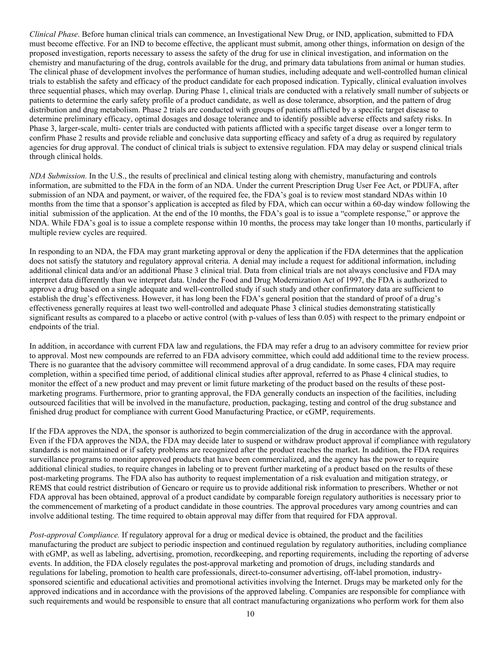*Clinical Phase*. Before human clinical trials can commence, an Investigational New Drug, or IND, application, submitted to FDA must become effective. For an IND to become effective, the applicant must submit, among other things, information on design of the proposed investigation, reports necessary to assess the safety of the drug for use in clinical investigation, and information on the chemistry and manufacturing of the drug, controls available for the drug, and primary data tabulations from animal or human studies. The clinical phase of development involves the performance of human studies, including adequate and well-controlled human clinical trials to establish the safety and efficacy of the product candidate for each proposed indication. Typically, clinical evaluation involves three sequential phases, which may overlap. During Phase 1, clinical trials are conducted with a relatively small number of subjects or patients to determine the early safety profile of a product candidate, as well as dose tolerance, absorption, and the pattern of drug distribution and drug metabolism. Phase 2 trials are conducted with groups of patients afflicted by a specific target disease to determine preliminary efficacy, optimal dosages and dosage tolerance and to identify possible adverse effects and safety risks. In Phase 3, larger-scale, multi- center trials are conducted with patients afflicted with a specific target disease over a longer term to confirm Phase 2 results and provide reliable and conclusive data supporting efficacy and safety of a drug as required by regulatory agencies for drug approval. The conduct of clinical trials is subject to extensive regulation. FDA may delay or suspend clinical trials through clinical holds.

*NDA Submission.* In the U.S., the results of preclinical and clinical testing along with chemistry, manufacturing and controls information, are submitted to the FDA in the form of an NDA. Under the current Prescription Drug User Fee Act, or PDUFA, after submission of an NDA and payment, or waiver, of the required fee, the FDA's goal is to review most standard NDAs within 10 months from the time that a sponsor's application is accepted as filed by FDA, which can occur within a 60-day window following the initial submission of the application. At the end of the 10 months, the FDA's goal is to issue a "complete response," or approve the NDA. While FDA's goal is to issue a complete response within 10 months, the process may take longer than 10 months, particularly if multiple review cycles are required.

In responding to an NDA, the FDA may grant marketing approval or deny the application if the FDA determines that the application does not satisfy the statutory and regulatory approval criteria. A denial may include a request for additional information, including additional clinical data and/or an additional Phase 3 clinical trial. Data from clinical trials are not always conclusive and FDA may interpret data differently than we interpret data. Under the Food and Drug Modernization Act of 1997, the FDA is authorized to approve a drug based on a single adequate and well-controlled study if such study and other confirmatory data are sufficient to establish the drug's effectiveness. However, it has long been the FDA's general position that the standard of proof of a drug's effectiveness generally requires at least two well-controlled and adequate Phase 3 clinical studies demonstrating statistically significant results as compared to a placebo or active control (with p-values of less than 0.05) with respect to the primary endpoint or endpoints of the trial.

In addition, in accordance with current FDA law and regulations, the FDA may refer a drug to an advisory committee for review prior to approval. Most new compounds are referred to an FDA advisory committee, which could add additional time to the review process. There is no guarantee that the advisory committee will recommend approval of a drug candidate. In some cases, FDA may require completion, within a specified time period, of additional clinical studies after approval, referred to as Phase 4 clinical studies, to monitor the effect of a new product and may prevent or limit future marketing of the product based on the results of these postmarketing programs. Furthermore, prior to granting approval, the FDA generally conducts an inspection of the facilities, including outsourced facilities that will be involved in the manufacture, production, packaging, testing and control of the drug substance and finished drug product for compliance with current Good Manufacturing Practice, or cGMP, requirements.

If the FDA approves the NDA, the sponsor is authorized to begin commercialization of the drug in accordance with the approval. Even if the FDA approves the NDA, the FDA may decide later to suspend or withdraw product approval if compliance with regulatory standards is not maintained or if safety problems are recognized after the product reaches the market. In addition, the FDA requires surveillance programs to monitor approved products that have been commercialized, and the agency has the power to require additional clinical studies, to require changes in labeling or to prevent further marketing of a product based on the results of these post-marketing programs. The FDA also has authority to request implementation of a risk evaluation and mitigation strategy, or REMS that could restrict distribution of Gencaro or require us to provide additional risk information to prescribers. Whether or not FDA approval has been obtained, approval of a product candidate by comparable foreign regulatory authorities is necessary prior to the commencement of marketing of a product candidate in those countries. The approval procedures vary among countries and can involve additional testing. The time required to obtain approval may differ from that required for FDA approval.

*Post-approval Compliance.* If regulatory approval for a drug or medical device is obtained, the product and the facilities manufacturing the product are subject to periodic inspection and continued regulation by regulatory authorities, including compliance with cGMP, as well as labeling, advertising, promotion, recordkeeping, and reporting requirements, including the reporting of adverse events. In addition, the FDA closely regulates the post-approval marketing and promotion of drugs, including standards and regulations for labeling, promotion to health care professionals, direct-to-consumer advertising, off-label promotion, industrysponsored scientific and educational activities and promotional activities involving the Internet. Drugs may be marketed only for the approved indications and in accordance with the provisions of the approved labeling. Companies are responsible for compliance with such requirements and would be responsible to ensure that all contract manufacturing organizations who perform work for them also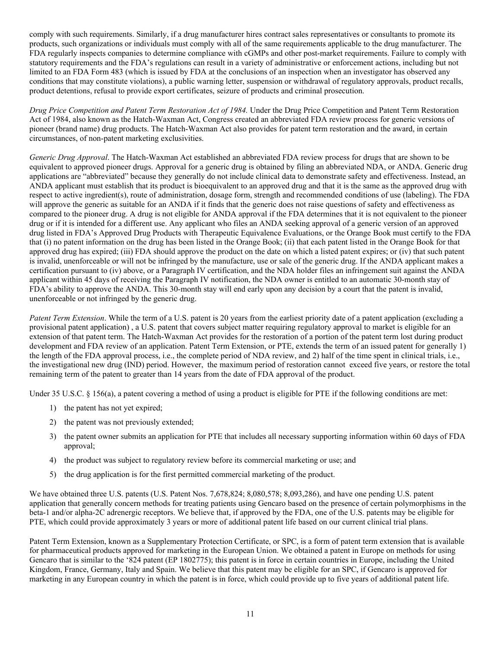comply with such requirements. Similarly, if a drug manufacturer hires contract sales representatives or consultants to promote its products, such organizations or individuals must comply with all of the same requirements applicable to the drug manufacturer. The FDA regularly inspects companies to determine compliance with cGMPs and other post-market requirements. Failure to comply with statutory requirements and the FDA's regulations can result in a variety of administrative or enforcement actions, including but not limited to an FDA Form 483 (which is issued by FDA at the conclusions of an inspection when an investigator has observed any conditions that may constitute violations), a public warning letter, suspension or withdrawal of regulatory approvals, product recalls, product detentions, refusal to provide export certificates, seizure of products and criminal prosecution.

*Drug Price Competition and Patent Term Restoration Act of 1984.* Under the Drug Price Competition and Patent Term Restoration Act of 1984, also known as the Hatch-Waxman Act, Congress created an abbreviated FDA review process for generic versions of pioneer (brand name) drug products. The Hatch-Waxman Act also provides for patent term restoration and the award, in certain circumstances, of non-patent marketing exclusivities.

*Generic Drug Approval*. The Hatch-Waxman Act established an abbreviated FDA review process for drugs that are shown to be equivalent to approved pioneer drugs. Approval for a generic drug is obtained by filing an abbreviated NDA, or ANDA. Generic drug applications are "abbreviated" because they generally do not include clinical data to demonstrate safety and effectiveness. Instead, an ANDA applicant must establish that its product is bioequivalent to an approved drug and that it is the same as the approved drug with respect to active ingredient(s), route of administration, dosage form, strength and recommended conditions of use (labeling). The FDA will approve the generic as suitable for an ANDA if it finds that the generic does not raise questions of safety and effectiveness as compared to the pioneer drug. A drug is not eligible for ANDA approval if the FDA determines that it is not equivalent to the pioneer drug or if it is intended for a different use. Any applicant who files an ANDA seeking approval of a generic version of an approved drug listed in FDA's Approved Drug Products with Therapeutic Equivalence Evaluations, or the Orange Book must certify to the FDA that (i) no patent information on the drug has been listed in the Orange Book; (ii) that each patent listed in the Orange Book for that approved drug has expired; (iii) FDA should approve the product on the date on which a listed patent expires; or (iv) that such patent is invalid, unenforceable or will not be infringed by the manufacture, use or sale of the generic drug. If the ANDA applicant makes a certification pursuant to (iv) above, or a Paragraph IV certification, and the NDA holder files an infringement suit against the ANDA applicant within 45 days of receiving the Paragraph IV notification, the NDA owner is entitled to an automatic 30-month stay of FDA's ability to approve the ANDA. This 30-month stay will end early upon any decision by a court that the patent is invalid, unenforceable or not infringed by the generic drug.

*Patent Term Extension*. While the term of a U.S. patent is 20 years from the earliest priority date of a patent application (excluding a provisional patent application) , a U.S. patent that covers subject matter requiring regulatory approval to market is eligible for an extension of that patent term. The Hatch-Waxman Act provides for the restoration of a portion of the patent term lost during product development and FDA review of an application. Patent Term Extension, or PTE, extends the term of an issued patent for generally 1) the length of the FDA approval process, i.e., the complete period of NDA review, and 2) half of the time spent in clinical trials, i.e., the investigational new drug (IND) period. However, the maximum period of restoration cannot exceed five years, or restore the total remaining term of the patent to greater than 14 years from the date of FDA approval of the product.

Under 35 U.S.C. § 156(a), a patent covering a method of using a product is eligible for PTE if the following conditions are met:

- 1) the patent has not yet expired;
- 2) the patent was not previously extended;
- 3) the patent owner submits an application for PTE that includes all necessary supporting information within 60 days of FDA approval;
- 4) the product was subject to regulatory review before its commercial marketing or use; and
- 5) the drug application is for the first permitted commercial marketing of the product.

We have obtained three U.S. patents (U.S. Patent Nos. 7,678,824; 8,080,578; 8,093,286), and have one pending U.S. patent application that generally concern methods for treating patients using Gencaro based on the presence of certain polymorphisms in the beta-1 and/or alpha-2C adrenergic receptors. We believe that, if approved by the FDA, one of the U.S. patents may be eligible for PTE, which could provide approximately 3 years or more of additional patent life based on our current clinical trial plans.

Patent Term Extension, known as a Supplementary Protection Certificate, or SPC, is a form of patent term extension that is available for pharmaceutical products approved for marketing in the European Union. We obtained a patent in Europe on methods for using Gencaro that is similar to the '824 patent (EP 1802775); this patent is in force in certain countries in Europe, including the United Kingdom, France, Germany, Italy and Spain. We believe that this patent may be eligible for an SPC, if Gencaro is approved for marketing in any European country in which the patent is in force, which could provide up to five years of additional patent life.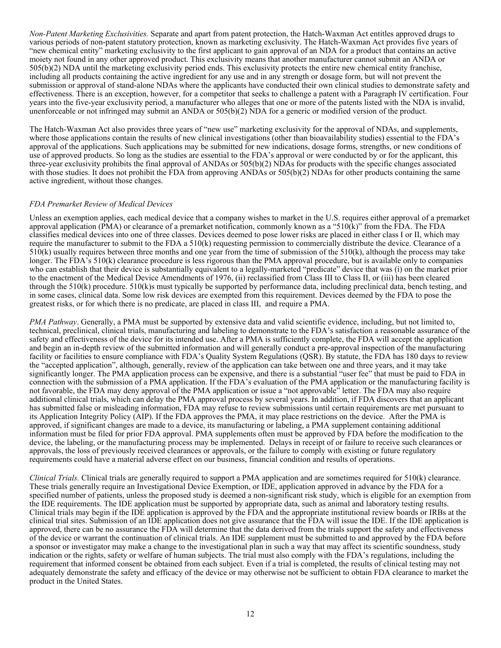*Non-Patent Marketing Exclusivities.* Separate and apart from patent protection, the Hatch-Waxman Act entitles approved drugs to various periods of non-patent statutory protection, known as marketing exclusivity. The Hatch-Waxman Act provides five years of "new chemical entity" marketing exclusivity to the first applicant to gain approval of an NDA for a product that contains an active moiety not found in any other approved product. This exclusivity means that another manufacturer cannot submit an ANDA or 505(b)(2) NDA until the marketing exclusivity period ends. This exclusivity protects the entire new chemical entity franchise, including all products containing the active ingredient for any use and in any strength or dosage form, but will not prevent the submission or approval of stand-alone NDAs where the applicants have conducted their own clinical studies to demonstrate safety and effectiveness. There is an exception, however, for a competitor that seeks to challenge a patent with a Paragraph IV certification. Four years into the five-year exclusivity period, a manufacturer who alleges that one or more of the patents listed with the NDA is invalid, unenforceable or not infringed may submit an ANDA or 505(b)(2) NDA for a generic or modified version of the product.

The Hatch-Waxman Act also provides three years of "new use" marketing exclusivity for the approval of NDAs, and supplements, where those applications contain the results of new clinical investigations (other than bioavailability studies) essential to the FDA's approval of the applications. Such applications may be submitted for new indications, dosage forms, strengths, or new conditions of use of approved products. So long as the studies are essential to the FDA's approval or were conducted by or for the applicant, this three-year exclusivity prohibits the final approval of ANDAs or 505(b)(2) NDAs for products with the specific changes associated with those studies. It does not prohibit the FDA from approving ANDAs or  $505(b)(2)$  NDAs for other products containing the same active ingredient, without those changes.

#### *FDA Premarket Review of Medical Devices*

Unless an exemption applies, each medical device that a company wishes to market in the U.S. requires either approval of a premarket approval application (PMA) or clearance of a premarket notification, commonly known as a "510(k)" from the FDA. The FDA classifies medical devices into one of three classes. Devices deemed to pose lower risks are placed in either class I or II, which may require the manufacturer to submit to the FDA a 510(k) requesting permission to commercially distribute the device. Clearance of a 510(k) usually requires between three months and one year from the time of submission of the 510(k), although the process may take longer. The FDA's 510(k) clearance procedure is less rigorous than the PMA approval procedure, but is available only to companies who can establish that their device is substantially equivalent to a legally-marketed "predicate" device that was (i) on the market prior to the enactment of the Medical Device Amendments of 1976, (ii) reclassified from Class III to Class II, or (iii) has been cleared through the 510(k) procedure. 510(k)s must typically be supported by performance data, including preclinical data, bench testing, and in some cases, clinical data. Some low risk devices are exempted from this requirement. Devices deemed by the FDA to pose the greatest risks, or for which there is no predicate, are placed in class III, and require a PMA.

*PMA Pathway*. Generally, a PMA must be supported by extensive data and valid scientific evidence, including, but not limited to, technical, preclinical, clinical trials, manufacturing and labeling to demonstrate to the FDA's satisfaction a reasonable assurance of the safety and effectiveness of the device for its intended use. After a PMA is sufficiently complete, the FDA will accept the application and begin an in-depth review of the submitted information and will generally conduct a pre-approval inspection of the manufacturing facility or facilities to ensure compliance with FDA's Quality System Regulations (QSR). By statute, the FDA has 180 days to review the "accepted application", although, generally, review of the application can take between one and three years, and it may take significantly longer. The PMA application process can be expensive, and there is a substantial "user fee" that must be paid to FDA in connection with the submission of a PMA application. If the FDA's evaluation of the PMA application or the manufacturing facility is not favorable, the FDA may deny approval of the PMA application or issue a "not approvable" letter. The FDA may also require additional clinical trials, which can delay the PMA approval process by several years. In addition, if FDA discovers that an applicant has submitted false or misleading information, FDA may refuse to review submissions until certain requirements are met pursuant to its Application Integrity Policy (AIP). If the FDA approves the PMA, it may place restrictions on the device. After the PMA is approved, if significant changes are made to a device, its manufacturing or labeling, a PMA supplement containing additional information must be filed for prior FDA approval. PMA supplements often must be approved by FDA before the modification to the device, the labeling, or the manufacturing process may be implemented. Delays in receipt of or failure to receive such clearances or approvals, the loss of previously received clearances or approvals, or the failure to comply with existing or future regulatory requirements could have a material adverse effect on our business, financial condition and results of operations.

*Clinical Trials.* Clinical trials are generally required to support a PMA application and are sometimes required for 510(k) clearance. These trials generally require an Investigational Device Exemption, or IDE, application approved in advance by the FDA for a specified number of patients, unless the proposed study is deemed a non-significant risk study, which is eligible for an exemption from the IDE requirements. The IDE application must be supported by appropriate data, such as animal and laboratory testing results. Clinical trials may begin if the IDE application is approved by the FDA and the appropriate institutional review boards or IRBs at the clinical trial sites. Submission of an IDE application does not give assurance that the FDA will issue the IDE. If the IDE application is approved, there can be no assurance the FDA will determine that the data derived from the trials support the safety and effectiveness of the device or warrant the continuation of clinical trials. An IDE supplement must be submitted to and approved by the FDA before a sponsor or investigator may make a change to the investigational plan in such a way that may affect its scientific soundness, study indication or the rights, safety or welfare of human subjects. The trial must also comply with the FDA's regulations, including the requirement that informed consent be obtained from each subject. Even if a trial is completed, the results of clinical testing may not adequately demonstrate the safety and efficacy of the device or may otherwise not be sufficient to obtain FDA clearance to market the product in the United States.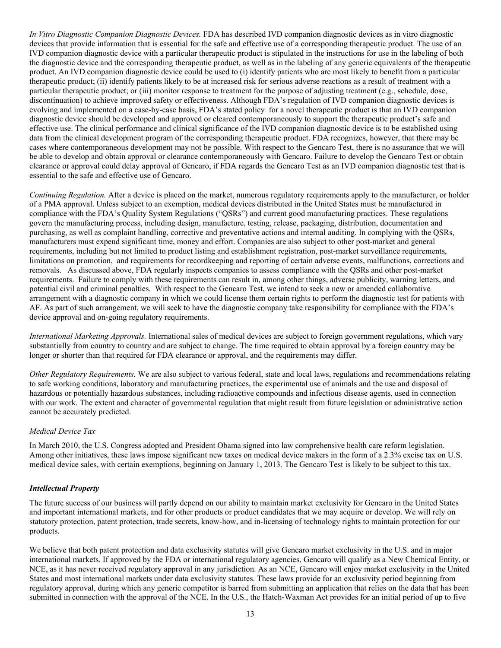*In Vitro Diagnostic Companion Diagnostic Devices.* FDA has described IVD companion diagnostic devices as in vitro diagnostic devices that provide information that is essential for the safe and effective use of a corresponding therapeutic product. The use of an IVD companion diagnostic device with a particular therapeutic product is stipulated in the instructions for use in the labeling of both the diagnostic device and the corresponding therapeutic product, as well as in the labeling of any generic equivalents of the therapeutic product. An IVD companion diagnostic device could be used to (i) identify patients who are most likely to benefit from a particular therapeutic product; (ii) identify patients likely to be at increased risk for serious adverse reactions as a result of treatment with a particular therapeutic product; or (iii) monitor response to treatment for the purpose of adjusting treatment (e.g., schedule, dose, discontinuation) to achieve improved safety or effectiveness. Although FDA's regulation of IVD companion diagnostic devices is evolving and implemented on a case-by-case basis, FDA's stated policy for a novel therapeutic product is that an IVD companion diagnostic device should be developed and approved or cleared contemporaneously to support the therapeutic product's safe and effective use. The clinical performance and clinical significance of the IVD companion diagnostic device is to be established using data from the clinical development program of the corresponding therapeutic product. FDA recognizes, however, that there may be cases where contemporaneous development may not be possible. With respect to the Gencaro Test, there is no assurance that we will be able to develop and obtain approval or clearance contemporaneously with Gencaro. Failure to develop the Gencaro Test or obtain clearance or approval could delay approval of Gencaro, if FDA regards the Gencaro Test as an IVD companion diagnostic test that is essential to the safe and effective use of Gencaro.

*Continuing Regulation.* After a device is placed on the market, numerous regulatory requirements apply to the manufacturer, or holder of a PMA approval. Unless subject to an exemption, medical devices distributed in the United States must be manufactured in compliance with the FDA's Quality System Regulations ("QSRs") and current good manufacturing practices. These regulations govern the manufacturing process, including design, manufacture, testing, release, packaging, distribution, documentation and purchasing, as well as complaint handling, corrective and preventative actions and internal auditing. In complying with the QSRs, manufacturers must expend significant time, money and effort. Companies are also subject to other post-market and general requirements, including but not limited to product listing and establishment registration, post-market surveillance requirements, limitations on promotion, and requirements for recordkeeping and reporting of certain adverse events, malfunctions, corrections and removals. As discussed above, FDA regularly inspects companies to assess compliance with the QSRs and other post-market requirements. Failure to comply with these requirements can result in, among other things, adverse publicity, warning letters, and potential civil and criminal penalties. With respect to the Gencaro Test, we intend to seek a new or amended collaborative arrangement with a diagnostic company in which we could license them certain rights to perform the diagnostic test for patients with AF. As part of such arrangement, we will seek to have the diagnostic company take responsibility for compliance with the FDA's device approval and on-going regulatory requirements.

*International Marketing Approvals.* International sales of medical devices are subject to foreign government regulations, which vary substantially from country to country and are subject to change. The time required to obtain approval by a foreign country may be longer or shorter than that required for FDA clearance or approval, and the requirements may differ.

*Other Regulatory Requirements.* We are also subject to various federal, state and local laws, regulations and recommendations relating to safe working conditions, laboratory and manufacturing practices, the experimental use of animals and the use and disposal of hazardous or potentially hazardous substances, including radioactive compounds and infectious disease agents, used in connection with our work. The extent and character of governmental regulation that might result from future legislation or administrative action cannot be accurately predicted.

# *Medical Device Tax*

In March 2010, the U.S. Congress adopted and President Obama signed into law comprehensive health care reform legislation. Among other initiatives, these laws impose significant new taxes on medical device makers in the form of a 2.3% excise tax on U.S. medical device sales, with certain exemptions, beginning on January 1, 2013. The Gencaro Test is likely to be subject to this tax.

# *Intellectual Property*

The future success of our business will partly depend on our ability to maintain market exclusivity for Gencaro in the United States and important international markets, and for other products or product candidates that we may acquire or develop. We will rely on statutory protection, patent protection, trade secrets, know-how, and in-licensing of technology rights to maintain protection for our products.

We believe that both patent protection and data exclusivity statutes will give Gencaro market exclusivity in the U.S. and in major international markets. If approved by the FDA or international regulatory agencies, Gencaro will qualify as a New Chemical Entity, or NCE, as it has never received regulatory approval in any jurisdiction. As an NCE, Gencaro will enjoy market exclusivity in the United States and most international markets under data exclusivity statutes. These laws provide for an exclusivity period beginning from regulatory approval, during which any generic competitor is barred from submitting an application that relies on the data that has been submitted in connection with the approval of the NCE. In the U.S., the Hatch-Waxman Act provides for an initial period of up to five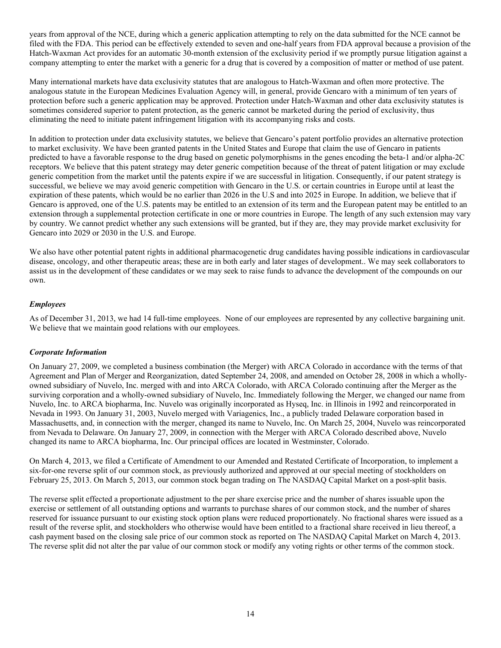years from approval of the NCE, during which a generic application attempting to rely on the data submitted for the NCE cannot be filed with the FDA. This period can be effectively extended to seven and one-half years from FDA approval because a provision of the Hatch-Waxman Act provides for an automatic 30-month extension of the exclusivity period if we promptly pursue litigation against a company attempting to enter the market with a generic for a drug that is covered by a composition of matter or method of use patent.

Many international markets have data exclusivity statutes that are analogous to Hatch-Waxman and often more protective. The analogous statute in the European Medicines Evaluation Agency will, in general, provide Gencaro with a minimum of ten years of protection before such a generic application may be approved. Protection under Hatch-Waxman and other data exclusivity statutes is sometimes considered superior to patent protection, as the generic cannot be marketed during the period of exclusivity, thus eliminating the need to initiate patent infringement litigation with its accompanying risks and costs.

In addition to protection under data exclusivity statutes, we believe that Gencaro's patent portfolio provides an alternative protection to market exclusivity. We have been granted patents in the United States and Europe that claim the use of Gencaro in patients predicted to have a favorable response to the drug based on genetic polymorphisms in the genes encoding the beta-1 and/or alpha-2C receptors. We believe that this patent strategy may deter generic competition because of the threat of patent litigation or may exclude generic competition from the market until the patents expire if we are successful in litigation. Consequently, if our patent strategy is successful, we believe we may avoid generic competition with Gencaro in the U.S. or certain countries in Europe until at least the expiration of these patents, which would be no earlier than 2026 in the U.S and into 2025 in Europe. In addition, we believe that if Gencaro is approved, one of the U.S. patents may be entitled to an extension of its term and the European patent may be entitled to an extension through a supplemental protection certificate in one or more countries in Europe. The length of any such extension may vary by country. We cannot predict whether any such extensions will be granted, but if they are, they may provide market exclusivity for Gencaro into 2029 or 2030 in the U.S. and Europe.

We also have other potential patent rights in additional pharmacogenetic drug candidates having possible indications in cardiovascular disease, oncology, and other therapeutic areas; these are in both early and later stages of development.. We may seek collaborators to assist us in the development of these candidates or we may seek to raise funds to advance the development of the compounds on our own.

# *Employees*

As of December 31, 2013, we had 14 full-time employees. None of our employees are represented by any collective bargaining unit. We believe that we maintain good relations with our employees.

# *Corporate Information*

On January 27, 2009, we completed a business combination (the Merger) with ARCA Colorado in accordance with the terms of that Agreement and Plan of Merger and Reorganization, dated September 24, 2008, and amended on October 28, 2008 in which a whollyowned subsidiary of Nuvelo, Inc. merged with and into ARCA Colorado, with ARCA Colorado continuing after the Merger as the surviving corporation and a wholly-owned subsidiary of Nuvelo, Inc. Immediately following the Merger, we changed our name from Nuvelo, Inc. to ARCA biopharma, Inc. Nuvelo was originally incorporated as Hyseq, Inc. in Illinois in 1992 and reincorporated in Nevada in 1993. On January 31, 2003, Nuvelo merged with Variagenics, Inc., a publicly traded Delaware corporation based in Massachusetts, and, in connection with the merger, changed its name to Nuvelo, Inc. On March 25, 2004, Nuvelo was reincorporated from Nevada to Delaware. On January 27, 2009, in connection with the Merger with ARCA Colorado described above, Nuvelo changed its name to ARCA biopharma, Inc. Our principal offices are located in Westminster, Colorado.

On March 4, 2013, we filed a Certificate of Amendment to our Amended and Restated Certificate of Incorporation, to implement a six-for-one reverse split of our common stock, as previously authorized and approved at our special meeting of stockholders on February 25, 2013. On March 5, 2013, our common stock began trading on The NASDAQ Capital Market on a post-split basis.

The reverse split effected a proportionate adjustment to the per share exercise price and the number of shares issuable upon the exercise or settlement of all outstanding options and warrants to purchase shares of our common stock, and the number of shares reserved for issuance pursuant to our existing stock option plans were reduced proportionately. No fractional shares were issued as a result of the reverse split, and stockholders who otherwise would have been entitled to a fractional share received in lieu thereof, a cash payment based on the closing sale price of our common stock as reported on The NASDAQ Capital Market on March 4, 2013. The reverse split did not alter the par value of our common stock or modify any voting rights or other terms of the common stock.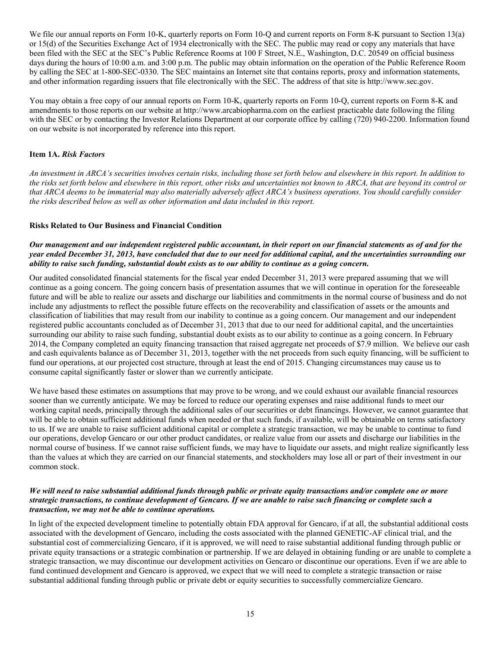We file our annual reports on Form 10-K, quarterly reports on Form 10-O and current reports on Form 8-K pursuant to Section 13(a) or 15(d) of the Securities Exchange Act of 1934 electronically with the SEC. The public may read or copy any materials that have been filed with the SEC at the SEC's Public Reference Rooms at 100 F Street, N.E., Washington, D.C. 20549 on official business days during the hours of 10:00 a.m. and 3:00 p.m. The public may obtain information on the operation of the Public Reference Room by calling the SEC at 1-800-SEC-0330. The SEC maintains an Internet site that contains reports, proxy and information statements, and other information regarding issuers that file electronically with the SEC. The address of that site is http://www.sec.gov.

You may obtain a free copy of our annual reports on Form 10-K, quarterly reports on Form 10-Q, current reports on Form 8-K and amendments to those reports on our website at http://www.arcabiopharma.com on the earliest practicable date following the filing with the SEC or by contacting the Investor Relations Department at our corporate office by calling (720) 940-2200. Information found on our website is not incorporated by reference into this report.

# <span id="page-16-0"></span>**Item 1A.** *Risk Factors*

An investment in ARCA's securities involves certain risks, including those set forth below and elsewhere in this report. In addition to the risks set forth below and elsewhere in this report, other risks and uncertainties not known to ARCA, that are beyond its control or that ARCA deems to be immaterial may also materially adversely affect ARCA's business operations. You should carefully consider *the risks described below as well as other information and data included in this report.*

# **Risks Related to Our Business and Financial Condition**

# Our management and our independent registered public accountant, in their report on our financial statements as of and for the year ended December 31, 2013, have concluded that due to our need for additional capital, and the uncertainties surrounding our ability to raise such funding, substantial doubt exists as to our ability to continue as a going concern.

Our audited consolidated financial statements for the fiscal year ended December 31, 2013 were prepared assuming that we will continue as a going concern. The going concern basis of presentation assumes that we will continue in operation for the foreseeable future and will be able to realize our assets and discharge our liabilities and commitments in the normal course of business and do not include any adjustments to reflect the possible future effects on the recoverability and classification of assets or the amounts and classification of liabilities that may result from our inability to continue as a going concern. Our management and our independent registered public accountants concluded as of December 31, 2013 that due to our need for additional capital, and the uncertainties surrounding our ability to raise such funding, substantial doubt exists as to our ability to continue as a going concern. In February 2014, the Company completed an equity financing transaction that raised aggregate net proceeds of \$7.9 million. We believe our cash and cash equivalents balance as of December 31, 2013, together with the net proceeds from such equity financing, will be sufficient to fund our operations, at our projected cost structure, through at least the end of 2015. Changing circumstances may cause us to consume capital significantly faster or slower than we currently anticipate.

We have based these estimates on assumptions that may prove to be wrong, and we could exhaust our available financial resources sooner than we currently anticipate. We may be forced to reduce our operating expenses and raise additional funds to meet our working capital needs, principally through the additional sales of our securities or debt financings. However, we cannot guarantee that will be able to obtain sufficient additional funds when needed or that such funds, if available, will be obtainable on terms satisfactory to us. If we are unable to raise sufficient additional capital or complete a strategic transaction, we may be unable to continue to fund our operations, develop Gencaro or our other product candidates, or realize value from our assets and discharge our liabilities in the normal course of business. If we cannot raise sufficient funds, we may have to liquidate our assets, and might realize significantly less than the values at which they are carried on our financial statements, and stockholders may lose all or part of their investment in our common stock.

# We will need to raise substantial additional funds through public or private equity transactions and/or complete one or more strategic transactions, to continue development of Gencaro. If we are unable to raise such financing or complete such a *transaction, we may not be able to continue operations.*

In light of the expected development timeline to potentially obtain FDA approval for Gencaro, if at all, the substantial additional costs associated with the development of Gencaro, including the costs associated with the planned GENETIC-AF clinical trial, and the substantial cost of commercializing Gencaro, if it is approved, we will need to raise substantial additional funding through public or private equity transactions or a strategic combination or partnership. If we are delayed in obtaining funding or are unable to complete a strategic transaction, we may discontinue our development activities on Gencaro or discontinue our operations. Even if we are able to fund continued development and Gencaro is approved, we expect that we will need to complete a strategic transaction or raise substantial additional funding through public or private debt or equity securities to successfully commercialize Gencaro.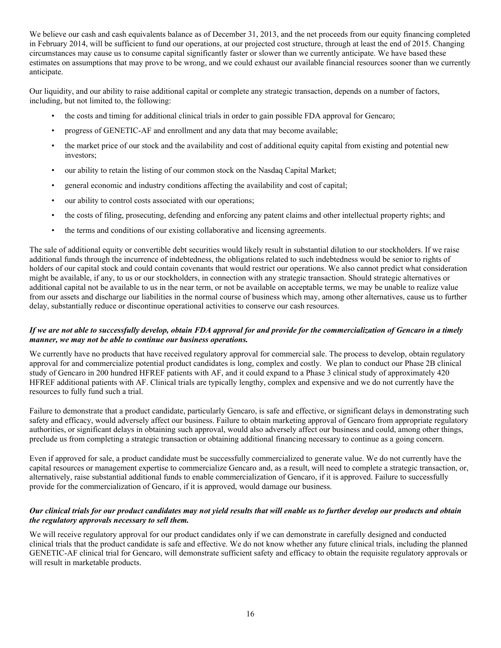We believe our cash and cash equivalents balance as of December 31, 2013, and the net proceeds from our equity financing completed in February 2014, will be sufficient to fund our operations, at our projected cost structure, through at least the end of 2015. Changing circumstances may cause us to consume capital significantly faster or slower than we currently anticipate. We have based these estimates on assumptions that may prove to be wrong, and we could exhaust our available financial resources sooner than we currently anticipate.

Our liquidity, and our ability to raise additional capital or complete any strategic transaction, depends on a number of factors, including, but not limited to, the following:

- the costs and timing for additional clinical trials in order to gain possible FDA approval for Gencaro;
- progress of GENETIC-AF and enrollment and any data that may become available;
- the market price of our stock and the availability and cost of additional equity capital from existing and potential new investors;
- our ability to retain the listing of our common stock on the Nasdaq Capital Market;
- general economic and industry conditions affecting the availability and cost of capital;
- our ability to control costs associated with our operations;
- the costs of filing, prosecuting, defending and enforcing any patent claims and other intellectual property rights; and
- the terms and conditions of our existing collaborative and licensing agreements.

The sale of additional equity or convertible debt securities would likely result in substantial dilution to our stockholders. If we raise additional funds through the incurrence of indebtedness, the obligations related to such indebtedness would be senior to rights of holders of our capital stock and could contain covenants that would restrict our operations. We also cannot predict what consideration might be available, if any, to us or our stockholders, in connection with any strategic transaction. Should strategic alternatives or additional capital not be available to us in the near term, or not be available on acceptable terms, we may be unable to realize value from our assets and discharge our liabilities in the normal course of business which may, among other alternatives, cause us to further delay, substantially reduce or discontinue operational activities to conserve our cash resources.

# If we are not able to successfully develop, obtain FDA approval for and provide for the commercialization of Gencaro in a timely *manner, we may not be able to continue our business operations.*

We currently have no products that have received regulatory approval for commercial sale. The process to develop, obtain regulatory approval for and commercialize potential product candidates is long, complex and costly. We plan to conduct our Phase 2B clinical study of Gencaro in 200 hundred HFREF patients with AF, and it could expand to a Phase 3 clinical study of approximately 420 HFREF additional patients with AF. Clinical trials are typically lengthy, complex and expensive and we do not currently have the resources to fully fund such a trial.

Failure to demonstrate that a product candidate, particularly Gencaro, is safe and effective, or significant delays in demonstrating such safety and efficacy, would adversely affect our business. Failure to obtain marketing approval of Gencaro from appropriate regulatory authorities, or significant delays in obtaining such approval, would also adversely affect our business and could, among other things, preclude us from completing a strategic transaction or obtaining additional financing necessary to continue as a going concern.

Even if approved for sale, a product candidate must be successfully commercialized to generate value. We do not currently have the capital resources or management expertise to commercialize Gencaro and, as a result, will need to complete a strategic transaction, or, alternatively, raise substantial additional funds to enable commercialization of Gencaro, if it is approved. Failure to successfully provide for the commercialization of Gencaro, if it is approved, would damage our business.

# Our clinical trials for our product candidates may not yield results that will enable us to further develop our products and obtain *the regulatory approvals necessary to sell them.*

We will receive regulatory approval for our product candidates only if we can demonstrate in carefully designed and conducted clinical trials that the product candidate is safe and effective. We do not know whether any future clinical trials, including the planned GENETIC-AF clinical trial for Gencaro, will demonstrate sufficient safety and efficacy to obtain the requisite regulatory approvals or will result in marketable products.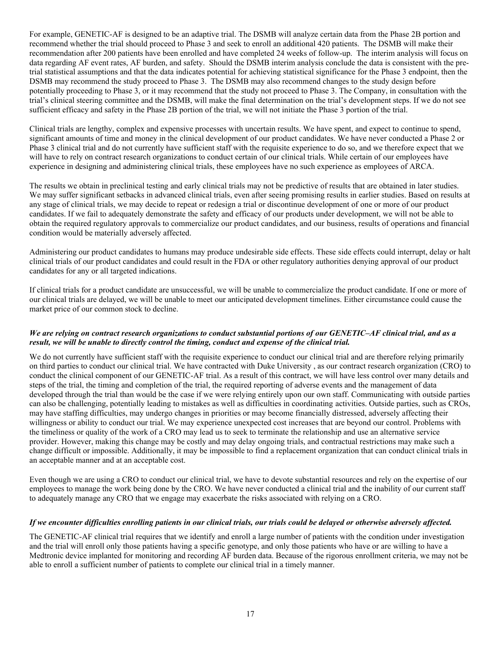For example, GENETIC-AF is designed to be an adaptive trial. The DSMB will analyze certain data from the Phase 2B portion and recommend whether the trial should proceed to Phase 3 and seek to enroll an additional 420 patients. The DSMB will make their recommendation after 200 patients have been enrolled and have completed 24 weeks of follow-up. The interim analysis will focus on data regarding AF event rates, AF burden, and safety. Should the DSMB interim analysis conclude the data is consistent with the pretrial statistical assumptions and that the data indicates potential for achieving statistical significance for the Phase 3 endpoint, then the DSMB may recommend the study proceed to Phase 3. The DSMB may also recommend changes to the study design before potentially proceeding to Phase 3, or it may recommend that the study not proceed to Phase 3. The Company, in consultation with the trial's clinical steering committee and the DSMB, will make the final determination on the trial's development steps. If we do not see sufficient efficacy and safety in the Phase 2B portion of the trial, we will not initiate the Phase 3 portion of the trial.

Clinical trials are lengthy, complex and expensive processes with uncertain results. We have spent, and expect to continue to spend, significant amounts of time and money in the clinical development of our product candidates. We have never conducted a Phase 2 or Phase 3 clinical trial and do not currently have sufficient staff with the requisite experience to do so, and we therefore expect that we will have to rely on contract research organizations to conduct certain of our clinical trials. While certain of our employees have experience in designing and administering clinical trials, these employees have no such experience as employees of ARCA.

The results we obtain in preclinical testing and early clinical trials may not be predictive of results that are obtained in later studies. We may suffer significant setbacks in advanced clinical trials, even after seeing promising results in earlier studies. Based on results at any stage of clinical trials, we may decide to repeat or redesign a trial or discontinue development of one or more of our product candidates. If we fail to adequately demonstrate the safety and efficacy of our products under development, we will not be able to obtain the required regulatory approvals to commercialize our product candidates, and our business, results of operations and financial condition would be materially adversely affected.

Administering our product candidates to humans may produce undesirable side effects. These side effects could interrupt, delay or halt clinical trials of our product candidates and could result in the FDA or other regulatory authorities denying approval of our product candidates for any or all targeted indications.

If clinical trials for a product candidate are unsuccessful, we will be unable to commercialize the product candidate. If one or more of our clinical trials are delayed, we will be unable to meet our anticipated development timelines. Either circumstance could cause the market price of our common stock to decline.

# We are relying on contract research organizations to conduct substantial portions of our GENETIC-AF clinical trial, and as a *result, we will be unable to directly control the timing, conduct and expense of the clinical trial.*

We do not currently have sufficient staff with the requisite experience to conduct our clinical trial and are therefore relying primarily on third parties to conduct our clinical trial. We have contracted with Duke University , as our contract research organization (CRO) to conduct the clinical component of our GENETIC-AF trial. As a result of this contract, we will have less control over many details and steps of the trial, the timing and completion of the trial, the required reporting of adverse events and the management of data developed through the trial than would be the case if we were relying entirely upon our own staff. Communicating with outside parties can also be challenging, potentially leading to mistakes as well as difficulties in coordinating activities. Outside parties, such as CROs, may have staffing difficulties, may undergo changes in priorities or may become financially distressed, adversely affecting their willingness or ability to conduct our trial. We may experience unexpected cost increases that are beyond our control. Problems with the timeliness or quality of the work of a CRO may lead us to seek to terminate the relationship and use an alternative service provider. However, making this change may be costly and may delay ongoing trials, and contractual restrictions may make such a change difficult or impossible. Additionally, it may be impossible to find a replacement organization that can conduct clinical trials in an acceptable manner and at an acceptable cost.

Even though we are using a CRO to conduct our clinical trial, we have to devote substantial resources and rely on the expertise of our employees to manage the work being done by the CRO. We have never conducted a clinical trial and the inability of our current staff to adequately manage any CRO that we engage may exacerbate the risks associated with relying on a CRO.

# If we encounter difficulties enrolling patients in our clinical trials, our trials could be delayed or otherwise adversely affected.

The GENETIC-AF clinical trial requires that we identify and enroll a large number of patients with the condition under investigation and the trial will enroll only those patients having a specific genotype, and only those patients who have or are willing to have a Medtronic device implanted for monitoring and recording AF burden data. Because of the rigorous enrollment criteria, we may not be able to enroll a sufficient number of patients to complete our clinical trial in a timely manner.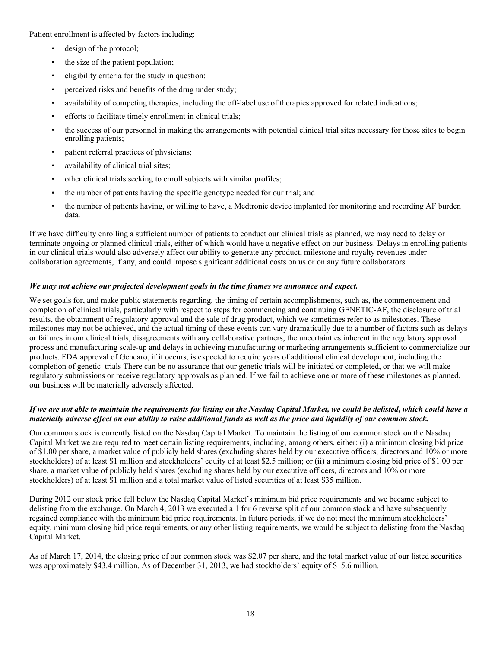Patient enrollment is affected by factors including:

- design of the protocol;
- the size of the patient population;
- eligibility criteria for the study in question;
- perceived risks and benefits of the drug under study;
- availability of competing therapies, including the off-label use of therapies approved for related indications;
- efforts to facilitate timely enrollment in clinical trials;
- the success of our personnel in making the arrangements with potential clinical trial sites necessary for those sites to begin enrolling patients;
- patient referral practices of physicians;
- availability of clinical trial sites;
- other clinical trials seeking to enroll subjects with similar profiles;
- the number of patients having the specific genotype needed for our trial; and
- the number of patients having, or willing to have, a Medtronic device implanted for monitoring and recording AF burden data.

If we have difficulty enrolling a sufficient number of patients to conduct our clinical trials as planned, we may need to delay or terminate ongoing or planned clinical trials, either of which would have a negative effect on our business. Delays in enrolling patients in our clinical trials would also adversely affect our ability to generate any product, milestone and royalty revenues under collaboration agreements, if any, and could impose significant additional costs on us or on any future collaborators.

# *We may not achieve our projected development goals in the time frames we announce and expect.*

We set goals for, and make public statements regarding, the timing of certain accomplishments, such as, the commencement and completion of clinical trials, particularly with respect to steps for commencing and continuing GENETIC-AF, the disclosure of trial results, the obtainment of regulatory approval and the sale of drug product, which we sometimes refer to as milestones. These milestones may not be achieved, and the actual timing of these events can vary dramatically due to a number of factors such as delays or failures in our clinical trials, disagreements with any collaborative partners, the uncertainties inherent in the regulatory approval process and manufacturing scale-up and delays in achieving manufacturing or marketing arrangements sufficient to commercialize our products. FDA approval of Gencaro, if it occurs, is expected to require years of additional clinical development, including the completion of genetic trials There can be no assurance that our genetic trials will be initiated or completed, or that we will make regulatory submissions or receive regulatory approvals as planned. If we fail to achieve one or more of these milestones as planned, our business will be materially adversely affected.

# If we are not able to maintain the requirements for listing on the Nasdaq Capital Market, we could be delisted, which could have a materially adverse effect on our ability to raise additional funds as well as the price and liquidity of our common stock.

Our common stock is currently listed on the Nasdaq Capital Market. To maintain the listing of our common stock on the Nasdaq Capital Market we are required to meet certain listing requirements, including, among others, either: (i) a minimum closing bid price of \$1.00 per share, a market value of publicly held shares (excluding shares held by our executive officers, directors and 10% or more stockholders) of at least \$1 million and stockholders' equity of at least \$2.5 million; or (ii) a minimum closing bid price of \$1.00 per share, a market value of publicly held shares (excluding shares held by our executive officers, directors and 10% or more stockholders) of at least \$1 million and a total market value of listed securities of at least \$35 million.

During 2012 our stock price fell below the Nasdaq Capital Market's minimum bid price requirements and we became subject to delisting from the exchange. On March 4, 2013 we executed a 1 for 6 reverse split of our common stock and have subsequently regained compliance with the minimum bid price requirements. In future periods, if we do not meet the minimum stockholders' equity, minimum closing bid price requirements, or any other listing requirements, we would be subject to delisting from the Nasdaq Capital Market.

As of March 17, 2014, the closing price of our common stock was \$2.07 per share, and the total market value of our listed securities was approximately \$43.4 million. As of December 31, 2013, we had stockholders' equity of \$15.6 million.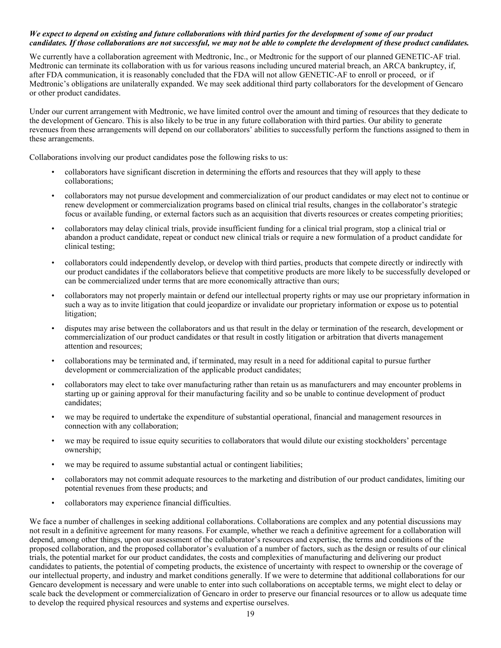#### We expect to depend on existing and future collaborations with third parties for the development of some of our product candidates. If those collaborations are not successful, we may not be able to complete the development of these product candidates.

We currently have a collaboration agreement with Medtronic, Inc., or Medtronic for the support of our planned GENETIC-AF trial. Medtronic can terminate its collaboration with us for various reasons including uncured material breach, an ARCA bankruptcy, if, after FDA communication, it is reasonably concluded that the FDA will not allow GENETIC-AF to enroll or proceed, or if Medtronic's obligations are unilaterally expanded. We may seek additional third party collaborators for the development of Gencaro or other product candidates.

Under our current arrangement with Medtronic, we have limited control over the amount and timing of resources that they dedicate to the development of Gencaro. This is also likely to be true in any future collaboration with third parties. Our ability to generate revenues from these arrangements will depend on our collaborators' abilities to successfully perform the functions assigned to them in these arrangements.

Collaborations involving our product candidates pose the following risks to us:

- collaborators have significant discretion in determining the efforts and resources that they will apply to these collaborations;
- collaborators may not pursue development and commercialization of our product candidates or may elect not to continue or renew development or commercialization programs based on clinical trial results, changes in the collaborator's strategic focus or available funding, or external factors such as an acquisition that diverts resources or creates competing priorities;
- collaborators may delay clinical trials, provide insufficient funding for a clinical trial program, stop a clinical trial or abandon a product candidate, repeat or conduct new clinical trials or require a new formulation of a product candidate for clinical testing;
- collaborators could independently develop, or develop with third parties, products that compete directly or indirectly with our product candidates if the collaborators believe that competitive products are more likely to be successfully developed or can be commercialized under terms that are more economically attractive than ours;
- collaborators may not properly maintain or defend our intellectual property rights or may use our proprietary information in such a way as to invite litigation that could jeopardize or invalidate our proprietary information or expose us to potential litigation;
- disputes may arise between the collaborators and us that result in the delay or termination of the research, development or commercialization of our product candidates or that result in costly litigation or arbitration that diverts management attention and resources;
- collaborations may be terminated and, if terminated, may result in a need for additional capital to pursue further development or commercialization of the applicable product candidates;
- collaborators may elect to take over manufacturing rather than retain us as manufacturers and may encounter problems in starting up or gaining approval for their manufacturing facility and so be unable to continue development of product candidates;
- we may be required to undertake the expenditure of substantial operational, financial and management resources in connection with any collaboration;
- we may be required to issue equity securities to collaborators that would dilute our existing stockholders' percentage ownership;
- we may be required to assume substantial actual or contingent liabilities;
- collaborators may not commit adequate resources to the marketing and distribution of our product candidates, limiting our potential revenues from these products; and
- collaborators may experience financial difficulties.

We face a number of challenges in seeking additional collaborations. Collaborations are complex and any potential discussions may not result in a definitive agreement for many reasons. For example, whether we reach a definitive agreement for a collaboration will depend, among other things, upon our assessment of the collaborator's resources and expertise, the terms and conditions of the proposed collaboration, and the proposed collaborator's evaluation of a number of factors, such as the design or results of our clinical trials, the potential market for our product candidates, the costs and complexities of manufacturing and delivering our product candidates to patients, the potential of competing products, the existence of uncertainty with respect to ownership or the coverage of our intellectual property, and industry and market conditions generally. If we were to determine that additional collaborations for our Gencaro development is necessary and were unable to enter into such collaborations on acceptable terms, we might elect to delay or scale back the development or commercialization of Gencaro in order to preserve our financial resources or to allow us adequate time to develop the required physical resources and systems and expertise ourselves.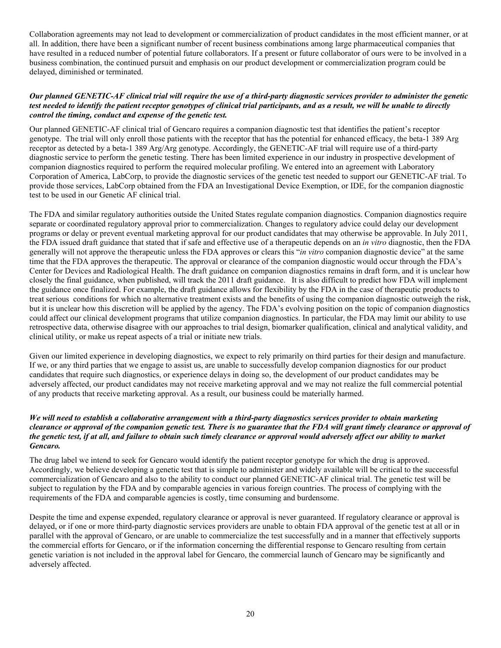Collaboration agreements may not lead to development or commercialization of product candidates in the most efficient manner, or at all. In addition, there have been a significant number of recent business combinations among large pharmaceutical companies that have resulted in a reduced number of potential future collaborators. If a present or future collaborator of ours were to be involved in a business combination, the continued pursuit and emphasis on our product development or commercialization program could be delayed, diminished or terminated.

#### Our planned GENETIC-AF clinical trial will require the use of a third-party diagnostic services provider to administer the genetic test needed to identify the patient receptor genotypes of clinical trial participants, and as a result, we will be unable to directly *control the timing, conduct and expense of the genetic test.*

Our planned GENETIC-AF clinical trial of Gencaro requires a companion diagnostic test that identifies the patient's receptor genotype. The trial will only enroll those patients with the receptor that has the potential for enhanced efficacy, the beta-1 389 Arg receptor as detected by a beta-1 389 Arg/Arg genotype. Accordingly, the GENETIC-AF trial will require use of a third-party diagnostic service to perform the genetic testing. There has been limited experience in our industry in prospective development of companion diagnostics required to perform the required molecular profiling. We entered into an agreement with Laboratory Corporation of America, LabCorp, to provide the diagnostic services of the genetic test needed to support our GENETIC-AF trial. To provide those services, LabCorp obtained from the FDA an Investigational Device Exemption, or IDE, for the companion diagnostic test to be used in our Genetic AF clinical trial.

The FDA and similar regulatory authorities outside the United States regulate companion diagnostics. Companion diagnostics require separate or coordinated regulatory approval prior to commercialization. Changes to regulatory advice could delay our development programs or delay or prevent eventual marketing approval for our product candidates that may otherwise be approvable. In July 2011, the FDA issued draft guidance that stated that if safe and effective use of a therapeutic depends on an *in vitro* diagnostic, then the FDA generally will not approve the therapeutic unless the FDA approves or clears this "*in vitro* companion diagnostic device" at the same time that the FDA approves the therapeutic. The approval or clearance of the companion diagnostic would occur through the FDA's Center for Devices and Radiological Health. The draft guidance on companion diagnostics remains in draft form, and it is unclear how closely the final guidance, when published, will track the 2011 draft guidance. It is also difficult to predict how FDA will implement the guidance once finalized. For example, the draft guidance allows for flexibility by the FDA in the case of therapeutic products to treat serious conditions for which no alternative treatment exists and the benefits of using the companion diagnostic outweigh the risk, but it is unclear how this discretion will be applied by the agency. The FDA's evolving position on the topic of companion diagnostics could affect our clinical development programs that utilize companion diagnostics. In particular, the FDA may limit our ability to use retrospective data, otherwise disagree with our approaches to trial design, biomarker qualification, clinical and analytical validity, and clinical utility, or make us repeat aspects of a trial or initiate new trials.

Given our limited experience in developing diagnostics, we expect to rely primarily on third parties for their design and manufacture. If we, or any third parties that we engage to assist us, are unable to successfully develop companion diagnostics for our product candidates that require such diagnostics, or experience delays in doing so, the development of our product candidates may be adversely affected, our product candidates may not receive marketing approval and we may not realize the full commercial potential of any products that receive marketing approval. As a result, our business could be materially harmed.

# We will need to establish a collaborative arrangement with a third-party diagnostics services provider to obtain marketing clearance or approval of the companion genetic test. There is no guarantee that the FDA will grant timely clearance or approval of the genetic test, if at all, and failure to obtain such timely clearance or approval would adversely affect our ability to market *Gencaro.*

The drug label we intend to seek for Gencaro would identify the patient receptor genotype for which the drug is approved. Accordingly, we believe developing a genetic test that is simple to administer and widely available will be critical to the successful commercialization of Gencaro and also to the ability to conduct our planned GENETIC-AF clinical trial. The genetic test will be subject to regulation by the FDA and by comparable agencies in various foreign countries. The process of complying with the requirements of the FDA and comparable agencies is costly, time consuming and burdensome.

Despite the time and expense expended, regulatory clearance or approval is never guaranteed. If regulatory clearance or approval is delayed, or if one or more third-party diagnostic services providers are unable to obtain FDA approval of the genetic test at all or in parallel with the approval of Gencaro, or are unable to commercialize the test successfully and in a manner that effectively supports the commercial efforts for Gencaro, or if the information concerning the differential response to Gencaro resulting from certain genetic variation is not included in the approval label for Gencaro, the commercial launch of Gencaro may be significantly and adversely affected.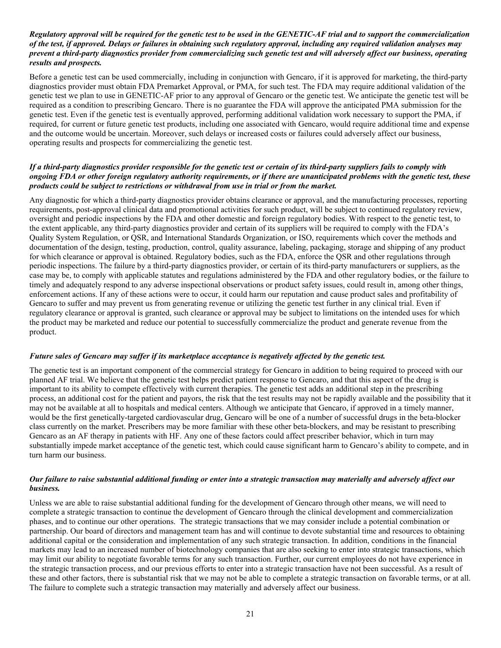#### Regulatory approval will be required for the genetic test to be used in the GENETIC-AF trial and to support the commercialization of the test, if approved. Delays or failures in obtaining such regulatory approval, including any required validation analyses may prevent a third-party diagnostics provider from commercializing such genetic test and will adversely affect our business, operating *results and prospects.*

Before a genetic test can be used commercially, including in conjunction with Gencaro, if it is approved for marketing, the third-party diagnostics provider must obtain FDA Premarket Approval, or PMA, for such test. The FDA may require additional validation of the genetic test we plan to use in GENETIC-AF prior to any approval of Gencaro or the genetic test. We anticipate the genetic test will be required as a condition to prescribing Gencaro. There is no guarantee the FDA will approve the anticipated PMA submission for the genetic test. Even if the genetic test is eventually approved, performing additional validation work necessary to support the PMA, if required, for current or future genetic test products, including one associated with Gencaro, would require additional time and expense and the outcome would be uncertain. Moreover, such delays or increased costs or failures could adversely affect our business, operating results and prospects for commercializing the genetic test.

#### If a third-party diagnostics provider responsible for the genetic test or certain of its third-party suppliers fails to comply with ongoing FDA or other foreign regulatory authority requirements, or if there are unanticipated problems with the genetic test, these *products could be subject to restrictions or withdrawal from use in trial or from the market.*

Any diagnostic for which a third-party diagnostics provider obtains clearance or approval, and the manufacturing processes, reporting requirements, post-approval clinical data and promotional activities for such product, will be subject to continued regulatory review, oversight and periodic inspections by the FDA and other domestic and foreign regulatory bodies. With respect to the genetic test, to the extent applicable, any third-party diagnostics provider and certain of its suppliers will be required to comply with the FDA's Quality System Regulation, or QSR, and International Standards Organization, or ISO, requirements which cover the methods and documentation of the design, testing, production, control, quality assurance, labeling, packaging, storage and shipping of any product for which clearance or approval is obtained. Regulatory bodies, such as the FDA, enforce the QSR and other regulations through periodic inspections. The failure by a third-party diagnostics provider, or certain of its third-party manufacturers or suppliers, as the case may be, to comply with applicable statutes and regulations administered by the FDA and other regulatory bodies, or the failure to timely and adequately respond to any adverse inspectional observations or product safety issues, could result in, among other things, enforcement actions. If any of these actions were to occur, it could harm our reputation and cause product sales and profitability of Gencaro to suffer and may prevent us from generating revenue or utilizing the genetic test further in any clinical trial. Even if regulatory clearance or approval is granted, such clearance or approval may be subject to limitations on the intended uses for which the product may be marketed and reduce our potential to successfully commercialize the product and generate revenue from the product.

#### Future sales of Gencaro may suffer if its marketplace acceptance is negatively affected by the genetic test.

The genetic test is an important component of the commercial strategy for Gencaro in addition to being required to proceed with our planned AF trial. We believe that the genetic test helps predict patient response to Gencaro, and that this aspect of the drug is important to its ability to compete effectively with current therapies. The genetic test adds an additional step in the prescribing process, an additional cost for the patient and payors, the risk that the test results may not be rapidly available and the possibility that it may not be available at all to hospitals and medical centers. Although we anticipate that Gencaro, if approved in a timely manner, would be the first genetically-targeted cardiovascular drug, Gencaro will be one of a number of successful drugs in the beta-blocker class currently on the market. Prescribers may be more familiar with these other beta-blockers, and may be resistant to prescribing Gencaro as an AF therapy in patients with HF. Any one of these factors could affect prescriber behavior, which in turn may substantially impede market acceptance of the genetic test, which could cause significant harm to Gencaro's ability to compete, and in turn harm our business.

# Our failure to raise substantial additional funding or enter into a strategic transaction may materially and adversely affect our *business.*

Unless we are able to raise substantial additional funding for the development of Gencaro through other means, we will need to complete a strategic transaction to continue the development of Gencaro through the clinical development and commercialization phases, and to continue our other operations. The strategic transactions that we may consider include a potential combination or partnership. Our board of directors and management team has and will continue to devote substantial time and resources to obtaining additional capital or the consideration and implementation of any such strategic transaction. In addition, conditions in the financial markets may lead to an increased number of biotechnology companies that are also seeking to enter into strategic transactions, which may limit our ability to negotiate favorable terms for any such transaction. Further, our current employees do not have experience in the strategic transaction process, and our previous efforts to enter into a strategic transaction have not been successful. As a result of these and other factors, there is substantial risk that we may not be able to complete a strategic transaction on favorable terms, or at all. The failure to complete such a strategic transaction may materially and adversely affect our business.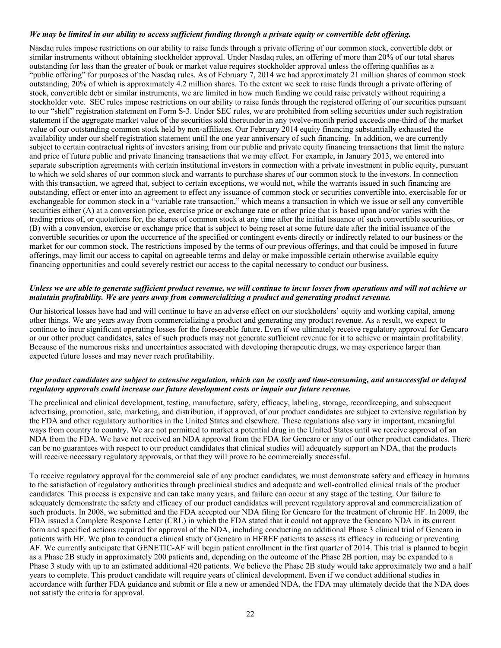#### We may be limited in our ability to access sufficient funding through a private equity or convertible debt offering.

Nasdaq rules impose restrictions on our ability to raise funds through a private offering of our common stock, convertible debt or similar instruments without obtaining stockholder approval. Under Nasdaq rules, an offering of more than 20% of our total shares outstanding for less than the greater of book or market value requires stockholder approval unless the offering qualifies as a "public offering" for purposes of the Nasdaq rules. As of February 7, 2014 we had approximately 21 million shares of common stock outstanding, 20% of which is approximately 4.2 million shares. To the extent we seek to raise funds through a private offering of stock, convertible debt or similar instruments, we are limited in how much funding we could raise privately without requiring a stockholder vote. SEC rules impose restrictions on our ability to raise funds through the registered offering of our securities pursuant to our "shelf" registration statement on Form S-3. Under SEC rules, we are prohibited from selling securities under such registration statement if the aggregate market value of the securities sold thereunder in any twelve-month period exceeds one-third of the market value of our outstanding common stock held by non-affiliates. Our February 2014 equity financing substantially exhausted the availability under our shelf registration statement until the one year anniversary of such financing. In addition, we are currently subject to certain contractual rights of investors arising from our public and private equity financing transactions that limit the nature and price of future public and private financing transactions that we may effect. For example, in January 2013, we entered into separate subscription agreements with certain institutional investors in connection with a private investment in public equity, pursuant to which we sold shares of our common stock and warrants to purchase shares of our common stock to the investors. In connection with this transaction, we agreed that, subject to certain exceptions, we would not, while the warrants issued in such financing are outstanding, effect or enter into an agreement to effect any issuance of common stock or securities convertible into, exercisable for or exchangeable for common stock in a "variable rate transaction," which means a transaction in which we issue or sell any convertible securities either (A) at a conversion price, exercise price or exchange rate or other price that is based upon and/or varies with the trading prices of, or quotations for, the shares of common stock at any time after the initial issuance of such convertible securities, or (B) with a conversion, exercise or exchange price that is subject to being reset at some future date after the initial issuance of the convertible securities or upon the occurrence of the specified or contingent events directly or indirectly related to our business or the market for our common stock. The restrictions imposed by the terms of our previous offerings, and that could be imposed in future offerings, may limit our access to capital on agreeable terms and delay or make impossible certain otherwise available equity financing opportunities and could severely restrict our access to the capital necessary to conduct our business.

#### Unless we are able to generate sufficient product revenue, we will continue to incur losses from operations and will not achieve or *maintain profitability. We are years away from commercializing a product and generating product revenue.*

Our historical losses have had and will continue to have an adverse effect on our stockholders' equity and working capital, among other things. We are years away from commercializing a product and generating any product revenue. As a result, we expect to continue to incur significant operating losses for the foreseeable future. Even if we ultimately receive regulatory approval for Gencaro or our other product candidates, sales of such products may not generate sufficient revenue for it to achieve or maintain profitability. Because of the numerous risks and uncertainties associated with developing therapeutic drugs, we may experience larger than expected future losses and may never reach profitability.

#### Our product candidates are subject to extensive regulation, which can be costly and time-consuming, and unsuccessful or delayed *regulatory approvals could increase our future development costs or impair our future revenue.*

The preclinical and clinical development, testing, manufacture, safety, efficacy, labeling, storage, recordkeeping, and subsequent advertising, promotion, sale, marketing, and distribution, if approved, of our product candidates are subject to extensive regulation by the FDA and other regulatory authorities in the United States and elsewhere. These regulations also vary in important, meaningful ways from country to country. We are not permitted to market a potential drug in the United States until we receive approval of an NDA from the FDA. We have not received an NDA approval from the FDA for Gencaro or any of our other product candidates. There can be no guarantees with respect to our product candidates that clinical studies will adequately support an NDA, that the products will receive necessary regulatory approvals, or that they will prove to be commercially successful.

To receive regulatory approval for the commercial sale of any product candidates, we must demonstrate safety and efficacy in humans to the satisfaction of regulatory authorities through preclinical studies and adequate and well-controlled clinical trials of the product candidates. This process is expensive and can take many years, and failure can occur at any stage of the testing. Our failure to adequately demonstrate the safety and efficacy of our product candidates will prevent regulatory approval and commercialization of such products. In 2008, we submitted and the FDA accepted our NDA filing for Gencaro for the treatment of chronic HF. In 2009, the FDA issued a Complete Response Letter (CRL) in which the FDA stated that it could not approve the Gencaro NDA in its current form and specified actions required for approval of the NDA, including conducting an additional Phase 3 clinical trial of Gencaro in patients with HF. We plan to conduct a clinical study of Gencaro in HFREF patients to assess its efficacy in reducing or preventing AF. We currently anticipate that GENETIC-AF will begin patient enrollment in the first quarter of 2014. This trial is planned to begin as a Phase 2B study in approximately 200 patients and, depending on the outcome of the Phase 2B portion, may be expanded to a Phase 3 study with up to an estimated additional 420 patients. We believe the Phase 2B study would take approximately two and a half years to complete. This product candidate will require years of clinical development. Even if we conduct additional studies in accordance with further FDA guidance and submit or file a new or amended NDA, the FDA may ultimately decide that the NDA does not satisfy the criteria for approval.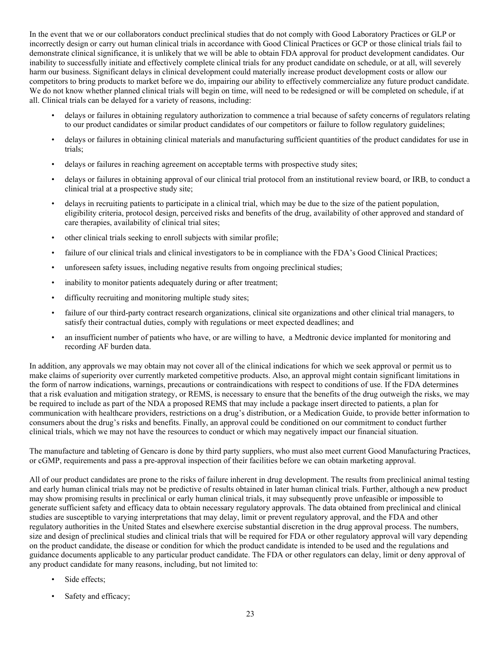In the event that we or our collaborators conduct preclinical studies that do not comply with Good Laboratory Practices or GLP or incorrectly design or carry out human clinical trials in accordance with Good Clinical Practices or GCP or those clinical trials fail to demonstrate clinical significance, it is unlikely that we will be able to obtain FDA approval for product development candidates. Our inability to successfully initiate and effectively complete clinical trials for any product candidate on schedule, or at all, will severely harm our business. Significant delays in clinical development could materially increase product development costs or allow our competitors to bring products to market before we do, impairing our ability to effectively commercialize any future product candidate. We do not know whether planned clinical trials will begin on time, will need to be redesigned or will be completed on schedule, if at all. Clinical trials can be delayed for a variety of reasons, including:

- delays or failures in obtaining regulatory authorization to commence a trial because of safety concerns of regulators relating to our product candidates or similar product candidates of our competitors or failure to follow regulatory guidelines;
- delays or failures in obtaining clinical materials and manufacturing sufficient quantities of the product candidates for use in trials;
- delays or failures in reaching agreement on acceptable terms with prospective study sites;
- delays or failures in obtaining approval of our clinical trial protocol from an institutional review board, or IRB, to conduct a clinical trial at a prospective study site;
- delays in recruiting patients to participate in a clinical trial, which may be due to the size of the patient population, eligibility criteria, protocol design, perceived risks and benefits of the drug, availability of other approved and standard of care therapies, availability of clinical trial sites;
- other clinical trials seeking to enroll subjects with similar profile;
- failure of our clinical trials and clinical investigators to be in compliance with the FDA's Good Clinical Practices;
- unforeseen safety issues, including negative results from ongoing preclinical studies;
- inability to monitor patients adequately during or after treatment;
- difficulty recruiting and monitoring multiple study sites;
- failure of our third-party contract research organizations, clinical site organizations and other clinical trial managers, to satisfy their contractual duties, comply with regulations or meet expected deadlines; and
- an insufficient number of patients who have, or are willing to have, a Medtronic device implanted for monitoring and recording AF burden data.

In addition, any approvals we may obtain may not cover all of the clinical indications for which we seek approval or permit us to make claims of superiority over currently marketed competitive products. Also, an approval might contain significant limitations in the form of narrow indications, warnings, precautions or contraindications with respect to conditions of use. If the FDA determines that a risk evaluation and mitigation strategy, or REMS, is necessary to ensure that the benefits of the drug outweigh the risks, we may be required to include as part of the NDA a proposed REMS that may include a package insert directed to patients, a plan for communication with healthcare providers, restrictions on a drug's distribution, or a Medication Guide, to provide better information to consumers about the drug's risks and benefits. Finally, an approval could be conditioned on our commitment to conduct further clinical trials, which we may not have the resources to conduct or which may negatively impact our financial situation.

The manufacture and tableting of Gencaro is done by third party suppliers, who must also meet current Good Manufacturing Practices, or cGMP, requirements and pass a pre-approval inspection of their facilities before we can obtain marketing approval.

All of our product candidates are prone to the risks of failure inherent in drug development. The results from preclinical animal testing and early human clinical trials may not be predictive of results obtained in later human clinical trials. Further, although a new product may show promising results in preclinical or early human clinical trials, it may subsequently prove unfeasible or impossible to generate sufficient safety and efficacy data to obtain necessary regulatory approvals. The data obtained from preclinical and clinical studies are susceptible to varying interpretations that may delay, limit or prevent regulatory approval, and the FDA and other regulatory authorities in the United States and elsewhere exercise substantial discretion in the drug approval process. The numbers, size and design of preclinical studies and clinical trials that will be required for FDA or other regulatory approval will vary depending on the product candidate, the disease or condition for which the product candidate is intended to be used and the regulations and guidance documents applicable to any particular product candidate. The FDA or other regulators can delay, limit or deny approval of any product candidate for many reasons, including, but not limited to:

- Side effects;
- Safety and efficacy;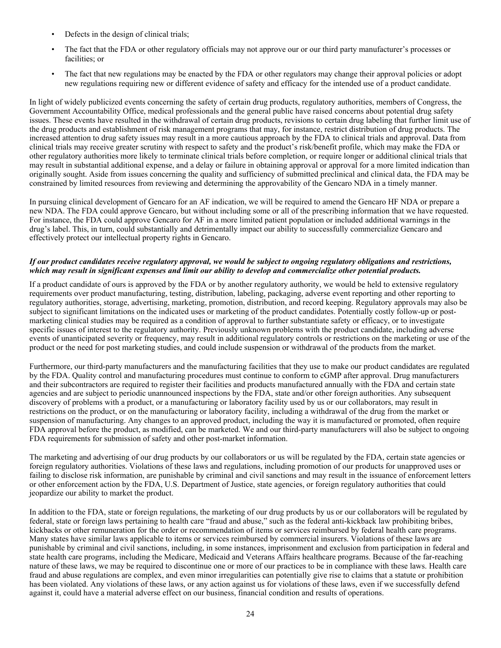- Defects in the design of clinical trials;
- The fact that the FDA or other regulatory officials may not approve our or our third party manufacturer's processes or facilities; or
- The fact that new regulations may be enacted by the FDA or other regulators may change their approval policies or adopt new regulations requiring new or different evidence of safety and efficacy for the intended use of a product candidate.

In light of widely publicized events concerning the safety of certain drug products, regulatory authorities, members of Congress, the Government Accountability Office, medical professionals and the general public have raised concerns about potential drug safety issues. These events have resulted in the withdrawal of certain drug products, revisions to certain drug labeling that further limit use of the drug products and establishment of risk management programs that may, for instance, restrict distribution of drug products. The increased attention to drug safety issues may result in a more cautious approach by the FDA to clinical trials and approval. Data from clinical trials may receive greater scrutiny with respect to safety and the product's risk/benefit profile, which may make the FDA or other regulatory authorities more likely to terminate clinical trials before completion, or require longer or additional clinical trials that may result in substantial additional expense, and a delay or failure in obtaining approval or approval for a more limited indication than originally sought. Aside from issues concerning the quality and sufficiency of submitted preclinical and clinical data, the FDA may be constrained by limited resources from reviewing and determining the approvability of the Gencaro NDA in a timely manner.

In pursuing clinical development of Gencaro for an AF indication, we will be required to amend the Gencaro HF NDA or prepare a new NDA. The FDA could approve Gencaro, but without including some or all of the prescribing information that we have requested. For instance, the FDA could approve Gencaro for AF in a more limited patient population or included additional warnings in the drug's label. This, in turn, could substantially and detrimentally impact our ability to successfully commercialize Gencaro and effectively protect our intellectual property rights in Gencaro.

#### If our product candidates receive regulatory approval, we would be subject to ongoing regulatory obligations and restrictions, which may result in significant expenses and limit our ability to develop and commercialize other potential products.

If a product candidate of ours is approved by the FDA or by another regulatory authority, we would be held to extensive regulatory requirements over product manufacturing, testing, distribution, labeling, packaging, adverse event reporting and other reporting to regulatory authorities, storage, advertising, marketing, promotion, distribution, and record keeping. Regulatory approvals may also be subject to significant limitations on the indicated uses or marketing of the product candidates. Potentially costly follow-up or postmarketing clinical studies may be required as a condition of approval to further substantiate safety or efficacy, or to investigate specific issues of interest to the regulatory authority. Previously unknown problems with the product candidate, including adverse events of unanticipated severity or frequency, may result in additional regulatory controls or restrictions on the marketing or use of the product or the need for post marketing studies, and could include suspension or withdrawal of the products from the market.

Furthermore, our third-party manufacturers and the manufacturing facilities that they use to make our product candidates are regulated by the FDA. Quality control and manufacturing procedures must continue to conform to cGMP after approval. Drug manufacturers and their subcontractors are required to register their facilities and products manufactured annually with the FDA and certain state agencies and are subject to periodic unannounced inspections by the FDA, state and/or other foreign authorities. Any subsequent discovery of problems with a product, or a manufacturing or laboratory facility used by us or our collaborators, may result in restrictions on the product, or on the manufacturing or laboratory facility, including a withdrawal of the drug from the market or suspension of manufacturing. Any changes to an approved product, including the way it is manufactured or promoted, often require FDA approval before the product, as modified, can be marketed. We and our third-party manufacturers will also be subject to ongoing FDA requirements for submission of safety and other post-market information.

The marketing and advertising of our drug products by our collaborators or us will be regulated by the FDA, certain state agencies or foreign regulatory authorities. Violations of these laws and regulations, including promotion of our products for unapproved uses or failing to disclose risk information, are punishable by criminal and civil sanctions and may result in the issuance of enforcement letters or other enforcement action by the FDA, U.S. Department of Justice, state agencies, or foreign regulatory authorities that could jeopardize our ability to market the product.

In addition to the FDA, state or foreign regulations, the marketing of our drug products by us or our collaborators will be regulated by federal, state or foreign laws pertaining to health care "fraud and abuse," such as the federal anti-kickback law prohibiting bribes, kickbacks or other remuneration for the order or recommendation of items or services reimbursed by federal health care programs. Many states have similar laws applicable to items or services reimbursed by commercial insurers. Violations of these laws are punishable by criminal and civil sanctions, including, in some instances, imprisonment and exclusion from participation in federal and state health care programs, including the Medicare, Medicaid and Veterans Affairs healthcare programs. Because of the far-reaching nature of these laws, we may be required to discontinue one or more of our practices to be in compliance with these laws. Health care fraud and abuse regulations are complex, and even minor irregularities can potentially give rise to claims that a statute or prohibition has been violated. Any violations of these laws, or any action against us for violations of these laws, even if we successfully defend against it, could have a material adverse effect on our business, financial condition and results of operations.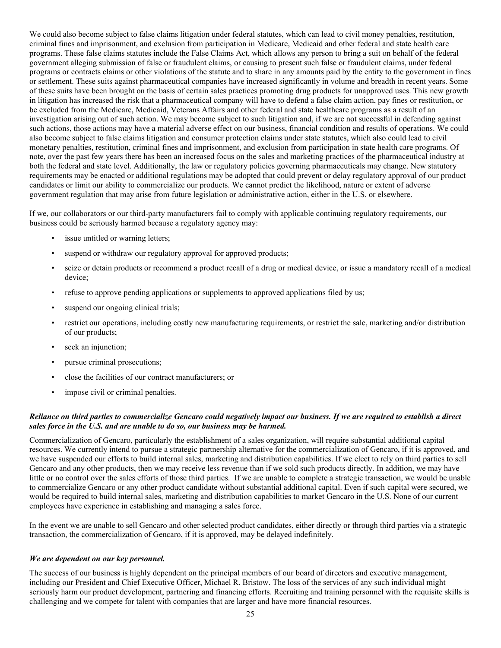We could also become subject to false claims litigation under federal statutes, which can lead to civil money penalties, restitution, criminal fines and imprisonment, and exclusion from participation in Medicare, Medicaid and other federal and state health care programs. These false claims statutes include the False Claims Act, which allows any person to bring a suit on behalf of the federal government alleging submission of false or fraudulent claims, or causing to present such false or fraudulent claims, under federal programs or contracts claims or other violations of the statute and to share in any amounts paid by the entity to the government in fines or settlement. These suits against pharmaceutical companies have increased significantly in volume and breadth in recent years. Some of these suits have been brought on the basis of certain sales practices promoting drug products for unapproved uses. This new growth in litigation has increased the risk that a pharmaceutical company will have to defend a false claim action, pay fines or restitution, or be excluded from the Medicare, Medicaid, Veterans Affairs and other federal and state healthcare programs as a result of an investigation arising out of such action. We may become subject to such litigation and, if we are not successful in defending against such actions, those actions may have a material adverse effect on our business, financial condition and results of operations. We could also become subject to false claims litigation and consumer protection claims under state statutes, which also could lead to civil monetary penalties, restitution, criminal fines and imprisonment, and exclusion from participation in state health care programs. Of note, over the past few years there has been an increased focus on the sales and marketing practices of the pharmaceutical industry at both the federal and state level. Additionally, the law or regulatory policies governing pharmaceuticals may change. New statutory requirements may be enacted or additional regulations may be adopted that could prevent or delay regulatory approval of our product candidates or limit our ability to commercialize our products. We cannot predict the likelihood, nature or extent of adverse government regulation that may arise from future legislation or administrative action, either in the U.S. or elsewhere.

If we, our collaborators or our third-party manufacturers fail to comply with applicable continuing regulatory requirements, our business could be seriously harmed because a regulatory agency may:

- issue untitled or warning letters;
- suspend or withdraw our regulatory approval for approved products;
- seize or detain products or recommend a product recall of a drug or medical device, or issue a mandatory recall of a medical device;
- refuse to approve pending applications or supplements to approved applications filed by us;
- suspend our ongoing clinical trials;
- restrict our operations, including costly new manufacturing requirements, or restrict the sale, marketing and/or distribution of our products;
- seek an injunction;
- pursue criminal prosecutions;
- close the facilities of our contract manufacturers; or
- impose civil or criminal penalties.

# Reliance on third parties to commercialize Gencaro could negatively impact our business. If we are required to establish a direct *sales force in the U.S. and are unable to do so, our business may be harmed.*

Commercialization of Gencaro, particularly the establishment of a sales organization, will require substantial additional capital resources. We currently intend to pursue a strategic partnership alternative for the commercialization of Gencaro, if it is approved, and we have suspended our efforts to build internal sales, marketing and distribution capabilities. If we elect to rely on third parties to sell Gencaro and any other products, then we may receive less revenue than if we sold such products directly. In addition, we may have little or no control over the sales efforts of those third parties. If we are unable to complete a strategic transaction, we would be unable to commercialize Gencaro or any other product candidate without substantial additional capital. Even if such capital were secured, we would be required to build internal sales, marketing and distribution capabilities to market Gencaro in the U.S. None of our current employees have experience in establishing and managing a sales force.

In the event we are unable to sell Gencaro and other selected product candidates, either directly or through third parties via a strategic transaction, the commercialization of Gencaro, if it is approved, may be delayed indefinitely.

#### *We are dependent on our key personnel.*

The success of our business is highly dependent on the principal members of our board of directors and executive management, including our President and Chief Executive Officer, Michael R. Bristow. The loss of the services of any such individual might seriously harm our product development, partnering and financing efforts. Recruiting and training personnel with the requisite skills is challenging and we compete for talent with companies that are larger and have more financial resources.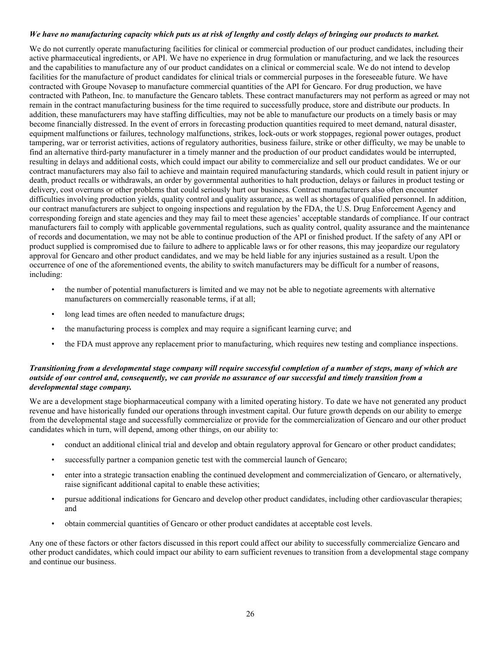# We have no manufacturing capacity which puts us at risk of lengthy and costly delays of bringing our products to market.

We do not currently operate manufacturing facilities for clinical or commercial production of our product candidates, including their active pharmaceutical ingredients, or API. We have no experience in drug formulation or manufacturing, and we lack the resources and the capabilities to manufacture any of our product candidates on a clinical or commercial scale. We do not intend to develop facilities for the manufacture of product candidates for clinical trials or commercial purposes in the foreseeable future. We have contracted with Groupe Novasep to manufacture commercial quantities of the API for Gencaro. For drug production, we have contracted with Patheon, Inc. to manufacture the Gencaro tablets. These contract manufacturers may not perform as agreed or may not remain in the contract manufacturing business for the time required to successfully produce, store and distribute our products. In addition, these manufacturers may have staffing difficulties, may not be able to manufacture our products on a timely basis or may become financially distressed. In the event of errors in forecasting production quantities required to meet demand, natural disaster, equipment malfunctions or failures, technology malfunctions, strikes, lock-outs or work stoppages, regional power outages, product tampering, war or terrorist activities, actions of regulatory authorities, business failure, strike or other difficulty, we may be unable to find an alternative third-party manufacturer in a timely manner and the production of our product candidates would be interrupted, resulting in delays and additional costs, which could impact our ability to commercialize and sell our product candidates. We or our contract manufacturers may also fail to achieve and maintain required manufacturing standards, which could result in patient injury or death, product recalls or withdrawals, an order by governmental authorities to halt production, delays or failures in product testing or delivery, cost overruns or other problems that could seriously hurt our business. Contract manufacturers also often encounter difficulties involving production yields, quality control and quality assurance, as well as shortages of qualified personnel. In addition, our contract manufacturers are subject to ongoing inspections and regulation by the FDA, the U.S. Drug Enforcement Agency and corresponding foreign and state agencies and they may fail to meet these agencies' acceptable standards of compliance. If our contract manufacturers fail to comply with applicable governmental regulations, such as quality control, quality assurance and the maintenance of records and documentation, we may not be able to continue production of the API or finished product. If the safety of any API or product supplied is compromised due to failure to adhere to applicable laws or for other reasons, this may jeopardize our regulatory approval for Gencaro and other product candidates, and we may be held liable for any injuries sustained as a result. Upon the occurrence of one of the aforementioned events, the ability to switch manufacturers may be difficult for a number of reasons, including:

- the number of potential manufacturers is limited and we may not be able to negotiate agreements with alternative manufacturers on commercially reasonable terms, if at all;
- long lead times are often needed to manufacture drugs;
- the manufacturing process is complex and may require a significant learning curve; and
- the FDA must approve any replacement prior to manufacturing, which requires new testing and compliance inspections.

#### Transitioning from a developmental stage company will require successful completion of a number of steps, many of which are outside of our control and, consequently, we can provide no assurance of our successful and timely transition from a *developmental stage company.*

We are a development stage biopharmaceutical company with a limited operating history. To date we have not generated any product revenue and have historically funded our operations through investment capital. Our future growth depends on our ability to emerge from the developmental stage and successfully commercialize or provide for the commercialization of Gencaro and our other product candidates which in turn, will depend, among other things, on our ability to:

- conduct an additional clinical trial and develop and obtain regulatory approval for Gencaro or other product candidates;
- successfully partner a companion genetic test with the commercial launch of Gencaro;
- enter into a strategic transaction enabling the continued development and commercialization of Gencaro, or alternatively, raise significant additional capital to enable these activities;
- pursue additional indications for Gencaro and develop other product candidates, including other cardiovascular therapies; and
- obtain commercial quantities of Gencaro or other product candidates at acceptable cost levels.

Any one of these factors or other factors discussed in this report could affect our ability to successfully commercialize Gencaro and other product candidates, which could impact our ability to earn sufficient revenues to transition from a developmental stage company and continue our business.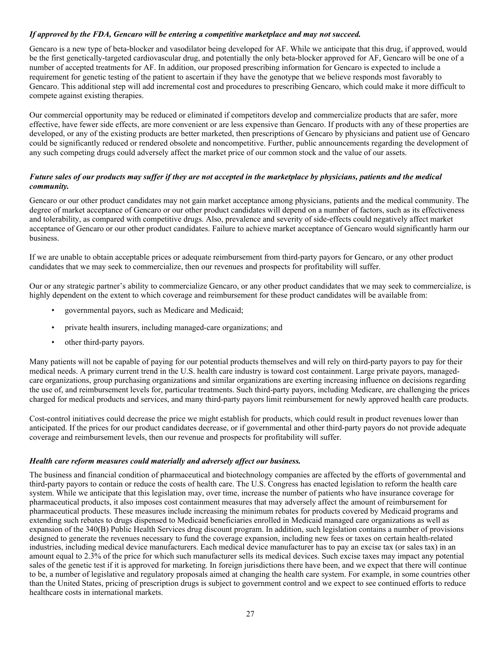# *If approved by the FDA, Gencaro will be entering a competitive marketplace and may not succeed.*

Gencaro is a new type of beta-blocker and vasodilator being developed for AF. While we anticipate that this drug, if approved, would be the first genetically-targeted cardiovascular drug, and potentially the only beta-blocker approved for AF, Gencaro will be one of a number of accepted treatments for AF. In addition, our proposed prescribing information for Gencaro is expected to include a requirement for genetic testing of the patient to ascertain if they have the genotype that we believe responds most favorably to Gencaro. This additional step will add incremental cost and procedures to prescribing Gencaro, which could make it more difficult to compete against existing therapies.

Our commercial opportunity may be reduced or eliminated if competitors develop and commercialize products that are safer, more effective, have fewer side effects, are more convenient or are less expensive than Gencaro. If products with any of these properties are developed, or any of the existing products are better marketed, then prescriptions of Gencaro by physicians and patient use of Gencaro could be significantly reduced or rendered obsolete and noncompetitive. Further, public announcements regarding the development of any such competing drugs could adversely affect the market price of our common stock and the value of our assets.

# Future sales of our products may suffer if they are not accepted in the marketplace by physicians, patients and the medical *community.*

Gencaro or our other product candidates may not gain market acceptance among physicians, patients and the medical community. The degree of market acceptance of Gencaro or our other product candidates will depend on a number of factors, such as its effectiveness and tolerability, as compared with competitive drugs. Also, prevalence and severity of side-effects could negatively affect market acceptance of Gencaro or our other product candidates. Failure to achieve market acceptance of Gencaro would significantly harm our business.

If we are unable to obtain acceptable prices or adequate reimbursement from third-party payors for Gencaro, or any other product candidates that we may seek to commercialize, then our revenues and prospects for profitability will suffer.

Our or any strategic partner's ability to commercialize Gencaro, or any other product candidates that we may seek to commercialize, is highly dependent on the extent to which coverage and reimbursement for these product candidates will be available from:

- governmental payors, such as Medicare and Medicaid;
- private health insurers, including managed-care organizations; and
- other third-party payors.

Many patients will not be capable of paying for our potential products themselves and will rely on third-party payors to pay for their medical needs. A primary current trend in the U.S. health care industry is toward cost containment. Large private payors, managedcare organizations, group purchasing organizations and similar organizations are exerting increasing influence on decisions regarding the use of, and reimbursement levels for, particular treatments. Such third-party payors, including Medicare, are challenging the prices charged for medical products and services, and many third-party payors limit reimbursement for newly approved health care products.

Cost-control initiatives could decrease the price we might establish for products, which could result in product revenues lower than anticipated. If the prices for our product candidates decrease, or if governmental and other third-party payors do not provide adequate coverage and reimbursement levels, then our revenue and prospects for profitability will suffer.

# *Health care reform measures could materially and adversely affect our business.*

The business and financial condition of pharmaceutical and biotechnology companies are affected by the efforts of governmental and third-party payors to contain or reduce the costs of health care. The U.S. Congress has enacted legislation to reform the health care system. While we anticipate that this legislation may, over time, increase the number of patients who have insurance coverage for pharmaceutical products, it also imposes cost containment measures that may adversely affect the amount of reimbursement for pharmaceutical products. These measures include increasing the minimum rebates for products covered by Medicaid programs and extending such rebates to drugs dispensed to Medicaid beneficiaries enrolled in Medicaid managed care organizations as well as expansion of the 340(B) Public Health Services drug discount program. In addition, such legislation contains a number of provisions designed to generate the revenues necessary to fund the coverage expansion, including new fees or taxes on certain health-related industries, including medical device manufacturers. Each medical device manufacturer has to pay an excise tax (or sales tax) in an amount equal to 2.3% of the price for which such manufacturer sells its medical devices. Such excise taxes may impact any potential sales of the genetic test if it is approved for marketing. In foreign jurisdictions there have been, and we expect that there will continue to be, a number of legislative and regulatory proposals aimed at changing the health care system. For example, in some countries other than the United States, pricing of prescription drugs is subject to government control and we expect to see continued efforts to reduce healthcare costs in international markets.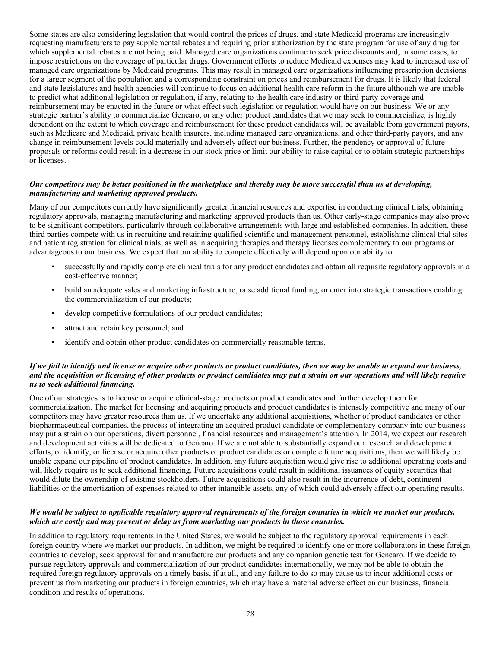Some states are also considering legislation that would control the prices of drugs, and state Medicaid programs are increasingly requesting manufacturers to pay supplemental rebates and requiring prior authorization by the state program for use of any drug for which supplemental rebates are not being paid. Managed care organizations continue to seek price discounts and, in some cases, to impose restrictions on the coverage of particular drugs. Government efforts to reduce Medicaid expenses may lead to increased use of managed care organizations by Medicaid programs. This may result in managed care organizations influencing prescription decisions for a larger segment of the population and a corresponding constraint on prices and reimbursement for drugs. It is likely that federal and state legislatures and health agencies will continue to focus on additional health care reform in the future although we are unable to predict what additional legislation or regulation, if any, relating to the health care industry or third-party coverage and reimbursement may be enacted in the future or what effect such legislation or regulation would have on our business. We or any strategic partner's ability to commercialize Gencaro, or any other product candidates that we may seek to commercialize, is highly dependent on the extent to which coverage and reimbursement for these product candidates will be available from government payors, such as Medicare and Medicaid, private health insurers, including managed care organizations, and other third-party payors, and any change in reimbursement levels could materially and adversely affect our business. Further, the pendency or approval of future proposals or reforms could result in a decrease in our stock price or limit our ability to raise capital or to obtain strategic partnerships or licenses.

#### Our competitors may be better positioned in the marketplace and thereby may be more successful than us at developing, *manufacturing and marketing approved products.*

Many of our competitors currently have significantly greater financial resources and expertise in conducting clinical trials, obtaining regulatory approvals, managing manufacturing and marketing approved products than us. Other early-stage companies may also prove to be significant competitors, particularly through collaborative arrangements with large and established companies. In addition, these third parties compete with us in recruiting and retaining qualified scientific and management personnel, establishing clinical trial sites and patient registration for clinical trials, as well as in acquiring therapies and therapy licenses complementary to our programs or advantageous to our business. We expect that our ability to compete effectively will depend upon our ability to:

- successfully and rapidly complete clinical trials for any product candidates and obtain all requisite regulatory approvals in a cost-effective manner;
- build an adequate sales and marketing infrastructure, raise additional funding, or enter into strategic transactions enabling the commercialization of our products;
- develop competitive formulations of our product candidates;
- attract and retain key personnel; and
- identify and obtain other product candidates on commercially reasonable terms.

#### If we fail to identify and license or acquire other products or product candidates, then we may be unable to expand our business, and the acquisition or licensing of other products or product candidates may put a strain on our operations and will likely require *us to seek additional financing.*

One of our strategies is to license or acquire clinical-stage products or product candidates and further develop them for commercialization. The market for licensing and acquiring products and product candidates is intensely competitive and many of our competitors may have greater resources than us. If we undertake any additional acquisitions, whether of product candidates or other biopharmaceutical companies, the process of integrating an acquired product candidate or complementary company into our business may put a strain on our operations, divert personnel, financial resources and management's attention. In 2014, we expect our research and development activities will be dedicated to Gencaro. If we are not able to substantially expand our research and development efforts, or identify, or license or acquire other products or product candidates or complete future acquisitions, then we will likely be unable expand our pipeline of product candidates. In addition, any future acquisition would give rise to additional operating costs and will likely require us to seek additional financing. Future acquisitions could result in additional issuances of equity securities that would dilute the ownership of existing stockholders. Future acquisitions could also result in the incurrence of debt, contingent liabilities or the amortization of expenses related to other intangible assets, any of which could adversely affect our operating results.

#### We would be subject to applicable regulatory approval requirements of the foreign countries in which we market our products, *which are costly and may prevent or delay us from marketing our products in those countries.*

In addition to regulatory requirements in the United States, we would be subject to the regulatory approval requirements in each foreign country where we market our products. In addition, we might be required to identify one or more collaborators in these foreign countries to develop, seek approval for and manufacture our products and any companion genetic test for Gencaro. If we decide to pursue regulatory approvals and commercialization of our product candidates internationally, we may not be able to obtain the required foreign regulatory approvals on a timely basis, if at all, and any failure to do so may cause us to incur additional costs or prevent us from marketing our products in foreign countries, which may have a material adverse effect on our business, financial condition and results of operations.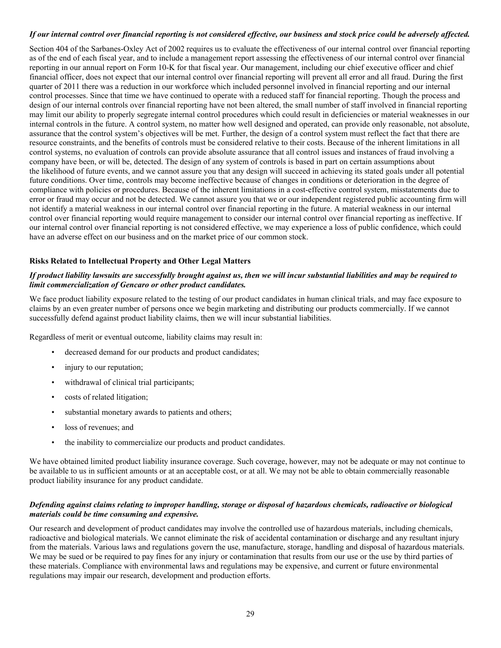# If our internal control over financial reporting is not considered effective, our business and stock price could be adversely affected.

Section 404 of the Sarbanes-Oxley Act of 2002 requires us to evaluate the effectiveness of our internal control over financial reporting as of the end of each fiscal year, and to include a management report assessing the effectiveness of our internal control over financial reporting in our annual report on Form 10-K for that fiscal year. Our management, including our chief executive officer and chief financial officer, does not expect that our internal control over financial reporting will prevent all error and all fraud. During the first quarter of 2011 there was a reduction in our workforce which included personnel involved in financial reporting and our internal control processes. Since that time we have continued to operate with a reduced staff for financial reporting. Though the process and design of our internal controls over financial reporting have not been altered, the small number of staff involved in financial reporting may limit our ability to properly segregate internal control procedures which could result in deficiencies or material weaknesses in our internal controls in the future. A control system, no matter how well designed and operated, can provide only reasonable, not absolute, assurance that the control system's objectives will be met. Further, the design of a control system must reflect the fact that there are resource constraints, and the benefits of controls must be considered relative to their costs. Because of the inherent limitations in all control systems, no evaluation of controls can provide absolute assurance that all control issues and instances of fraud involving a company have been, or will be, detected. The design of any system of controls is based in part on certain assumptions about the likelihood of future events, and we cannot assure you that any design will succeed in achieving its stated goals under all potential future conditions. Over time, controls may become ineffective because of changes in conditions or deterioration in the degree of compliance with policies or procedures. Because of the inherent limitations in a cost-effective control system, misstatements due to error or fraud may occur and not be detected. We cannot assure you that we or our independent registered public accounting firm will not identify a material weakness in our internal control over financial reporting in the future. A material weakness in our internal control over financial reporting would require management to consider our internal control over financial reporting as ineffective. If our internal control over financial reporting is not considered effective, we may experience a loss of public confidence, which could have an adverse effect on our business and on the market price of our common stock.

# **Risks Related to Intellectual Property and Other Legal Matters**

# If product liability lawsuits are successfully brought against us, then we will incur substantial liabilities and may be required to *limit commercialization of Gencaro or other product candidates.*

We face product liability exposure related to the testing of our product candidates in human clinical trials, and may face exposure to claims by an even greater number of persons once we begin marketing and distributing our products commercially. If we cannot successfully defend against product liability claims, then we will incur substantial liabilities.

Regardless of merit or eventual outcome, liability claims may result in:

- decreased demand for our products and product candidates;
- injury to our reputation;
- withdrawal of clinical trial participants;
- costs of related litigation;
- substantial monetary awards to patients and others;
- loss of revenues; and
- the inability to commercialize our products and product candidates.

We have obtained limited product liability insurance coverage. Such coverage, however, may not be adequate or may not continue to be available to us in sufficient amounts or at an acceptable cost, or at all. We may not be able to obtain commercially reasonable product liability insurance for any product candidate.

#### Defending against claims relating to improper handling, storage or disposal of hazardous chemicals, radioactive or biological *materials could be time consuming and expensive.*

Our research and development of product candidates may involve the controlled use of hazardous materials, including chemicals, radioactive and biological materials. We cannot eliminate the risk of accidental contamination or discharge and any resultant injury from the materials. Various laws and regulations govern the use, manufacture, storage, handling and disposal of hazardous materials. We may be sued or be required to pay fines for any injury or contamination that results from our use or the use by third parties of these materials. Compliance with environmental laws and regulations may be expensive, and current or future environmental regulations may impair our research, development and production efforts.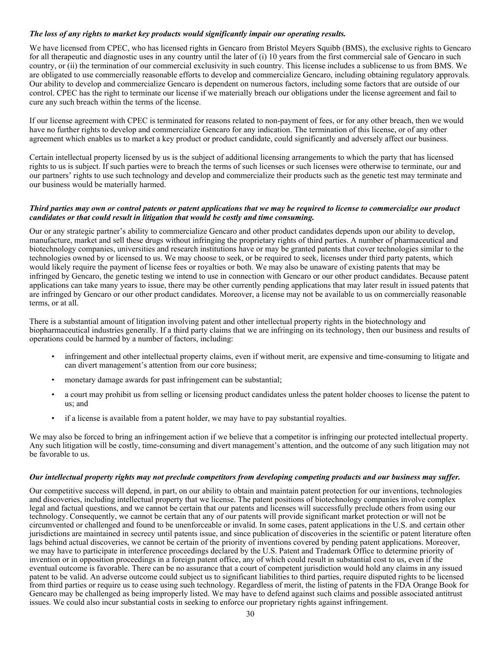# *The loss of any rights to market key products would significantly impair our operating results.*

We have licensed from CPEC, who has licensed rights in Gencaro from Bristol Meyers Squibb (BMS), the exclusive rights to Gencaro for all therapeutic and diagnostic uses in any country until the later of (i) 10 years from the first commercial sale of Gencaro in such country, or (ii) the termination of our commercial exclusivity in such country. This license includes a sublicense to us from BMS. We are obligated to use commercially reasonable efforts to develop and commercialize Gencaro, including obtaining regulatory approvals. Our ability to develop and commercialize Gencaro is dependent on numerous factors, including some factors that are outside of our control. CPEC has the right to terminate our license if we materially breach our obligations under the license agreement and fail to cure any such breach within the terms of the license.

If our license agreement with CPEC is terminated for reasons related to non-payment of fees, or for any other breach, then we would have no further rights to develop and commercialize Gencaro for any indication. The termination of this license, or of any other agreement which enables us to market a key product or product candidate, could significantly and adversely affect our business.

Certain intellectual property licensed by us is the subject of additional licensing arrangements to which the party that has licensed rights to us is subject. If such parties were to breach the terms of such licenses or such licenses were otherwise to terminate, our and our partners' rights to use such technology and develop and commercialize their products such as the genetic test may terminate and our business would be materially harmed.

#### Third parties may own or control patents or patent applications that we may be required to license to commercialize our product *candidates or that could result in litigation that would be costly and time consuming.*

Our or any strategic partner's ability to commercialize Gencaro and other product candidates depends upon our ability to develop, manufacture, market and sell these drugs without infringing the proprietary rights of third parties. A number of pharmaceutical and biotechnology companies, universities and research institutions have or may be granted patents that cover technologies similar to the technologies owned by or licensed to us. We may choose to seek, or be required to seek, licenses under third party patents, which would likely require the payment of license fees or royalties or both. We may also be unaware of existing patents that may be infringed by Gencaro, the genetic testing we intend to use in connection with Gencaro or our other product candidates. Because patent applications can take many years to issue, there may be other currently pending applications that may later result in issued patents that are infringed by Gencaro or our other product candidates. Moreover, a license may not be available to us on commercially reasonable terms, or at all.

There is a substantial amount of litigation involving patent and other intellectual property rights in the biotechnology and biopharmaceutical industries generally. If a third party claims that we are infringing on its technology, then our business and results of operations could be harmed by a number of factors, including:

- infringement and other intellectual property claims, even if without merit, are expensive and time-consuming to litigate and can divert management's attention from our core business;
- monetary damage awards for past infringement can be substantial;
- a court may prohibit us from selling or licensing product candidates unless the patent holder chooses to license the patent to us; and
- if a license is available from a patent holder, we may have to pay substantial royalties.

We may also be forced to bring an infringement action if we believe that a competitor is infringing our protected intellectual property. Any such litigation will be costly, time-consuming and divert management's attention, and the outcome of any such litigation may not be favorable to us.

#### Our intellectual property rights may not preclude competitors from developing competing products and our business may suffer.

Our competitive success will depend, in part, on our ability to obtain and maintain patent protection for our inventions, technologies and discoveries, including intellectual property that we license. The patent positions of biotechnology companies involve complex legal and factual questions, and we cannot be certain that our patents and licenses will successfully preclude others from using our technology. Consequently, we cannot be certain that any of our patents will provide significant market protection or will not be circumvented or challenged and found to be unenforceable or invalid. In some cases, patent applications in the U.S. and certain other jurisdictions are maintained in secrecy until patents issue, and since publication of discoveries in the scientific or patent literature often lags behind actual discoveries, we cannot be certain of the priority of inventions covered by pending patent applications. Moreover, we may have to participate in interference proceedings declared by the U.S. Patent and Trademark Office to determine priority of invention or in opposition proceedings in a foreign patent office, any of which could result in substantial cost to us, even if the eventual outcome is favorable. There can be no assurance that a court of competent jurisdiction would hold any claims in any issued patent to be valid. An adverse outcome could subject us to significant liabilities to third parties, require disputed rights to be licensed from third parties or require us to cease using such technology. Regardless of merit, the listing of patents in the FDA Orange Book for Gencaro may be challenged as being improperly listed. We may have to defend against such claims and possible associated antitrust issues. We could also incur substantial costs in seeking to enforce our proprietary rights against infringement.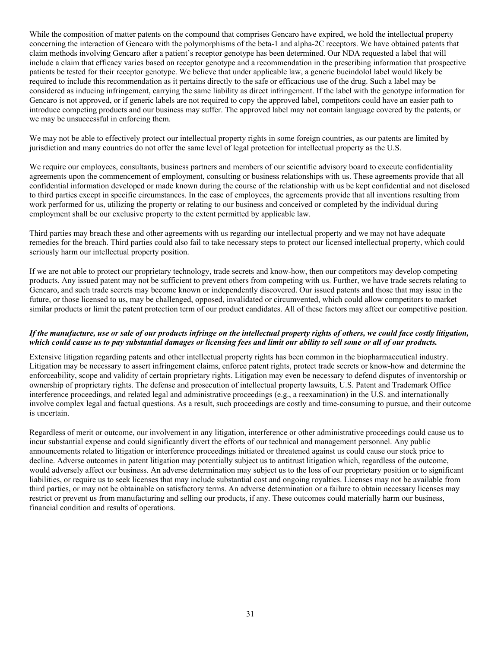While the composition of matter patents on the compound that comprises Gencaro have expired, we hold the intellectual property concerning the interaction of Gencaro with the polymorphisms of the beta-1 and alpha-2C receptors. We have obtained patents that claim methods involving Gencaro after a patient's receptor genotype has been determined. Our NDA requested a label that will include a claim that efficacy varies based on receptor genotype and a recommendation in the prescribing information that prospective patients be tested for their receptor genotype. We believe that under applicable law, a generic bucindolol label would likely be required to include this recommendation as it pertains directly to the safe or efficacious use of the drug. Such a label may be considered as inducing infringement, carrying the same liability as direct infringement. If the label with the genotype information for Gencaro is not approved, or if generic labels are not required to copy the approved label, competitors could have an easier path to introduce competing products and our business may suffer. The approved label may not contain language covered by the patents, or we may be unsuccessful in enforcing them.

We may not be able to effectively protect our intellectual property rights in some foreign countries, as our patents are limited by jurisdiction and many countries do not offer the same level of legal protection for intellectual property as the U.S.

We require our employees, consultants, business partners and members of our scientific advisory board to execute confidentiality agreements upon the commencement of employment, consulting or business relationships with us. These agreements provide that all confidential information developed or made known during the course of the relationship with us be kept confidential and not disclosed to third parties except in specific circumstances. In the case of employees, the agreements provide that all inventions resulting from work performed for us, utilizing the property or relating to our business and conceived or completed by the individual during employment shall be our exclusive property to the extent permitted by applicable law.

Third parties may breach these and other agreements with us regarding our intellectual property and we may not have adequate remedies for the breach. Third parties could also fail to take necessary steps to protect our licensed intellectual property, which could seriously harm our intellectual property position.

If we are not able to protect our proprietary technology, trade secrets and know-how, then our competitors may develop competing products. Any issued patent may not be sufficient to prevent others from competing with us. Further, we have trade secrets relating to Gencaro, and such trade secrets may become known or independently discovered. Our issued patents and those that may issue in the future, or those licensed to us, may be challenged, opposed, invalidated or circumvented, which could allow competitors to market similar products or limit the patent protection term of our product candidates. All of these factors may affect our competitive position.

#### If the manufacture, use or sale of our products infringe on the intellectual property rights of others, we could face costly litigation, which could cause us to pay substantial damages or licensing fees and limit our ability to sell some or all of our products.

Extensive litigation regarding patents and other intellectual property rights has been common in the biopharmaceutical industry. Litigation may be necessary to assert infringement claims, enforce patent rights, protect trade secrets or know-how and determine the enforceability, scope and validity of certain proprietary rights. Litigation may even be necessary to defend disputes of inventorship or ownership of proprietary rights. The defense and prosecution of intellectual property lawsuits, U.S. Patent and Trademark Office interference proceedings, and related legal and administrative proceedings (e.g., a reexamination) in the U.S. and internationally involve complex legal and factual questions. As a result, such proceedings are costly and time-consuming to pursue, and their outcome is uncertain.

Regardless of merit or outcome, our involvement in any litigation, interference or other administrative proceedings could cause us to incur substantial expense and could significantly divert the efforts of our technical and management personnel. Any public announcements related to litigation or interference proceedings initiated or threatened against us could cause our stock price to decline. Adverse outcomes in patent litigation may potentially subject us to antitrust litigation which, regardless of the outcome, would adversely affect our business. An adverse determination may subject us to the loss of our proprietary position or to significant liabilities, or require us to seek licenses that may include substantial cost and ongoing royalties. Licenses may not be available from third parties, or may not be obtainable on satisfactory terms. An adverse determination or a failure to obtain necessary licenses may restrict or prevent us from manufacturing and selling our products, if any. These outcomes could materially harm our business, financial condition and results of operations.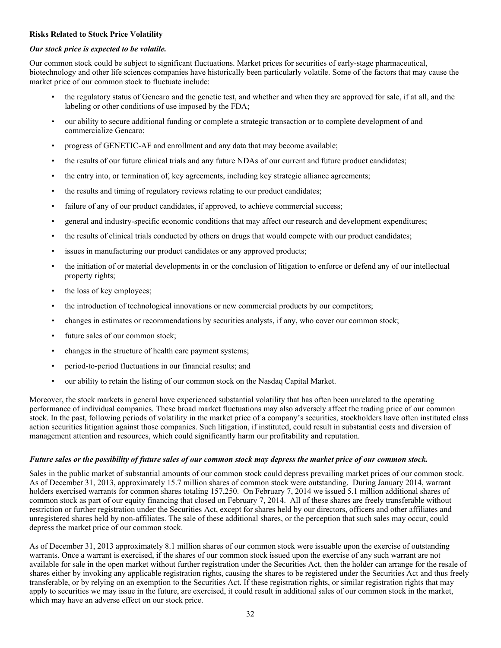# **Risks Related to Stock Price Volatility**

#### *Our stock price is expected to be volatile.*

Our common stock could be subject to significant fluctuations. Market prices for securities of early-stage pharmaceutical, biotechnology and other life sciences companies have historically been particularly volatile. Some of the factors that may cause the market price of our common stock to fluctuate include:

- the regulatory status of Gencaro and the genetic test, and whether and when they are approved for sale, if at all, and the labeling or other conditions of use imposed by the FDA;
- our ability to secure additional funding or complete a strategic transaction or to complete development of and commercialize Gencaro;
- progress of GENETIC-AF and enrollment and any data that may become available;
- the results of our future clinical trials and any future NDAs of our current and future product candidates;
- the entry into, or termination of, key agreements, including key strategic alliance agreements;
- the results and timing of regulatory reviews relating to our product candidates;
- failure of any of our product candidates, if approved, to achieve commercial success;
- general and industry-specific economic conditions that may affect our research and development expenditures;
- the results of clinical trials conducted by others on drugs that would compete with our product candidates;
- issues in manufacturing our product candidates or any approved products;
- the initiation of or material developments in or the conclusion of litigation to enforce or defend any of our intellectual property rights;
- the loss of key employees;
- the introduction of technological innovations or new commercial products by our competitors;
- changes in estimates or recommendations by securities analysts, if any, who cover our common stock;
- future sales of our common stock;
- changes in the structure of health care payment systems;
- period-to-period fluctuations in our financial results; and
- our ability to retain the listing of our common stock on the Nasdaq Capital Market.

Moreover, the stock markets in general have experienced substantial volatility that has often been unrelated to the operating performance of individual companies. These broad market fluctuations may also adversely affect the trading price of our common stock. In the past, following periods of volatility in the market price of a company's securities, stockholders have often instituted class action securities litigation against those companies. Such litigation, if instituted, could result in substantial costs and diversion of management attention and resources, which could significantly harm our profitability and reputation.

#### Future sales or the possibility of future sales of our common stock may depress the market price of our common stock.

Sales in the public market of substantial amounts of our common stock could depress prevailing market prices of our common stock. As of December 31, 2013, approximately 15.7 million shares of common stock were outstanding. During January 2014, warrant holders exercised warrants for common shares totaling 157,250. On February 7, 2014 we issued 5.1 million additional shares of common stock as part of our equity financing that closed on February 7, 2014. All of these shares are freely transferable without restriction or further registration under the Securities Act, except for shares held by our directors, officers and other affiliates and unregistered shares held by non-affiliates. The sale of these additional shares, or the perception that such sales may occur, could depress the market price of our common stock.

As of December 31, 2013 approximately 8.1 million shares of our common stock were issuable upon the exercise of outstanding warrants. Once a warrant is exercised, if the shares of our common stock issued upon the exercise of any such warrant are not available for sale in the open market without further registration under the Securities Act, then the holder can arrange for the resale of shares either by invoking any applicable registration rights, causing the shares to be registered under the Securities Act and thus freely transferable, or by relying on an exemption to the Securities Act. If these registration rights, or similar registration rights that may apply to securities we may issue in the future, are exercised, it could result in additional sales of our common stock in the market, which may have an adverse effect on our stock price.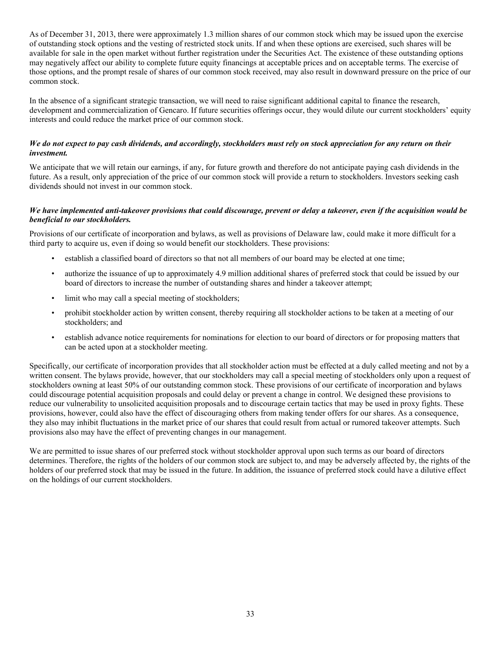As of December 31, 2013, there were approximately 1.3 million shares of our common stock which may be issued upon the exercise of outstanding stock options and the vesting of restricted stock units. If and when these options are exercised, such shares will be available for sale in the open market without further registration under the Securities Act. The existence of these outstanding options may negatively affect our ability to complete future equity financings at acceptable prices and on acceptable terms. The exercise of those options, and the prompt resale of shares of our common stock received, may also result in downward pressure on the price of our common stock.

In the absence of a significant strategic transaction, we will need to raise significant additional capital to finance the research, development and commercialization of Gencaro. If future securities offerings occur, they would dilute our current stockholders' equity interests and could reduce the market price of our common stock.

# We do not expect to pay cash dividends, and accordingly, stockholders must rely on stock appreciation for any return on their *investment.*

We anticipate that we will retain our earnings, if any, for future growth and therefore do not anticipate paying cash dividends in the future. As a result, only appreciation of the price of our common stock will provide a return to stockholders. Investors seeking cash dividends should not invest in our common stock.

#### We have implemented anti-takeover provisions that could discourage, prevent or delay a takeover, even if the acquisition would be *beneficial to our stockholders.*

Provisions of our certificate of incorporation and bylaws, as well as provisions of Delaware law, could make it more difficult for a third party to acquire us, even if doing so would benefit our stockholders. These provisions:

- establish a classified board of directors so that not all members of our board may be elected at one time;
- authorize the issuance of up to approximately 4.9 million additional shares of preferred stock that could be issued by our board of directors to increase the number of outstanding shares and hinder a takeover attempt;
- limit who may call a special meeting of stockholders;
- prohibit stockholder action by written consent, thereby requiring all stockholder actions to be taken at a meeting of our stockholders; and
- establish advance notice requirements for nominations for election to our board of directors or for proposing matters that can be acted upon at a stockholder meeting.

Specifically, our certificate of incorporation provides that all stockholder action must be effected at a duly called meeting and not by a written consent. The bylaws provide, however, that our stockholders may call a special meeting of stockholders only upon a request of stockholders owning at least 50% of our outstanding common stock. These provisions of our certificate of incorporation and bylaws could discourage potential acquisition proposals and could delay or prevent a change in control. We designed these provisions to reduce our vulnerability to unsolicited acquisition proposals and to discourage certain tactics that may be used in proxy fights. These provisions, however, could also have the effect of discouraging others from making tender offers for our shares. As a consequence, they also may inhibit fluctuations in the market price of our shares that could result from actual or rumored takeover attempts. Such provisions also may have the effect of preventing changes in our management.

We are permitted to issue shares of our preferred stock without stockholder approval upon such terms as our board of directors determines. Therefore, the rights of the holders of our common stock are subject to, and may be adversely affected by, the rights of the holders of our preferred stock that may be issued in the future. In addition, the issuance of preferred stock could have a dilutive effect on the holdings of our current stockholders.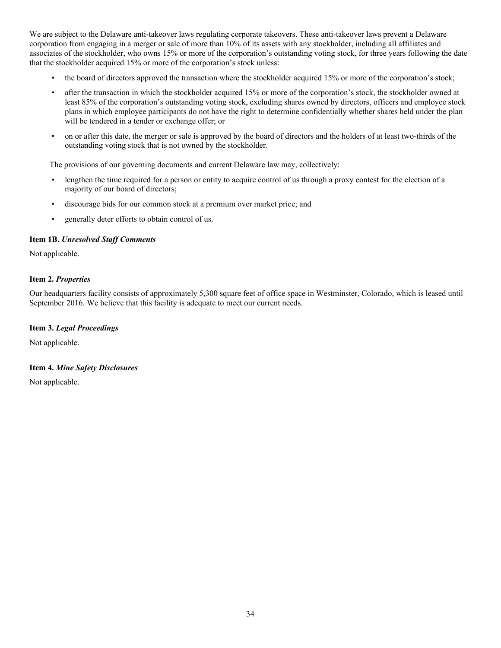We are subject to the Delaware anti-takeover laws regulating corporate takeovers. These anti-takeover laws prevent a Delaware corporation from engaging in a merger or sale of more than 10% of its assets with any stockholder, including all affiliates and associates of the stockholder, who owns 15% or more of the corporation's outstanding voting stock, for three years following the date that the stockholder acquired 15% or more of the corporation's stock unless:

- the board of directors approved the transaction where the stockholder acquired 15% or more of the corporation's stock;
- after the transaction in which the stockholder acquired 15% or more of the corporation's stock, the stockholder owned at least 85% of the corporation's outstanding voting stock, excluding shares owned by directors, officers and employee stock plans in which employee participants do not have the right to determine confidentially whether shares held under the plan will be tendered in a tender or exchange offer; or
- on or after this date, the merger or sale is approved by the board of directors and the holders of at least two-thirds of the outstanding voting stock that is not owned by the stockholder.

The provisions of our governing documents and current Delaware law may, collectively:

- lengthen the time required for a person or entity to acquire control of us through a proxy contest for the election of a majority of our board of directors;
- discourage bids for our common stock at a premium over market price; and
- generally deter efforts to obtain control of us.

#### <span id="page-35-0"></span>**Item 1B.** *Unresolved Staff Comments*

Not applicable.

# <span id="page-35-1"></span>**Item 2.** *Properties*

Our headquarters facility consists of approximately 5,300 square feet of office space in Westminster, Colorado, which is leased until September 2016. We believe that this facility is adequate to meet our current needs.

#### <span id="page-35-2"></span>**Item 3.** *Legal Proceedings*

Not applicable.

#### <span id="page-35-3"></span>**Item 4.** *Mine Safety Disclosures*

Not applicable.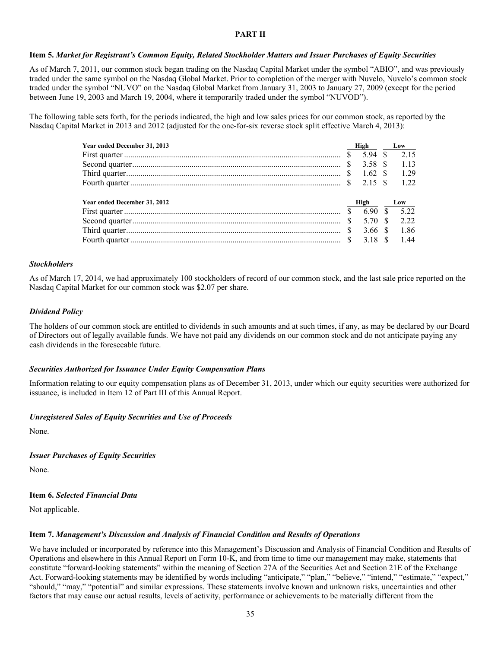# **PART II**

## Item 5. Market for Registrant's Common Equity, Related Stockholder Matters and Issuer Purchases of Equity Securities

As of March 7, 2011, our common stock began trading on the Nasdaq Capital Market under the symbol "ABIO", and was previously traded under the same symbol on the Nasdaq Global Market. Prior to completion of the merger with Nuvelo, Nuvelo's common stock traded under the symbol "NUVO" on the Nasdaq Global Market from January 31, 2003 to January 27, 2009 (except for the period between June 19, 2003 and March 19, 2004, where it temporarily traded under the symbol "NUVOD").

The following table sets forth, for the periods indicated, the high and low sales prices for our common stock, as reported by the Nasdaq Capital Market in 2013 and 2012 (adjusted for the one-for-six reverse stock split effective March 4, 2013):

| Year ended December 31, 2013 |               | High    |    | Low   |
|------------------------------|---------------|---------|----|-------|
|                              |               | 5.94 \$ |    | 2.15  |
|                              |               | 3.58 S  |    | 1 1 3 |
|                              |               | 162 S   |    | 1 29  |
|                              |               | 2.15 \$ |    | 122   |
|                              |               |         |    |       |
| Year ended December 31, 2012 |               | High    |    | Low   |
|                              | $\mathcal{S}$ | 6.90    | S. | 5 2 2 |
|                              |               | 5.70 \$ |    | 2.22  |
|                              |               | 366 S   |    | 1.86  |
|                              |               | 3.18 S  |    | 144   |

#### *Stockholders*

As of March 17, 2014, we had approximately 100 stockholders of record of our common stock, and the last sale price reported on the Nasdaq Capital Market for our common stock was \$2.07 per share.

#### *Dividend Policy*

The holders of our common stock are entitled to dividends in such amounts and at such times, if any, as may be declared by our Board of Directors out of legally available funds. We have not paid any dividends on our common stock and do not anticipate paying any cash dividends in the foreseeable future.

## *Securities Authorized for Issuance Under Equity Compensation Plans*

Information relating to our equity compensation plans as of December 31, 2013, under which our equity securities were authorized for issuance, is included in Item 12 of Part III of this Annual Report.

## *Unregistered Sales of Equity Securities and Use of Proceeds*

None.

## *Issuer Purchases of Equity Securities*

None.

## **Item 6.** *Selected Financial Data*

Not applicable.

## **Item 7.** *Management's Discussion and Analysis of Financial Condition and Results of Operations*

We have included or incorporated by reference into this Management's Discussion and Analysis of Financial Condition and Results of Operations and elsewhere in this Annual Report on Form 10-K, and from time to time our management may make, statements that constitute "forward-looking statements" within the meaning of Section 27A of the Securities Act and Section 21E of the Exchange Act. Forward-looking statements may be identified by words including "anticipate," "plan," "believe," "intend," "estimate," "expect," "should," "may," "potential" and similar expressions. These statements involve known and unknown risks, uncertainties and other factors that may cause our actual results, levels of activity, performance or achievements to be materially different from the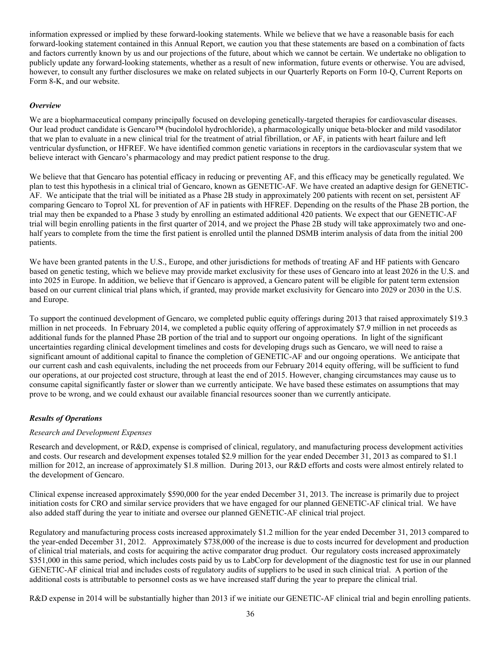information expressed or implied by these forward-looking statements. While we believe that we have a reasonable basis for each forward-looking statement contained in this Annual Report, we caution you that these statements are based on a combination of facts and factors currently known by us and our projections of the future, about which we cannot be certain. We undertake no obligation to publicly update any forward-looking statements, whether as a result of new information, future events or otherwise. You are advised, however, to consult any further disclosures we make on related subjects in our Quarterly Reports on Form 10-Q, Current Reports on Form 8-K, and our website.

## *Overview*

We are a biopharmaceutical company principally focused on developing genetically-targeted therapies for cardiovascular diseases. Our lead product candidate is Gencaro™ (bucindolol hydrochloride), a pharmacologically unique beta-blocker and mild vasodilator that we plan to evaluate in a new clinical trial for the treatment of atrial fibrillation, or AF, in patients with heart failure and left ventricular dysfunction, or HFREF. We have identified common genetic variations in receptors in the cardiovascular system that we believe interact with Gencaro's pharmacology and may predict patient response to the drug.

We believe that that Gencaro has potential efficacy in reducing or preventing AF, and this efficacy may be genetically regulated. We plan to test this hypothesis in a clinical trial of Gencaro, known as GENETIC-AF. We have created an adaptive design for GENETIC-AF. We anticipate that the trial will be initiated as a Phase 2B study in approximately 200 patients with recent on set, persistent AF comparing Gencaro to Toprol XL for prevention of AF in patients with HFREF. Depending on the results of the Phase 2B portion, the trial may then be expanded to a Phase 3 study by enrolling an estimated additional 420 patients. We expect that our GENETIC-AF trial will begin enrolling patients in the first quarter of 2014, and we project the Phase 2B study will take approximately two and onehalf years to complete from the time the first patient is enrolled until the planned DSMB interim analysis of data from the initial 200 patients.

We have been granted patents in the U.S., Europe, and other jurisdictions for methods of treating AF and HF patients with Gencaro based on genetic testing, which we believe may provide market exclusivity for these uses of Gencaro into at least 2026 in the U.S. and into 2025 in Europe. In addition, we believe that if Gencaro is approved, a Gencaro patent will be eligible for patent term extension based on our current clinical trial plans which, if granted, may provide market exclusivity for Gencaro into 2029 or 2030 in the U.S. and Europe.

To support the continued development of Gencaro, we completed public equity offerings during 2013 that raised approximately \$19.3 million in net proceeds. In February 2014, we completed a public equity offering of approximately \$7.9 million in net proceeds as additional funds for the planned Phase 2B portion of the trial and to support our ongoing operations. In light of the significant uncertainties regarding clinical development timelines and costs for developing drugs such as Gencaro, we will need to raise a significant amount of additional capital to finance the completion of GENETIC-AF and our ongoing operations. We anticipate that our current cash and cash equivalents, including the net proceeds from our February 2014 equity offering, will be sufficient to fund our operations, at our projected cost structure, through at least the end of 2015. However, changing circumstances may cause us to consume capital significantly faster or slower than we currently anticipate. We have based these estimates on assumptions that may prove to be wrong, and we could exhaust our available financial resources sooner than we currently anticipate.

# *Results of Operations*

## *Research and Development Expenses*

Research and development, or R&D, expense is comprised of clinical, regulatory, and manufacturing process development activities and costs. Our research and development expenses totaled \$2.9 million for the year ended December 31, 2013 as compared to \$1.1 million for 2012, an increase of approximately \$1.8 million. During 2013, our R&D efforts and costs were almost entirely related to the development of Gencaro.

Clinical expense increased approximately \$590,000 for the year ended December 31, 2013. The increase is primarily due to project initiation costs for CRO and similar service providers that we have engaged for our planned GENETIC-AF clinical trial. We have also added staff during the year to initiate and oversee our planned GENETIC-AF clinical trial project.

Regulatory and manufacturing process costs increased approximately \$1.2 million for the year ended December 31, 2013 compared to the year-ended December 31, 2012. Approximately \$738,000 of the increase is due to costs incurred for development and production of clinical trial materials, and costs for acquiring the active comparator drug product. Our regulatory costs increased approximately \$351,000 in this same period, which includes costs paid by us to LabCorp for development of the diagnostic test for use in our planned GENETIC-AF clinical trial and includes costs of regulatory audits of suppliers to be used in such clinical trial. A portion of the additional costs is attributable to personnel costs as we have increased staff during the year to prepare the clinical trial.

R&D expense in 2014 will be substantially higher than 2013 if we initiate our GENETIC-AF clinical trial and begin enrolling patients.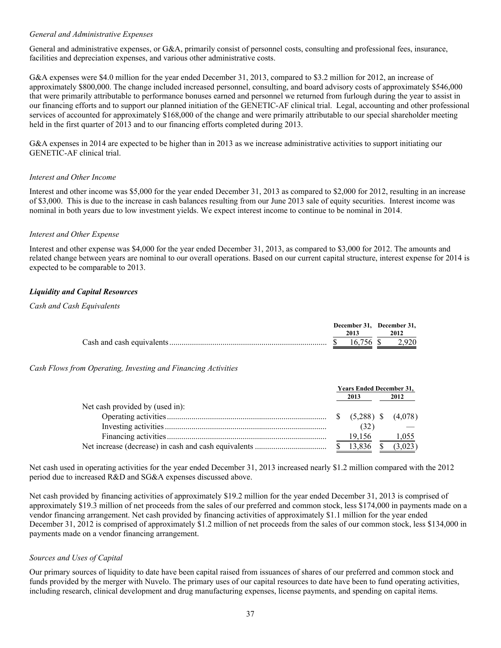## *General and Administrative Expenses*

General and administrative expenses, or G&A, primarily consist of personnel costs, consulting and professional fees, insurance, facilities and depreciation expenses, and various other administrative costs.

G&A expenses were \$4.0 million for the year ended December 31, 2013, compared to \$3.2 million for 2012, an increase of approximately \$800,000. The change included increased personnel, consulting, and board advisory costs of approximately \$546,000 that were primarily attributable to performance bonuses earned and personnel we returned from furlough during the year to assist in our financing efforts and to support our planned initiation of the GENETIC-AF clinical trial. Legal, accounting and other professional services of accounted for approximately \$168,000 of the change and were primarily attributable to our special shareholder meeting held in the first quarter of 2013 and to our financing efforts completed during 2013.

G&A expenses in 2014 are expected to be higher than in 2013 as we increase administrative activities to support initiating our GENETIC-AF clinical trial.

#### *Interest and Other Income*

Interest and other income was \$5,000 for the year ended December 31, 2013 as compared to \$2,000 for 2012, resulting in an increase of \$3,000. This is due to the increase in cash balances resulting from our June 2013 sale of equity securities. Interest income was nominal in both years due to low investment yields. We expect interest income to continue to be nominal in 2014.

## *Interest and Other Expense*

Interest and other expense was \$4,000 for the year ended December 31, 2013, as compared to \$3,000 for 2012. The amounts and related change between years are nominal to our overall operations. Based on our current capital structure, interest expense for 2014 is expected to be comparable to 2013.

## *Liquidity and Capital Resources*

#### *Cash and Cash Equivalents*

|  |      | December 31. December 31. |
|--|------|---------------------------|
|  | 2013 | 2012                      |
|  |      |                           |

*Cash Flows from Operating, Investing and Financing Activities*

|                                 | <b>Years Ended December 31,</b> |       |
|---------------------------------|---------------------------------|-------|
|                                 | 2013                            | 2012  |
| Net cash provided by (used in): |                                 |       |
|                                 |                                 |       |
|                                 | (32)                            |       |
|                                 | 19.156                          | 1,055 |
|                                 | $13,836$ \$ $(3,023)$           |       |

Net cash used in operating activities for the year ended December 31, 2013 increased nearly \$1.2 million compared with the 2012 period due to increased R&D and SG&A expenses discussed above.

Net cash provided by financing activities of approximately \$19.2 million for the year ended December 31, 2013 is comprised of approximately \$19.3 million of net proceeds from the sales of our preferred and common stock, less \$174,000 in payments made on a vendor financing arrangement. Net cash provided by financing activities of approximately \$1.1 million for the year ended December 31, 2012 is comprised of approximately \$1.2 million of net proceeds from the sales of our common stock, less \$134,000 in payments made on a vendor financing arrangement.

## *Sources and Uses of Capital*

Our primary sources of liquidity to date have been capital raised from issuances of shares of our preferred and common stock and funds provided by the merger with Nuvelo. The primary uses of our capital resources to date have been to fund operating activities, including research, clinical development and drug manufacturing expenses, license payments, and spending on capital items.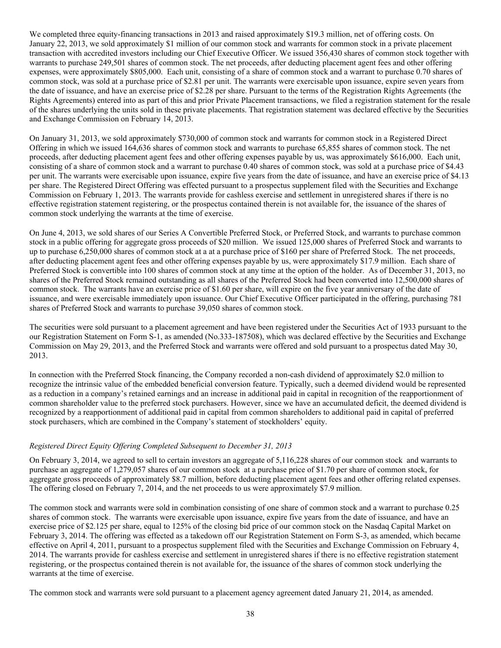We completed three equity-financing transactions in 2013 and raised approximately \$19.3 million, net of offering costs. On January 22, 2013, we sold approximately \$1 million of our common stock and warrants for common stock in a private placement transaction with accredited investors including our Chief Executive Officer. We issued 356,430 shares of common stock together with warrants to purchase 249,501 shares of common stock. The net proceeds, after deducting placement agent fees and other offering expenses, were approximately \$805,000. Each unit, consisting of a share of common stock and a warrant to purchase 0.70 shares of common stock, was sold at a purchase price of \$2.81 per unit. The warrants were exercisable upon issuance, expire seven years from the date of issuance, and have an exercise price of \$2.28 per share. Pursuant to the terms of the Registration Rights Agreements (the Rights Agreements) entered into as part of this and prior Private Placement transactions, we filed a registration statement for the resale of the shares underlying the units sold in these private placements. That registration statement was declared effective by the Securities and Exchange Commission on February 14, 2013.

On January 31, 2013, we sold approximately \$730,000 of common stock and warrants for common stock in a Registered Direct Offering in which we issued 164,636 shares of common stock and warrants to purchase 65,855 shares of common stock. The net proceeds, after deducting placement agent fees and other offering expenses payable by us, was approximately \$616,000. Each unit, consisting of a share of common stock and a warrant to purchase 0.40 shares of common stock, was sold at a purchase price of \$4.43 per unit. The warrants were exercisable upon issuance, expire five years from the date of issuance, and have an exercise price of \$4.13 per share. The Registered Direct Offering was effected pursuant to a prospectus supplement filed with the Securities and Exchange Commission on February 1, 2013. The warrants provide for cashless exercise and settlement in unregistered shares if there is no effective registration statement registering, or the prospectus contained therein is not available for, the issuance of the shares of common stock underlying the warrants at the time of exercise.

On June 4, 2013, we sold shares of our Series A Convertible Preferred Stock, or Preferred Stock, and warrants to purchase common stock in a public offering for aggregate gross proceeds of \$20 million. We issued 125,000 shares of Preferred Stock and warrants to up to purchase 6,250,000 shares of common stock at a at a purchase price of \$160 per share of Preferred Stock. The net proceeds, after deducting placement agent fees and other offering expenses payable by us, were approximately \$17.9 million. Each share of Preferred Stock is convertible into 100 shares of common stock at any time at the option of the holder. As of December 31, 2013, no shares of the Preferred Stock remained outstanding as all shares of the Preferred Stock had been converted into 12,500,000 shares of common stock. The warrants have an exercise price of \$1.60 per share, will expire on the five year anniversary of the date of issuance, and were exercisable immediately upon issuance. Our Chief Executive Officer participated in the offering, purchasing 781 shares of Preferred Stock and warrants to purchase 39,050 shares of common stock.

The securities were sold pursuant to a placement agreement and have been registered under the Securities Act of 1933 pursuant to the our Registration Statement on Form S-1, as amended (No.333-187508), which was declared effective by the Securities and Exchange Commission on May 29, 2013, and the Preferred Stock and warrants were offered and sold pursuant to a prospectus dated May 30, 2013.

In connection with the Preferred Stock financing, the Company recorded a non-cash dividend of approximately \$2.0 million to recognize the intrinsic value of the embedded beneficial conversion feature. Typically, such a deemed dividend would be represented as a reduction in a company's retained earnings and an increase in additional paid in capital in recognition of the reapportionment of common shareholder value to the preferred stock purchasers. However, since we have an accumulated deficit, the deemed dividend is recognized by a reapportionment of additional paid in capital from common shareholders to additional paid in capital of preferred stock purchasers, which are combined in the Company's statement of stockholders' equity.

## *Registered Direct Equity Offering Completed Subsequent to December 31, 2013*

On February 3, 2014, we agreed to sell to certain investors an aggregate of 5,116,228 shares of our common stock and warrants to purchase an aggregate of 1,279,057 shares of our common stock at a purchase price of \$1.70 per share of common stock, for aggregate gross proceeds of approximately \$8.7 million, before deducting placement agent fees and other offering related expenses. The offering closed on February 7, 2014, and the net proceeds to us were approximately \$7.9 million.

The common stock and warrants were sold in combination consisting of one share of common stock and a warrant to purchase 0.25 shares of common stock. The warrants were exercisable upon issuance, expire five years from the date of issuance, and have an exercise price of \$2.125 per share, equal to 125% of the closing bid price of our common stock on the Nasdaq Capital Market on February 3, 2014. The offering was effected as a takedown off our Registration Statement on Form S-3, as amended, which became effective on April 4, 2011, pursuant to a prospectus supplement filed with the Securities and Exchange Commission on February 4, 2014. The warrants provide for cashless exercise and settlement in unregistered shares if there is no effective registration statement registering, or the prospectus contained therein is not available for, the issuance of the shares of common stock underlying the warrants at the time of exercise.

The common stock and warrants were sold pursuant to a placement agency agreement dated January 21, 2014, as amended.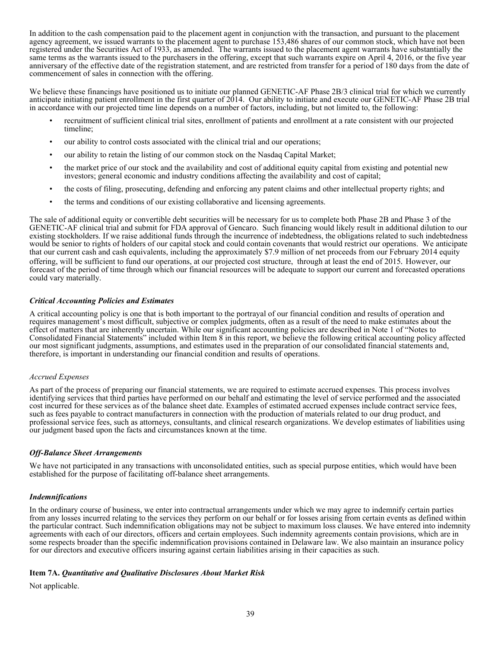In addition to the cash compensation paid to the placement agent in conjunction with the transaction, and pursuant to the placement agency agreement, we issued warrants to the placement agent to purchase 153,486 shares of our common stock, which have not been registered under the Securities Act of 1933, as amended. The warrants issued to the placement agent warrants have substantially the same terms as the warrants issued to the purchasers in the offering, except that such warrants expire on April 4, 2016, or the five year anniversary of the effective date of the registration statement, and are restricted from transfer for a period of 180 days from the date of commencement of sales in connection with the offering.

We believe these financings have positioned us to initiate our planned GENETIC-AF Phase 2B/3 clinical trial for which we currently anticipate initiating patient enrollment in the first quarter of 2014. Our ability to initiate and execute our GENETIC-AF Phase 2B trial in accordance with our projected time line depends on a number of factors, including, but not limited to, the following:

- recruitment of sufficient clinical trial sites, enrollment of patients and enrollment at a rate consistent with our projected timeline;
- our ability to control costs associated with the clinical trial and our operations;
- our ability to retain the listing of our common stock on the Nasdaq Capital Market;
- the market price of our stock and the availability and cost of additional equity capital from existing and potential new investors; general economic and industry conditions affecting the availability and cost of capital;
- the costs of filing, prosecuting, defending and enforcing any patent claims and other intellectual property rights; and
- the terms and conditions of our existing collaborative and licensing agreements.

The sale of additional equity or convertible debt securities will be necessary for us to complete both Phase 2B and Phase 3 of the GENETIC-AF clinical trial and submit for FDA approval of Gencaro. Such financing would likely result in additional dilution to our existing stockholders. If we raise additional funds through the incurrence of indebtedness, the obligations related to such indebtedness would be senior to rights of holders of our capital stock and could contain covenants that would restrict our operations. We anticipate that our current cash and cash equivalents, including the approximately \$7.9 million of net proceeds from our February 2014 equity offering, will be sufficient to fund our operations, at our projected cost structure, through at least the end of 2015*.* However, our forecast of the period of time through which our financial resources will be adequate to support our current and forecasted operations could vary materially.

## *Critical Accounting Policies and Estimates*

A critical accounting policy is one that is both important to the portrayal of our financial condition and results of operation and requires management's most difficult, subjective or complex judgments, often as a result of the need to make estimates about the effect of matters that are inherently uncertain. While our significant accounting policies are described in Note 1 of "Notes to Consolidated Financial Statements" included within Item 8 in this report, we believe the following critical accounting policy affected our most significant judgments, assumptions, and estimates used in the preparation of our consolidated financial statements and, therefore, is important in understanding our financial condition and results of operations.

#### *Accrued Expenses*

As part of the process of preparing our financial statements, we are required to estimate accrued expenses. This process involves identifying services that third parties have performed on our behalf and estimating the level of service performed and the associated cost incurred for these services as of the balance sheet date. Examples of estimated accrued expenses include contract service fees, such as fees payable to contract manufacturers in connection with the production of materials related to our drug product, and professional service fees, such as attorneys, consultants, and clinical research organizations. We develop estimates of liabilities using our judgment based upon the facts and circumstances known at the time.

#### *Off-Balance Sheet Arrangements*

We have not participated in any transactions with unconsolidated entities, such as special purpose entities, which would have been established for the purpose of facilitating off-balance sheet arrangements.

## *Indemnifications*

In the ordinary course of business, we enter into contractual arrangements under which we may agree to indemnify certain parties from any losses incurred relating to the services they perform on our behalf or for losses arising from certain events as defined within the particular contract. Such indemnification obligations may not be subject to maximum loss clauses. We have entered into indemnity agreements with each of our directors, officers and certain employees. Such indemnity agreements contain provisions, which are in some respects broader than the specific indemnification provisions contained in Delaware law. We also maintain an insurance policy for our directors and executive officers insuring against certain liabilities arising in their capacities as such.

## **Item 7A.** *Quantitative and Qualitative Disclosures About Market Risk*

Not applicable.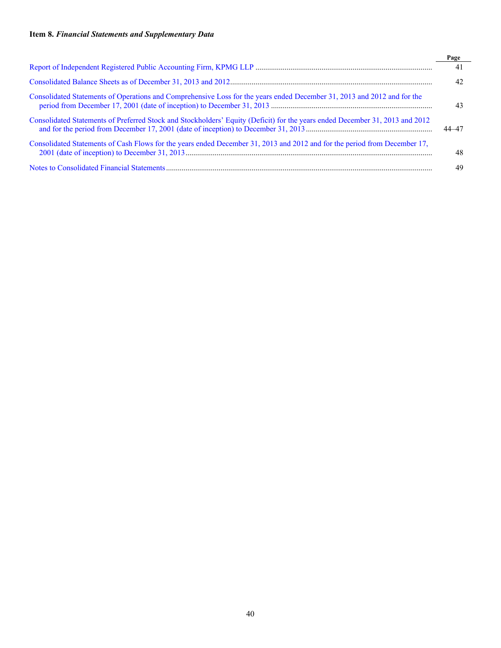# **Item 8.** *Financial Statements and Supplementary Data*

|                                                                                                                              | Page  |
|------------------------------------------------------------------------------------------------------------------------------|-------|
|                                                                                                                              | 41    |
|                                                                                                                              | 42    |
| Consolidated Statements of Operations and Comprehensive Loss for the years ended December 31, 2013 and 2012 and for the      | 43    |
| Consolidated Statements of Preferred Stock and Stockholders' Equity (Deficit) for the years ended December 31, 2013 and 2012 | 44–47 |
| Consolidated Statements of Cash Flows for the years ended December 31, 2013 and 2012 and for the period from December 17,    | 48    |
|                                                                                                                              | 49    |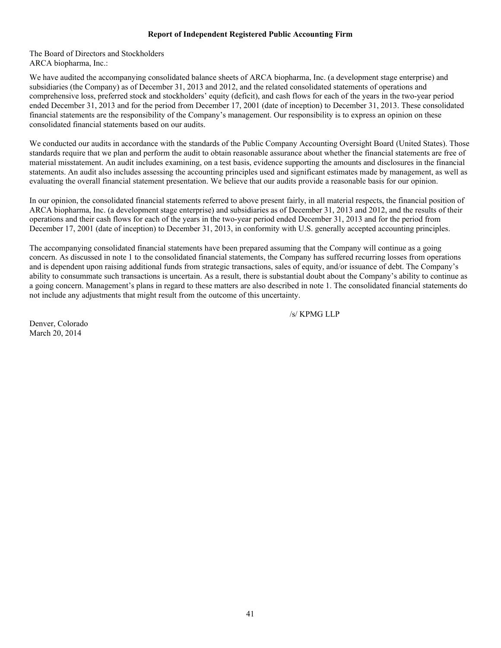## <span id="page-42-0"></span>**Report of Independent Registered Public Accounting Firm**

The Board of Directors and Stockholders ARCA biopharma, Inc.:

We have audited the accompanying consolidated balance sheets of ARCA biopharma, Inc. (a development stage enterprise) and subsidiaries (the Company) as of December 31, 2013 and 2012, and the related consolidated statements of operations and comprehensive loss, preferred stock and stockholders' equity (deficit), and cash flows for each of the years in the two-year period ended December 31, 2013 and for the period from December 17, 2001 (date of inception) to December 31, 2013. These consolidated financial statements are the responsibility of the Company's management. Our responsibility is to express an opinion on these consolidated financial statements based on our audits.

We conducted our audits in accordance with the standards of the Public Company Accounting Oversight Board (United States). Those standards require that we plan and perform the audit to obtain reasonable assurance about whether the financial statements are free of material misstatement. An audit includes examining, on a test basis, evidence supporting the amounts and disclosures in the financial statements. An audit also includes assessing the accounting principles used and significant estimates made by management, as well as evaluating the overall financial statement presentation. We believe that our audits provide a reasonable basis for our opinion.

In our opinion, the consolidated financial statements referred to above present fairly, in all material respects, the financial position of ARCA biopharma, Inc. (a development stage enterprise) and subsidiaries as of December 31, 2013 and 2012, and the results of their operations and their cash flows for each of the years in the two-year period ended December 31, 2013 and for the period from December 17, 2001 (date of inception) to December 31, 2013, in conformity with U.S. generally accepted accounting principles.

The accompanying consolidated financial statements have been prepared assuming that the Company will continue as a going concern. As discussed in note 1 to the consolidated financial statements, the Company has suffered recurring losses from operations and is dependent upon raising additional funds from strategic transactions, sales of equity, and/or issuance of debt. The Company's ability to consummate such transactions is uncertain. As a result, there is substantial doubt about the Company's ability to continue as a going concern. Management's plans in regard to these matters are also described in note 1. The consolidated financial statements do not include any adjustments that might result from the outcome of this uncertainty.

/s/ KPMG LLP

Denver, Colorado March 20, 2014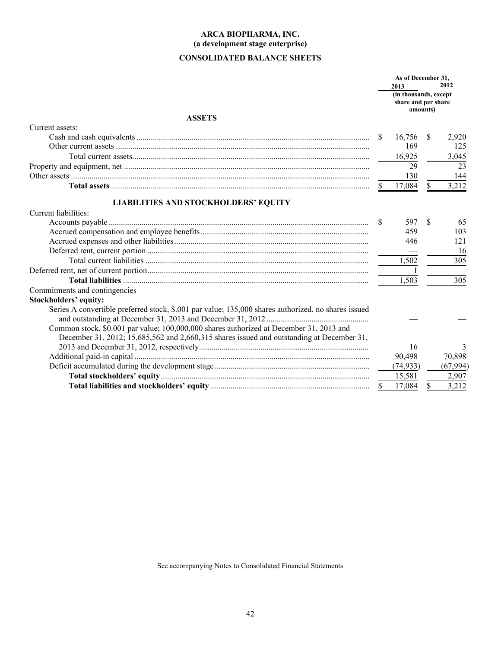# <span id="page-43-0"></span>**CONSOLIDATED BALANCE SHEETS**

|                                                                                                     |              | As of December 31,                                               |    |           |  |
|-----------------------------------------------------------------------------------------------------|--------------|------------------------------------------------------------------|----|-----------|--|
|                                                                                                     |              | 2013<br>(in thousands, except<br>share and per share<br>amounts) |    | 2012      |  |
| <b>ASSETS</b>                                                                                       |              |                                                                  |    |           |  |
| Current assets:                                                                                     |              |                                                                  |    |           |  |
|                                                                                                     | S.           | 16,756                                                           | S  | 2,920     |  |
|                                                                                                     |              | 169                                                              |    | 125       |  |
|                                                                                                     |              | 16,925                                                           |    | 3,045     |  |
|                                                                                                     |              | 29                                                               |    | 23        |  |
|                                                                                                     |              | 130                                                              |    | 144       |  |
|                                                                                                     | <sup>S</sup> | 17,084                                                           | \$ | 3,212     |  |
| <b>LIABILITIES AND STOCKHOLDERS' EQUITY</b>                                                         |              |                                                                  |    |           |  |
| Current liabilities:                                                                                |              |                                                                  |    |           |  |
|                                                                                                     | S            | 597                                                              | \$ | 65        |  |
|                                                                                                     |              | 459                                                              |    | 103       |  |
|                                                                                                     |              | 446                                                              |    | 121       |  |
|                                                                                                     |              |                                                                  |    | 16        |  |
|                                                                                                     |              | 1,502                                                            |    | 305       |  |
|                                                                                                     |              |                                                                  |    |           |  |
|                                                                                                     |              | 1,503                                                            |    | 305       |  |
| Commitments and contingencies                                                                       |              |                                                                  |    |           |  |
| <b>Stockholders' equity:</b>                                                                        |              |                                                                  |    |           |  |
| Series A convertible preferred stock, \$.001 par value; 135,000 shares authorized, no shares issued |              |                                                                  |    |           |  |
|                                                                                                     |              |                                                                  |    |           |  |
| Common stock, \$0.001 par value; 100,000,000 shares authorized at December 31, 2013 and             |              |                                                                  |    |           |  |
| December 31, 2012; 15,685,562 and 2,660,315 shares issued and outstanding at December 31,           |              |                                                                  |    |           |  |
|                                                                                                     |              | 16                                                               |    | 3         |  |
|                                                                                                     |              | 90,498                                                           |    | 70,898    |  |
|                                                                                                     |              | (74, 933)                                                        |    | (67, 994) |  |
|                                                                                                     |              | 15,581                                                           |    | 2,907     |  |
|                                                                                                     | <sup>S</sup> | 17,084                                                           | \$ | 3,212     |  |

See accompanying Notes to Consolidated Financial Statements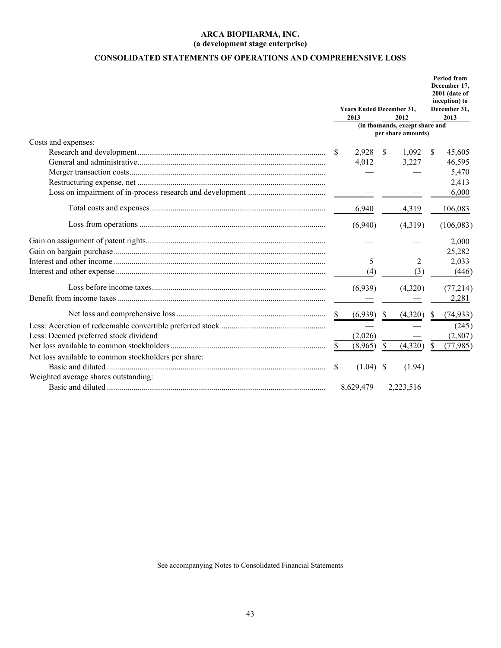# <span id="page-44-0"></span>**CONSOLIDATED STATEMENTS OF OPERATIONS AND COMPREHENSIVE LOSS**

|                                                      |     | <b>Years Ended December 31,</b> | <b>Period from</b><br>December 17.<br>2001 (date of<br>inception) to<br>December 31, |                                                       |                           |            |  |
|------------------------------------------------------|-----|---------------------------------|--------------------------------------------------------------------------------------|-------------------------------------------------------|---------------------------|------------|--|
|                                                      |     | 2013                            |                                                                                      | 2012                                                  | 2013                      |            |  |
|                                                      |     |                                 |                                                                                      | (in thousands, except share and<br>per share amounts) |                           |            |  |
| Costs and expenses:                                  |     |                                 |                                                                                      |                                                       |                           |            |  |
|                                                      | -S  | 2,928                           | - \$                                                                                 | 1,092                                                 | $\boldsymbol{\mathsf{S}}$ | 45,605     |  |
|                                                      |     | 4,012                           |                                                                                      | 3,227                                                 |                           | 46,595     |  |
|                                                      |     |                                 |                                                                                      |                                                       |                           | 5,470      |  |
|                                                      |     |                                 |                                                                                      |                                                       |                           | 2,413      |  |
|                                                      |     |                                 |                                                                                      |                                                       |                           | 6,000      |  |
|                                                      |     | 6,940                           |                                                                                      | 4,319                                                 |                           | 106,083    |  |
|                                                      |     | (6,940)                         |                                                                                      | (4,319)                                               |                           | (106, 083) |  |
|                                                      |     |                                 |                                                                                      |                                                       |                           | 2,000      |  |
|                                                      |     |                                 |                                                                                      |                                                       |                           | 25,282     |  |
|                                                      |     | 5                               |                                                                                      | 2                                                     |                           | 2,033      |  |
|                                                      |     | (4)                             |                                                                                      | (3)                                                   |                           | (446)      |  |
|                                                      |     | (6,939)                         |                                                                                      | (4,320)                                               |                           | (77, 214)  |  |
|                                                      |     |                                 |                                                                                      |                                                       |                           | 2,281      |  |
|                                                      | -S  | (6,939)                         | <sup>\$</sup>                                                                        | (4,320)                                               | S                         | (74, 933)  |  |
|                                                      |     |                                 |                                                                                      |                                                       |                           | (245)      |  |
| Less: Deemed preferred stock dividend                |     | (2,026)                         |                                                                                      |                                                       |                           | (2,807)    |  |
|                                                      | S.  | (8,965)                         | $\mathbb{S}$                                                                         | (4,320)                                               | \$                        | (77, 985)  |  |
| Net loss available to common stockholders per share: |     |                                 |                                                                                      |                                                       |                           |            |  |
|                                                      | \$. | $(1.04)$ \$                     |                                                                                      | (1.94)                                                |                           |            |  |
| Weighted average shares outstanding:                 |     |                                 |                                                                                      |                                                       |                           |            |  |
|                                                      |     | 8,629,479                       |                                                                                      | 2,223,516                                             |                           |            |  |

See accompanying Notes to Consolidated Financial Statements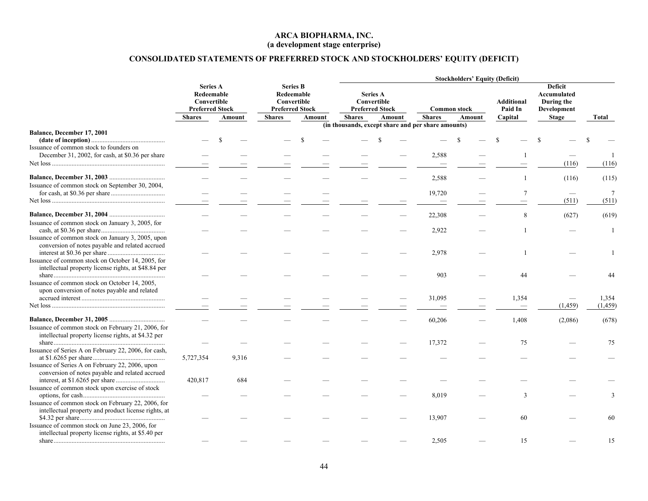# <span id="page-45-0"></span>**CONSOLIDATED STATEMENTS OF PREFERRED STOCK AND STOCKHOLDERS' EQUITY (DEFICIT)**

|                                                                                                             |                                                                        |        |                                                                        |        |               | <b>Stockholders' Equity (Deficit)</b>                    |                                                    |                     |                              |                                                            |                   |  |  |  |  |
|-------------------------------------------------------------------------------------------------------------|------------------------------------------------------------------------|--------|------------------------------------------------------------------------|--------|---------------|----------------------------------------------------------|----------------------------------------------------|---------------------|------------------------------|------------------------------------------------------------|-------------------|--|--|--|--|
|                                                                                                             | <b>Series A</b><br>Redeemable<br>Convertible<br><b>Preferred Stock</b> |        | <b>Series B</b><br>Redeemable<br>Convertible<br><b>Preferred Stock</b> |        |               | <b>Series A</b><br>Convertible<br><b>Preferred Stock</b> |                                                    | <b>Common stock</b> | <b>Additional</b><br>Paid In | <b>Deficit</b><br>Accumulated<br>During the<br>Development |                   |  |  |  |  |
|                                                                                                             | <b>Shares</b>                                                          | Amount | <b>Shares</b>                                                          | Amount | <b>Shares</b> | Amount                                                   | <b>Shares</b>                                      | Amount              | Capital                      | <b>Stage</b>                                               | Total             |  |  |  |  |
| Balance, December 17, 2001<br>Issuance of common stock to founders on                                       |                                                                        |        |                                                                        |        |               |                                                          | (in thousands, except share and per share amounts) |                     |                              |                                                            |                   |  |  |  |  |
| December 31, 2002, for cash, at \$0.36 per share                                                            |                                                                        |        |                                                                        |        |               |                                                          | 2,588                                              |                     |                              | (116)                                                      | (116)             |  |  |  |  |
| Issuance of common stock on September 30, 2004,                                                             |                                                                        |        |                                                                        |        |               |                                                          | 2,588                                              |                     |                              | (116)                                                      | (115)             |  |  |  |  |
|                                                                                                             |                                                                        |        |                                                                        |        |               |                                                          | 19,720                                             |                     | 7                            | (511)                                                      | -7<br>(511)       |  |  |  |  |
| Issuance of common stock on January 3, 2005, for                                                            |                                                                        |        |                                                                        |        |               |                                                          | 22,308                                             |                     | 8                            | (627)                                                      | (619)             |  |  |  |  |
| Issuance of common stock on January 3, 2005, upon<br>conversion of notes payable and related accrued        |                                                                        |        |                                                                        |        |               |                                                          | 2,922                                              |                     |                              |                                                            | -1                |  |  |  |  |
| Issuance of common stock on October 14, 2005, for<br>intellectual property license rights, at \$48.84 per   |                                                                        |        |                                                                        |        |               |                                                          | 2,978                                              |                     |                              |                                                            |                   |  |  |  |  |
| Issuance of common stock on October 14, 2005,<br>upon conversion of notes payable and related               |                                                                        |        |                                                                        |        |               |                                                          | 903                                                |                     | 44                           |                                                            |                   |  |  |  |  |
|                                                                                                             |                                                                        |        |                                                                        |        |               |                                                          | 31,095                                             |                     | 1,354                        | (1, 459)                                                   | 1,354<br>(1, 459) |  |  |  |  |
| Issuance of common stock on February 21, 2006, for                                                          |                                                                        |        |                                                                        |        |               |                                                          | 60,206                                             |                     | 1,408                        | (2,086)                                                    | (678)             |  |  |  |  |
| intellectual property license rights, at \$4.32 per<br>Issuance of Series A on February 22, 2006, for cash, |                                                                        |        |                                                                        |        |               |                                                          | 17,372                                             |                     | 75                           |                                                            | 75                |  |  |  |  |
| Issuance of Series A on February 22, 2006, upon<br>conversion of notes payable and related accrued          | 5,727,354                                                              | 9,316  |                                                                        |        |               |                                                          |                                                    |                     |                              |                                                            |                   |  |  |  |  |
| Issuance of common stock upon exercise of stock                                                             | 420,817                                                                | 684    |                                                                        |        |               |                                                          |                                                    |                     |                              |                                                            |                   |  |  |  |  |
| Issuance of common stock on February 22, 2006, for<br>intellectual property and product license rights, at  |                                                                        |        |                                                                        |        |               |                                                          | 8,019                                              |                     | 3                            |                                                            | $\mathcal{R}$     |  |  |  |  |
| Issuance of common stock on June 23, 2006, for<br>intellectual property license rights, at \$5.40 per       |                                                                        |        |                                                                        |        |               |                                                          | 13,907                                             |                     | 60                           |                                                            | 60                |  |  |  |  |
|                                                                                                             |                                                                        |        |                                                                        |        |               |                                                          | 2,505                                              |                     | 15                           |                                                            | 15                |  |  |  |  |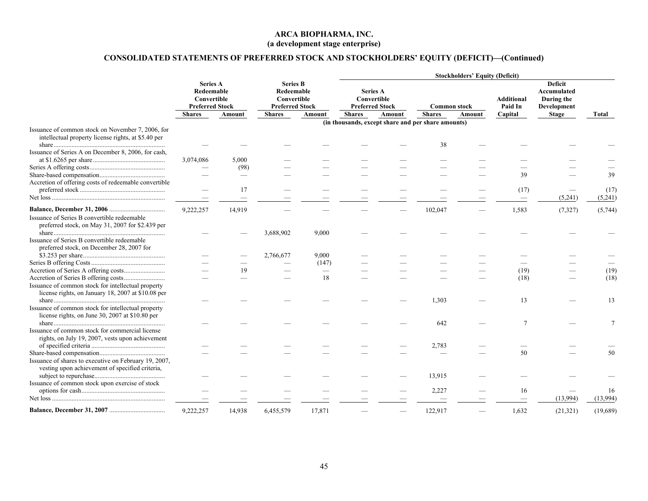# **CONSOLIDATED STATEMENTS OF PREFERRED STOCK AND STOCKHOLDERS' EQUITY (DEFICIT)—(Continued)**

|                                                       |                                                                        |        |                                                                        |        |                                                          | <b>Stockholders' Equity (Deficit)</b>              |                     |        |                              |                                                                   |          |  |  |  |  |
|-------------------------------------------------------|------------------------------------------------------------------------|--------|------------------------------------------------------------------------|--------|----------------------------------------------------------|----------------------------------------------------|---------------------|--------|------------------------------|-------------------------------------------------------------------|----------|--|--|--|--|
|                                                       | <b>Series A</b><br>Redeemable<br>Convertible<br><b>Preferred Stock</b> |        | <b>Series B</b><br>Redeemable<br>Convertible<br><b>Preferred Stock</b> |        | <b>Series A</b><br>Convertible<br><b>Preferred Stock</b> |                                                    | <b>Common stock</b> |        | <b>Additional</b><br>Paid In | <b>Deficit</b><br><b>Accumulated</b><br>During the<br>Development |          |  |  |  |  |
|                                                       | <b>Shares</b>                                                          | Amount | <b>Shares</b>                                                          | Amount | <b>Shares</b>                                            | Amount                                             | <b>Shares</b>       | Amount | Capital                      | <b>Stage</b>                                                      | Total    |  |  |  |  |
|                                                       |                                                                        |        |                                                                        |        |                                                          | (in thousands, except share and per share amounts) |                     |        |                              |                                                                   |          |  |  |  |  |
| Issuance of common stock on November 7, 2006, for     |                                                                        |        |                                                                        |        |                                                          |                                                    |                     |        |                              |                                                                   |          |  |  |  |  |
| intellectual property license rights, at \$5.40 per   |                                                                        |        |                                                                        |        |                                                          |                                                    |                     |        |                              |                                                                   |          |  |  |  |  |
| Issuance of Series A on December 8, 2006, for cash,   |                                                                        |        |                                                                        |        |                                                          |                                                    | 38                  |        |                              |                                                                   |          |  |  |  |  |
|                                                       | 3,074,086                                                              | 5,000  |                                                                        |        |                                                          |                                                    |                     |        |                              |                                                                   |          |  |  |  |  |
|                                                       |                                                                        | (98)   |                                                                        |        |                                                          |                                                    |                     |        |                              |                                                                   |          |  |  |  |  |
|                                                       |                                                                        |        |                                                                        |        |                                                          |                                                    |                     |        | 39                           |                                                                   | 39       |  |  |  |  |
| Accretion of offering costs of redeemable convertible |                                                                        |        |                                                                        |        |                                                          |                                                    |                     |        |                              |                                                                   |          |  |  |  |  |
|                                                       |                                                                        | 17     |                                                                        |        |                                                          |                                                    |                     |        | (17)                         |                                                                   | (17)     |  |  |  |  |
|                                                       | $\overline{\phantom{0}}$                                               |        |                                                                        |        |                                                          |                                                    |                     |        |                              | (5,241)                                                           | (5,241)  |  |  |  |  |
|                                                       |                                                                        |        |                                                                        |        |                                                          |                                                    |                     |        |                              |                                                                   |          |  |  |  |  |
| Issuance of Series B convertible redeemable           | 9,222,257                                                              | 14,919 |                                                                        |        |                                                          |                                                    | 102,047             |        | 1,583                        | (7, 327)                                                          | (5,744)  |  |  |  |  |
| preferred stock, on May 31, 2007 for \$2.439 per      |                                                                        |        |                                                                        |        |                                                          |                                                    |                     |        |                              |                                                                   |          |  |  |  |  |
|                                                       |                                                                        |        | 3,688,902                                                              | 9,000  |                                                          |                                                    |                     |        |                              |                                                                   |          |  |  |  |  |
| Issuance of Series B convertible redeemable           |                                                                        |        |                                                                        |        |                                                          |                                                    |                     |        |                              |                                                                   |          |  |  |  |  |
| preferred stock, on December 28, 2007 for             |                                                                        |        |                                                                        |        |                                                          |                                                    |                     |        |                              |                                                                   |          |  |  |  |  |
|                                                       |                                                                        |        | 2,766,677                                                              | 9,000  |                                                          |                                                    |                     |        |                              |                                                                   |          |  |  |  |  |
|                                                       |                                                                        |        |                                                                        | (147)  |                                                          |                                                    |                     |        |                              |                                                                   |          |  |  |  |  |
|                                                       |                                                                        | 19     |                                                                        |        |                                                          |                                                    |                     |        | (19)                         |                                                                   | (19)     |  |  |  |  |
|                                                       |                                                                        |        |                                                                        | 18     |                                                          |                                                    |                     |        | (18)                         |                                                                   | (18)     |  |  |  |  |
| Issuance of common stock for intellectual property    |                                                                        |        |                                                                        |        |                                                          |                                                    |                     |        |                              |                                                                   |          |  |  |  |  |
| license rights, on January 18, 2007 at \$10.08 per    |                                                                        |        |                                                                        |        |                                                          |                                                    |                     |        |                              |                                                                   |          |  |  |  |  |
|                                                       |                                                                        |        |                                                                        |        |                                                          |                                                    | 1,303               |        | 13                           |                                                                   | 13       |  |  |  |  |
| Issuance of common stock for intellectual property    |                                                                        |        |                                                                        |        |                                                          |                                                    |                     |        |                              |                                                                   |          |  |  |  |  |
| license rights, on June 30, 2007 at \$10.80 per       |                                                                        |        |                                                                        |        |                                                          |                                                    |                     |        |                              |                                                                   |          |  |  |  |  |
|                                                       |                                                                        |        |                                                                        |        |                                                          |                                                    | 642                 |        | $\overline{7}$               |                                                                   | $\tau$   |  |  |  |  |
| Issuance of common stock for commercial license       |                                                                        |        |                                                                        |        |                                                          |                                                    |                     |        |                              |                                                                   |          |  |  |  |  |
| rights, on July 19, 2007, vests upon achievement      |                                                                        |        |                                                                        |        |                                                          |                                                    |                     |        |                              |                                                                   |          |  |  |  |  |
|                                                       |                                                                        |        |                                                                        |        |                                                          |                                                    | 2,783               |        |                              |                                                                   |          |  |  |  |  |
|                                                       |                                                                        |        |                                                                        |        |                                                          |                                                    |                     |        | 50                           |                                                                   | 50       |  |  |  |  |
| Issuance of shares to executive on February 19, 2007, |                                                                        |        |                                                                        |        |                                                          |                                                    |                     |        |                              |                                                                   |          |  |  |  |  |
| vesting upon achievement of specified criteria,       |                                                                        |        |                                                                        |        |                                                          |                                                    | 13,915              |        |                              |                                                                   |          |  |  |  |  |
| Issuance of common stock upon exercise of stock       |                                                                        |        |                                                                        |        |                                                          |                                                    |                     |        |                              |                                                                   |          |  |  |  |  |
|                                                       |                                                                        |        |                                                                        |        |                                                          |                                                    | 2,227               |        | 16                           |                                                                   | 16       |  |  |  |  |
|                                                       |                                                                        |        |                                                                        |        |                                                          |                                                    |                     |        |                              | (13,994)                                                          | (13,994) |  |  |  |  |
|                                                       |                                                                        |        |                                                                        |        |                                                          |                                                    |                     |        |                              |                                                                   |          |  |  |  |  |
|                                                       | 9,222,257                                                              | 14,938 | 6,455,579                                                              | 17,871 |                                                          |                                                    | 122,917             |        | 1,632                        | (21, 321)                                                         | (19,689) |  |  |  |  |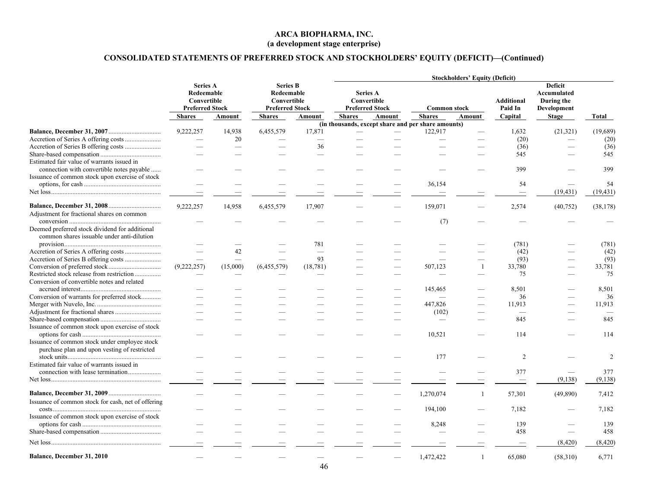# **CONSOLIDATED STATEMENTS OF PREFERRED STOCK AND STOCKHOLDERS' EQUITY (DEFICIT)—(Continued)**

|                                                    |                                                                        |          |                                                                        |           | <b>Stockholders' Equity (Deficit)</b> |                                                                                 |                                                    |                |         |                                                            |                |  |  |
|----------------------------------------------------|------------------------------------------------------------------------|----------|------------------------------------------------------------------------|-----------|---------------------------------------|---------------------------------------------------------------------------------|----------------------------------------------------|----------------|---------|------------------------------------------------------------|----------------|--|--|
|                                                    | <b>Series A</b><br>Redeemable<br>Convertible<br><b>Preferred Stock</b> |          | <b>Series B</b><br>Redeemable<br>Convertible<br><b>Preferred Stock</b> |           |                                       | <b>Series A</b><br>Convertible<br><b>Preferred Stock</b><br><b>Common stock</b> |                                                    |                |         | <b>Deficit</b><br>Accumulated<br>During the<br>Development |                |  |  |
|                                                    | Shares                                                                 | Amount   | <b>Shares</b>                                                          | Amount    | <b>Shares</b>                         | <b>Amount</b>                                                                   | <b>Shares</b>                                      | Amount         | Capital | <b>Stage</b>                                               | Total          |  |  |
|                                                    |                                                                        |          |                                                                        |           |                                       |                                                                                 | (in thousands, except share and per share amounts) |                |         |                                                            |                |  |  |
|                                                    | 9,222,257                                                              | 14,938   | 6,455,579                                                              | 17,871    |                                       |                                                                                 | 122,917                                            |                | 1,632   | (21, 321)                                                  | (19,689)       |  |  |
|                                                    |                                                                        | 20       |                                                                        |           |                                       |                                                                                 |                                                    |                | (20)    |                                                            | (20)           |  |  |
|                                                    |                                                                        |          |                                                                        | 36        |                                       |                                                                                 |                                                    |                | (36)    |                                                            | (36)           |  |  |
|                                                    |                                                                        |          |                                                                        |           |                                       |                                                                                 |                                                    |                | 545     |                                                            | 545            |  |  |
| Estimated fair value of warrants issued in         |                                                                        |          |                                                                        |           |                                       |                                                                                 |                                                    |                |         |                                                            |                |  |  |
| connection with convertible notes payable          |                                                                        |          |                                                                        |           |                                       |                                                                                 |                                                    |                | 399     |                                                            | 399            |  |  |
| Issuance of common stock upon exercise of stock    |                                                                        |          |                                                                        |           |                                       |                                                                                 |                                                    |                |         |                                                            |                |  |  |
|                                                    |                                                                        |          |                                                                        |           |                                       |                                                                                 | 36,154                                             |                | 54      |                                                            | 54             |  |  |
|                                                    |                                                                        |          |                                                                        |           |                                       |                                                                                 |                                                    |                |         | (19, 431)                                                  | (19, 431)      |  |  |
|                                                    | 9,222,257                                                              | 14,958   | 6,455,579                                                              | 17,907    |                                       |                                                                                 | 159,071                                            |                | 2,574   | (40, 752)                                                  | (38, 178)      |  |  |
| Adjustment for fractional shares on common         |                                                                        |          |                                                                        |           |                                       |                                                                                 |                                                    |                |         |                                                            |                |  |  |
|                                                    |                                                                        |          |                                                                        |           |                                       |                                                                                 | (7)                                                |                |         |                                                            |                |  |  |
| Deemed preferred stock dividend for additional     |                                                                        |          |                                                                        |           |                                       |                                                                                 |                                                    |                |         |                                                            |                |  |  |
| common shares issuable under anti-dilution         |                                                                        |          |                                                                        |           |                                       |                                                                                 |                                                    |                |         |                                                            |                |  |  |
|                                                    |                                                                        |          |                                                                        | 781       |                                       |                                                                                 |                                                    |                | (781)   |                                                            | (781)          |  |  |
|                                                    |                                                                        | 42       |                                                                        |           |                                       |                                                                                 |                                                    |                | (42)    |                                                            | (42)           |  |  |
|                                                    |                                                                        |          |                                                                        | 93        |                                       |                                                                                 |                                                    |                | (93)    |                                                            | (93)           |  |  |
|                                                    | (9,222,257)                                                            | (15,000) | (6,455,579)                                                            | (18, 781) |                                       |                                                                                 | 507,123                                            | $\overline{1}$ | 33,780  |                                                            | 33,781         |  |  |
| Restricted stock release from restriction          |                                                                        |          |                                                                        |           |                                       |                                                                                 |                                                    |                | 75      |                                                            | 75             |  |  |
| Conversion of convertible notes and related        |                                                                        |          |                                                                        |           |                                       |                                                                                 |                                                    |                |         |                                                            |                |  |  |
|                                                    |                                                                        |          |                                                                        |           |                                       |                                                                                 | 145,465                                            |                | 8,501   |                                                            | 8,501          |  |  |
| Conversion of warrants for preferred stock         |                                                                        |          |                                                                        |           |                                       |                                                                                 |                                                    |                | 36      |                                                            | 36             |  |  |
|                                                    |                                                                        |          |                                                                        |           |                                       |                                                                                 | 447,826                                            |                | 11,913  |                                                            | 11,913         |  |  |
|                                                    |                                                                        |          |                                                                        |           |                                       |                                                                                 | (102)                                              |                |         |                                                            |                |  |  |
|                                                    |                                                                        |          |                                                                        |           |                                       |                                                                                 |                                                    |                | 845     |                                                            | 845            |  |  |
| Issuance of common stock upon exercise of stock    |                                                                        |          |                                                                        |           |                                       |                                                                                 |                                                    |                |         |                                                            |                |  |  |
|                                                    |                                                                        |          |                                                                        |           |                                       |                                                                                 | 10,521                                             |                | 114     |                                                            | 114            |  |  |
| Issuance of common stock under employee stock      |                                                                        |          |                                                                        |           |                                       |                                                                                 |                                                    |                |         |                                                            |                |  |  |
| purchase plan and upon vesting of restricted       |                                                                        |          |                                                                        |           |                                       |                                                                                 | 177                                                |                | 2       |                                                            | $\overline{c}$ |  |  |
| Estimated fair value of warrants issued in         |                                                                        |          |                                                                        |           |                                       |                                                                                 |                                                    |                |         |                                                            |                |  |  |
| connection with lease termination                  |                                                                        |          |                                                                        |           |                                       |                                                                                 |                                                    |                | 377     |                                                            | 377            |  |  |
|                                                    |                                                                        |          |                                                                        |           |                                       |                                                                                 |                                                    |                |         | (9,138)                                                    | (9, 138)       |  |  |
|                                                    |                                                                        |          |                                                                        |           |                                       |                                                                                 |                                                    |                |         |                                                            |                |  |  |
|                                                    |                                                                        |          |                                                                        |           |                                       |                                                                                 | 1,270,074                                          | $\overline{1}$ | 57,301  | (49,890)                                                   | 7,412          |  |  |
| Issuance of common stock for cash, net of offering |                                                                        |          |                                                                        |           |                                       |                                                                                 |                                                    |                |         |                                                            |                |  |  |
|                                                    |                                                                        |          |                                                                        |           |                                       |                                                                                 | 194,100                                            |                | 7,182   |                                                            | 7,182          |  |  |
| Issuance of common stock upon exercise of stock    |                                                                        |          |                                                                        |           |                                       |                                                                                 |                                                    |                |         |                                                            |                |  |  |
|                                                    |                                                                        |          |                                                                        |           |                                       |                                                                                 | 8,248                                              |                | 139     |                                                            | 139            |  |  |
|                                                    |                                                                        |          |                                                                        |           |                                       |                                                                                 |                                                    |                | 458     |                                                            | 458            |  |  |
|                                                    |                                                                        |          |                                                                        |           |                                       |                                                                                 |                                                    |                |         | (8, 420)                                                   | (8, 420)       |  |  |
| Balance, December 31, 2010                         |                                                                        |          |                                                                        |           |                                       |                                                                                 |                                                    |                |         |                                                            |                |  |  |
|                                                    |                                                                        |          |                                                                        |           |                                       |                                                                                 | 1,472,422                                          | $\mathbf{1}$   | 65,080  | (58,310)                                                   | 6,771          |  |  |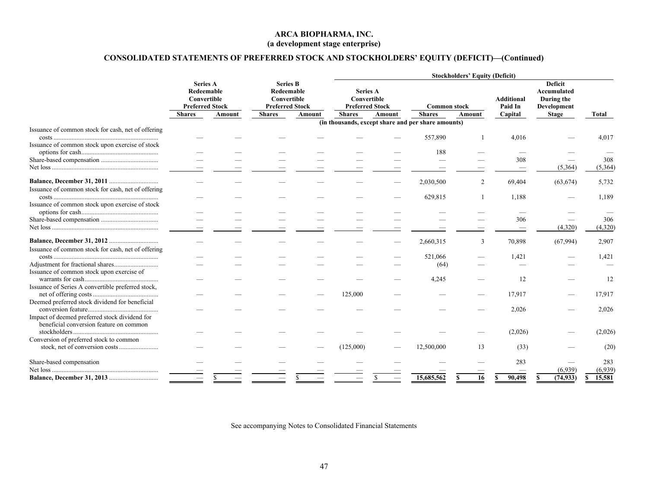# **CONSOLIDATED STATEMENTS OF PREFERRED STOCK AND STOCKHOLDERS' EQUITY (DEFICIT)—(Continued)**

|                                                                                    |                                                                        |  |                                                                                                   |  | <b>Stockholders' Equity (Deficit)</b>                                     |        |                                                    |        |                                         |                                                                                   |                |  |       |
|------------------------------------------------------------------------------------|------------------------------------------------------------------------|--|---------------------------------------------------------------------------------------------------|--|---------------------------------------------------------------------------|--------|----------------------------------------------------|--------|-----------------------------------------|-----------------------------------------------------------------------------------|----------------|--|-------|
|                                                                                    | <b>Series A</b><br>Redeemable<br>Convertible<br><b>Preferred Stock</b> |  | <b>Series B</b><br>Redeemable<br>Convertible<br><b>Preferred Stock</b><br>Amount<br><b>Amount</b> |  | <b>Series A</b><br>Convertible<br><b>Preferred Stock</b><br><b>Shares</b> | Amount | <b>Common stock</b><br><b>Shares</b>               | Amount | <b>Additional</b><br>Paid In<br>Capital | <b>Deficit</b><br><b>Accumulated</b><br>During the<br>Development<br><b>Stage</b> | Total          |  |       |
|                                                                                    | <b>Shares</b>                                                          |  | <b>Shares</b>                                                                                     |  |                                                                           |        | (in thousands, except share and per share amounts) |        |                                         |                                                                                   |                |  |       |
| Issuance of common stock for cash, net of offering                                 |                                                                        |  |                                                                                                   |  |                                                                           |        | 557,890                                            |        | 4,016                                   |                                                                                   | 4,017          |  |       |
| Issuance of common stock upon exercise of stock                                    |                                                                        |  |                                                                                                   |  |                                                                           |        | 188                                                |        |                                         |                                                                                   |                |  |       |
|                                                                                    |                                                                        |  |                                                                                                   |  |                                                                           |        |                                                    |        | 308                                     | (5,364)                                                                           | 308<br>(5,364) |  |       |
|                                                                                    |                                                                        |  |                                                                                                   |  |                                                                           |        | 2,030,500                                          | 2      | 69,404                                  | (63, 674)                                                                         | 5,732          |  |       |
| Issuance of common stock for cash, net of offering                                 |                                                                        |  |                                                                                                   |  |                                                                           |        | 629,815                                            |        |                                         |                                                                                   |                |  | 1,189 |
| Issuance of common stock upon exercise of stock                                    |                                                                        |  |                                                                                                   |  |                                                                           |        |                                                    |        |                                         |                                                                                   |                |  |       |
|                                                                                    |                                                                        |  |                                                                                                   |  |                                                                           |        |                                                    |        | 306                                     | (4,320)                                                                           | 306<br>(4,320) |  |       |
|                                                                                    |                                                                        |  |                                                                                                   |  |                                                                           |        | 2,660,315                                          | 3      | 70,898                                  | (67,994)                                                                          | 2,907          |  |       |
| Issuance of common stock for cash, net of offering                                 |                                                                        |  |                                                                                                   |  |                                                                           |        | 521,066                                            |        | 1,421                                   |                                                                                   | 1,421          |  |       |
| Issuance of common stock upon exercise of                                          |                                                                        |  |                                                                                                   |  |                                                                           |        | (64)                                               |        |                                         |                                                                                   |                |  |       |
| Issuance of Series A convertible preferred stock,                                  |                                                                        |  |                                                                                                   |  |                                                                           |        | 4,245                                              |        | 12                                      |                                                                                   | 12             |  |       |
| Deemed preferred stock dividend for beneficial                                     |                                                                        |  |                                                                                                   |  | 125,000                                                                   |        |                                                    |        | 17,917                                  |                                                                                   | 17,917         |  |       |
| Impact of deemed preferred stock dividend for                                      |                                                                        |  |                                                                                                   |  |                                                                           |        |                                                    |        | 2,026                                   |                                                                                   | 2,026          |  |       |
| beneficial conversion feature on common<br>Conversion of preferred stock to common |                                                                        |  |                                                                                                   |  |                                                                           |        |                                                    |        | (2,026)                                 |                                                                                   | (2,026)        |  |       |
|                                                                                    |                                                                        |  |                                                                                                   |  | (125,000)                                                                 |        | 12,500,000                                         | 13     | (33)                                    |                                                                                   | (20)           |  |       |
| Share-based compensation                                                           |                                                                        |  |                                                                                                   |  |                                                                           |        |                                                    |        | 283                                     | (6.939)                                                                           | 283<br>(6,939) |  |       |
|                                                                                    |                                                                        |  |                                                                                                   |  |                                                                           |        | 15,685,562                                         | 16     | 90,498                                  | (74, 933)                                                                         | 15,581         |  |       |

<span id="page-48-0"></span>See accompanying Notes to Consolidated Financial Statements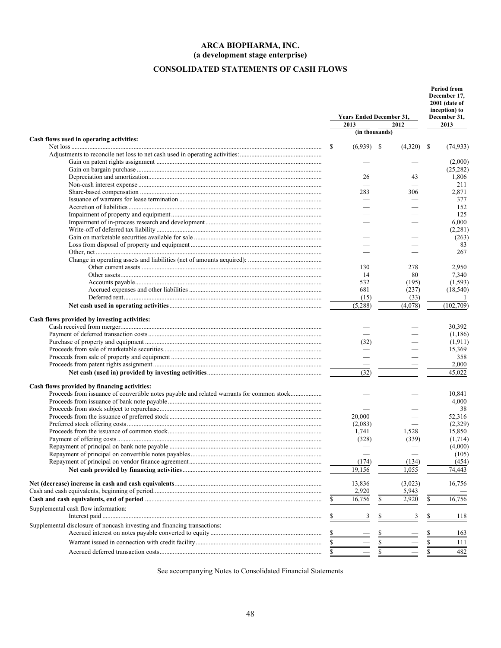# <span id="page-49-0"></span>**CONSOLIDATED STATEMENTS OF CASH FLOWS**

|                                                                                           |    | <b>Years Ended December 31,</b><br>2013 | 2012         |           | <b>Period from</b><br>December 17,<br>2001 (date of<br>inception) to<br>December 31,<br>2013 |
|-------------------------------------------------------------------------------------------|----|-----------------------------------------|--------------|-----------|----------------------------------------------------------------------------------------------|
|                                                                                           |    | (in thousands)                          |              |           |                                                                                              |
| Cash flows used in operating activities:                                                  |    |                                         |              |           |                                                                                              |
|                                                                                           | \$ | $(6,939)$ \$                            | $(4,320)$ \$ |           | (74, 933)                                                                                    |
|                                                                                           |    |                                         |              |           |                                                                                              |
|                                                                                           |    |                                         |              |           | (2,000)<br>(25, 282)                                                                         |
|                                                                                           |    | 26                                      | 43           |           |                                                                                              |
|                                                                                           |    | $\overline{\phantom{0}}$                |              |           | 1,806<br>211                                                                                 |
|                                                                                           |    | 283                                     | 306          |           | 2,871                                                                                        |
|                                                                                           |    |                                         |              |           | 377                                                                                          |
|                                                                                           |    |                                         |              |           | 152                                                                                          |
|                                                                                           |    |                                         |              |           | 125                                                                                          |
|                                                                                           |    |                                         |              |           |                                                                                              |
|                                                                                           |    |                                         |              |           | 6,000                                                                                        |
|                                                                                           |    |                                         |              |           | (2, 281)                                                                                     |
|                                                                                           |    |                                         |              |           | (263)                                                                                        |
|                                                                                           |    |                                         |              |           | 83                                                                                           |
|                                                                                           |    |                                         |              |           | 267                                                                                          |
|                                                                                           |    |                                         |              |           |                                                                                              |
|                                                                                           |    | 130                                     | 278          |           | 2,950                                                                                        |
|                                                                                           |    | 14                                      | 80           |           | 7,340                                                                                        |
|                                                                                           |    | 532                                     | (195)        |           | (1, 593)                                                                                     |
|                                                                                           |    | 681                                     | (237)        |           | (18, 540)                                                                                    |
|                                                                                           |    | (15)                                    | (33)         |           | -1                                                                                           |
|                                                                                           |    | (5,288)                                 | (4,078)      |           | (102, 709)                                                                                   |
| Cash flows provided by investing activities:                                              |    |                                         |              |           |                                                                                              |
|                                                                                           |    |                                         |              |           | 30,392                                                                                       |
|                                                                                           |    |                                         |              |           | (1,186)                                                                                      |
|                                                                                           |    | (32)                                    |              |           | (1,911)                                                                                      |
|                                                                                           |    |                                         |              |           | 15,369                                                                                       |
|                                                                                           |    |                                         |              |           | 358                                                                                          |
|                                                                                           |    |                                         |              |           | 2,000                                                                                        |
|                                                                                           |    | (32)                                    |              |           | 45,022                                                                                       |
|                                                                                           |    |                                         |              |           |                                                                                              |
| Cash flows provided by financing activities:                                              |    |                                         |              |           |                                                                                              |
| Proceeds from issuance of convertible notes payable and related warrants for common stock |    |                                         |              |           | 10,841                                                                                       |
|                                                                                           |    |                                         |              |           | 4,000                                                                                        |
|                                                                                           |    |                                         |              |           | 38                                                                                           |
|                                                                                           |    | 20,000                                  |              |           | 52,316                                                                                       |
|                                                                                           |    | (2,083)                                 |              |           | (2,329)                                                                                      |
|                                                                                           |    | 1,741                                   | 1,528        |           | 15,850                                                                                       |
|                                                                                           |    | (328)                                   | (339)        |           | (1,714)                                                                                      |
|                                                                                           |    |                                         |              |           | (4,000)                                                                                      |
|                                                                                           |    |                                         |              |           | (105)                                                                                        |
|                                                                                           |    | (174)                                   | (134)        |           | (454)                                                                                        |
|                                                                                           |    | 19,156                                  | 1,055        |           | 74,443                                                                                       |
|                                                                                           |    | 13,836                                  | (3,023)      |           | 16,756                                                                                       |
|                                                                                           |    | 2,920                                   | 5,943        |           |                                                                                              |
|                                                                                           |    | 16,756                                  | \$<br>2,920  | \$        | 16,756                                                                                       |
| Supplemental cash flow information:                                                       |    |                                         |              |           |                                                                                              |
|                                                                                           |    | 3                                       |              |           | 118                                                                                          |
| Supplemental disclosure of noncash investing and financing transactions:                  |    |                                         |              |           |                                                                                              |
|                                                                                           | \$ |                                         |              | \$        | 163                                                                                          |
|                                                                                           | \$ |                                         | \$           | \$        | 111                                                                                          |
|                                                                                           |    |                                         | \$           | $\bar{s}$ | $\overline{482}$                                                                             |
|                                                                                           | S  |                                         |              |           |                                                                                              |

See accompanying Notes to Consolidated Financial Statements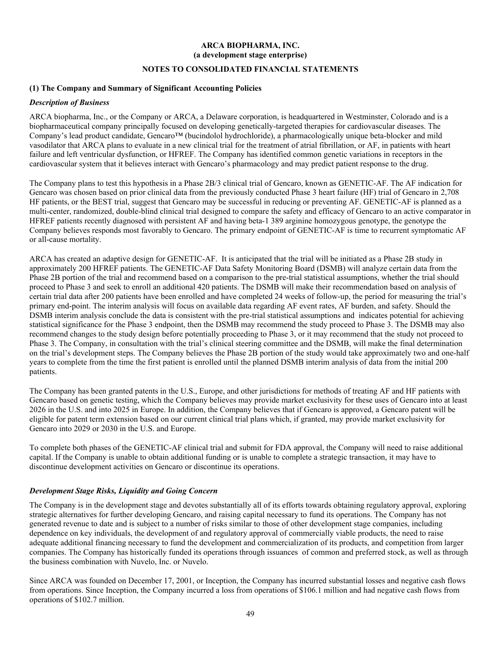## <span id="page-50-0"></span>**NOTES TO CONSOLIDATED FINANCIAL STATEMENTS**

#### **(1) The Company and Summary of Significant Accounting Policies**

#### *Description of Business*

ARCA biopharma, Inc., or the Company or ARCA, a Delaware corporation, is headquartered in Westminster, Colorado and is a biopharmaceutical company principally focused on developing genetically-targeted therapies for cardiovascular diseases. The Company's lead product candidate, Gencaro™ (bucindolol hydrochloride), a pharmacologically unique beta-blocker and mild vasodilator that ARCA plans to evaluate in a new clinical trial for the treatment of atrial fibrillation, or AF, in patients with heart failure and left ventricular dysfunction, or HFREF. The Company has identified common genetic variations in receptors in the cardiovascular system that it believes interact with Gencaro's pharmacology and may predict patient response to the drug.

The Company plans to test this hypothesis in a Phase 2B/3 clinical trial of Gencaro, known as GENETIC-AF. The AF indication for Gencaro was chosen based on prior clinical data from the previously conducted Phase 3 heart failure (HF) trial of Gencaro in 2,708 HF patients, or the BEST trial, suggest that Gencaro may be successful in reducing or preventing AF. GENETIC-AF is planned as a multi-center, randomized, double-blind clinical trial designed to compare the safety and efficacy of Gencaro to an active comparator in HFREF patients recently diagnosed with persistent AF and having beta-1 389 arginine homozygous genotype, the genotype the Company believes responds most favorably to Gencaro. The primary endpoint of GENETIC-AF is time to recurrent symptomatic AF or all-cause mortality.

ARCA has created an adaptive design for GENETIC-AF. It is anticipated that the trial will be initiated as a Phase 2B study in approximately 200 HFREF patients. The GENETIC-AF Data Safety Monitoring Board (DSMB) will analyze certain data from the Phase 2B portion of the trial and recommend based on a comparison to the pre-trial statistical assumptions, whether the trial should proceed to Phase 3 and seek to enroll an additional 420 patients. The DSMB will make their recommendation based on analysis of certain trial data after 200 patients have been enrolled and have completed 24 weeks of follow-up, the period for measuring the trial's primary end-point. The interim analysis will focus on available data regarding AF event rates, AF burden, and safety. Should the DSMB interim analysis conclude the data is consistent with the pre-trial statistical assumptions and indicates potential for achieving statistical significance for the Phase 3 endpoint, then the DSMB may recommend the study proceed to Phase 3. The DSMB may also recommend changes to the study design before potentially proceeding to Phase 3, or it may recommend that the study not proceed to Phase 3. The Company, in consultation with the trial's clinical steering committee and the DSMB, will make the final determination on the trial's development steps. The Company believes the Phase 2B portion of the study would take approximately two and one-half years to complete from the time the first patient is enrolled until the planned DSMB interim analysis of data from the initial 200 patients.

The Company has been granted patents in the U.S., Europe, and other jurisdictions for methods of treating AF and HF patients with Gencaro based on genetic testing, which the Company believes may provide market exclusivity for these uses of Gencaro into at least 2026 in the U.S. and into 2025 in Europe. In addition, the Company believes that if Gencaro is approved, a Gencaro patent will be eligible for patent term extension based on our current clinical trial plans which, if granted, may provide market exclusivity for Gencaro into 2029 or 2030 in the U.S. and Europe.

To complete both phases of the GENETIC-AF clinical trial and submit for FDA approval, the Company will need to raise additional capital. If the Company is unable to obtain additional funding or is unable to complete a strategic transaction, it may have to discontinue development activities on Gencaro or discontinue its operations.

#### *Development Stage Risks, Liquidity and Going Concern*

The Company is in the development stage and devotes substantially all of its efforts towards obtaining regulatory approval, exploring strategic alternatives for further developing Gencaro, and raising capital necessary to fund its operations. The Company has not generated revenue to date and is subject to a number of risks similar to those of other development stage companies, including dependence on key individuals, the development of and regulatory approval of commercially viable products, the need to raise adequate additional financing necessary to fund the development and commercialization of its products, and competition from larger companies. The Company has historically funded its operations through issuances of common and preferred stock, as well as through the business combination with Nuvelo, Inc. or Nuvelo.

Since ARCA was founded on December 17, 2001, or Inception, the Company has incurred substantial losses and negative cash flows from operations. Since Inception, the Company incurred a loss from operations of \$106.1 million and had negative cash flows from operations of \$102.7 million.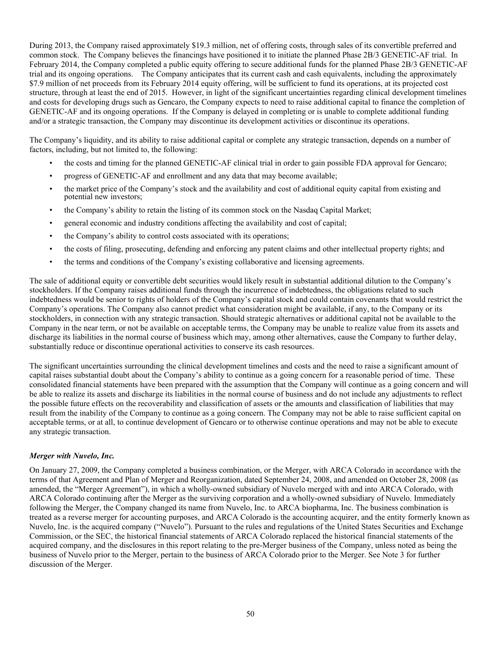During 2013, the Company raised approximately \$19.3 million, net of offering costs, through sales of its convertible preferred and common stock. The Company believes the financings have positioned it to initiate the planned Phase 2B/3 GENETIC-AF trial. In February 2014, the Company completed a public equity offering to secure additional funds for the planned Phase 2B/3 GENETIC-AF trial and its ongoing operations. The Company anticipates that its current cash and cash equivalents, including the approximately \$7.9 million of net proceeds from its February 2014 equity offering, will be sufficient to fund its operations, at its projected cost structure, through at least the end of 2015. However, in light of the significant uncertainties regarding clinical development timelines and costs for developing drugs such as Gencaro, the Company expects to need to raise additional capital to finance the completion of GENETIC-AF and its ongoing operations. If the Company is delayed in completing or is unable to complete additional funding and/or a strategic transaction, the Company may discontinue its development activities or discontinue its operations.

The Company's liquidity, and its ability to raise additional capital or complete any strategic transaction, depends on a number of factors, including, but not limited to, the following:

- the costs and timing for the planned GENETIC-AF clinical trial in order to gain possible FDA approval for Gencaro;
- progress of GENETIC-AF and enrollment and any data that may become available;
- the market price of the Company's stock and the availability and cost of additional equity capital from existing and potential new investors;
- the Company's ability to retain the listing of its common stock on the Nasdaq Capital Market;
- general economic and industry conditions affecting the availability and cost of capital;
- the Company's ability to control costs associated with its operations;
- the costs of filing, prosecuting, defending and enforcing any patent claims and other intellectual property rights; and
- the terms and conditions of the Company's existing collaborative and licensing agreements.

The sale of additional equity or convertible debt securities would likely result in substantial additional dilution to the Company's stockholders. If the Company raises additional funds through the incurrence of indebtedness, the obligations related to such indebtedness would be senior to rights of holders of the Company's capital stock and could contain covenants that would restrict the Company's operations. The Company also cannot predict what consideration might be available, if any, to the Company or its stockholders, in connection with any strategic transaction. Should strategic alternatives or additional capital not be available to the Company in the near term, or not be available on acceptable terms, the Company may be unable to realize value from its assets and discharge its liabilities in the normal course of business which may, among other alternatives, cause the Company to further delay, substantially reduce or discontinue operational activities to conserve its cash resources.

The significant uncertainties surrounding the clinical development timelines and costs and the need to raise a significant amount of capital raises substantial doubt about the Company's ability to continue as a going concern for a reasonable period of time. These consolidated financial statements have been prepared with the assumption that the Company will continue as a going concern and will be able to realize its assets and discharge its liabilities in the normal course of business and do not include any adjustments to reflect the possible future effects on the recoverability and classification of assets or the amounts and classification of liabilities that may result from the inability of the Company to continue as a going concern. The Company may not be able to raise sufficient capital on acceptable terms, or at all, to continue development of Gencaro or to otherwise continue operations and may not be able to execute any strategic transaction.

#### *Merger with Nuvelo, Inc.*

On January 27, 2009, the Company completed a business combination, or the Merger, with ARCA Colorado in accordance with the terms of that Agreement and Plan of Merger and Reorganization, dated September 24, 2008, and amended on October 28, 2008 (as amended, the "Merger Agreement"), in which a wholly-owned subsidiary of Nuvelo merged with and into ARCA Colorado, with ARCA Colorado continuing after the Merger as the surviving corporation and a wholly-owned subsidiary of Nuvelo. Immediately following the Merger, the Company changed its name from Nuvelo, Inc. to ARCA biopharma, Inc. The business combination is treated as a reverse merger for accounting purposes, and ARCA Colorado is the accounting acquirer, and the entity formerly known as Nuvelo, Inc. is the acquired company ("Nuvelo"). Pursuant to the rules and regulations of the United States Securities and Exchange Commission, or the SEC, the historical financial statements of ARCA Colorado replaced the historical financial statements of the acquired company, and the disclosures in this report relating to the pre-Merger business of the Company, unless noted as being the business of Nuvelo prior to the Merger, pertain to the business of ARCA Colorado prior to the Merger. See Note 3 for further discussion of the Merger.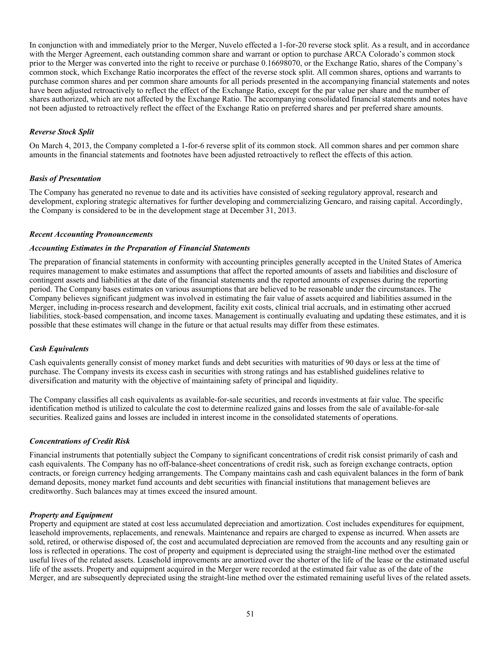In conjunction with and immediately prior to the Merger, Nuvelo effected a 1-for-20 reverse stock split. As a result, and in accordance with the Merger Agreement, each outstanding common share and warrant or option to purchase ARCA Colorado's common stock prior to the Merger was converted into the right to receive or purchase 0.16698070, or the Exchange Ratio, shares of the Company's common stock, which Exchange Ratio incorporates the effect of the reverse stock split. All common shares, options and warrants to purchase common shares and per common share amounts for all periods presented in the accompanying financial statements and notes have been adjusted retroactively to reflect the effect of the Exchange Ratio, except for the par value per share and the number of shares authorized, which are not affected by the Exchange Ratio. The accompanying consolidated financial statements and notes have not been adjusted to retroactively reflect the effect of the Exchange Ratio on preferred shares and per preferred share amounts.

## *Reverse Stock Split*

On March 4, 2013, the Company completed a 1-for-6 reverse split of its common stock. All common shares and per common share amounts in the financial statements and footnotes have been adjusted retroactively to reflect the effects of this action.

## *Basis of Presentation*

The Company has generated no revenue to date and its activities have consisted of seeking regulatory approval, research and development, exploring strategic alternatives for further developing and commercializing Gencaro, and raising capital. Accordingly, the Company is considered to be in the development stage at December 31, 2013.

#### *Recent Accounting Pronouncements*

#### *Accounting Estimates in the Preparation of Financial Statements*

The preparation of financial statements in conformity with accounting principles generally accepted in the United States of America requires management to make estimates and assumptions that affect the reported amounts of assets and liabilities and disclosure of contingent assets and liabilities at the date of the financial statements and the reported amounts of expenses during the reporting period. The Company bases estimates on various assumptions that are believed to be reasonable under the circumstances. The Company believes significant judgment was involved in estimating the fair value of assets acquired and liabilities assumed in the Merger, including in-process research and development, facility exit costs, clinical trial accruals, and in estimating other accrued liabilities, stock-based compensation, and income taxes. Management is continually evaluating and updating these estimates, and it is possible that these estimates will change in the future or that actual results may differ from these estimates.

## *Cash Equivalents*

Cash equivalents generally consist of money market funds and debt securities with maturities of 90 days or less at the time of purchase. The Company invests its excess cash in securities with strong ratings and has established guidelines relative to diversification and maturity with the objective of maintaining safety of principal and liquidity.

The Company classifies all cash equivalents as available-for-sale securities, and records investments at fair value. The specific identification method is utilized to calculate the cost to determine realized gains and losses from the sale of available-for-sale securities. Realized gains and losses are included in interest income in the consolidated statements of operations.

#### *Concentrations of Credit Risk*

Financial instruments that potentially subject the Company to significant concentrations of credit risk consist primarily of cash and cash equivalents. The Company has no off-balance-sheet concentrations of credit risk, such as foreign exchange contracts, option contracts, or foreign currency hedging arrangements. The Company maintains cash and cash equivalent balances in the form of bank demand deposits, money market fund accounts and debt securities with financial institutions that management believes are creditworthy. Such balances may at times exceed the insured amount.

#### *Property and Equipment*

Property and equipment are stated at cost less accumulated depreciation and amortization. Cost includes expenditures for equipment, leasehold improvements, replacements, and renewals. Maintenance and repairs are charged to expense as incurred. When assets are sold, retired, or otherwise disposed of, the cost and accumulated depreciation are removed from the accounts and any resulting gain or loss is reflected in operations. The cost of property and equipment is depreciated using the straight-line method over the estimated useful lives of the related assets. Leasehold improvements are amortized over the shorter of the life of the lease or the estimated useful life of the assets. Property and equipment acquired in the Merger were recorded at the estimated fair value as of the date of the Merger, and are subsequently depreciated using the straight-line method over the estimated remaining useful lives of the related assets.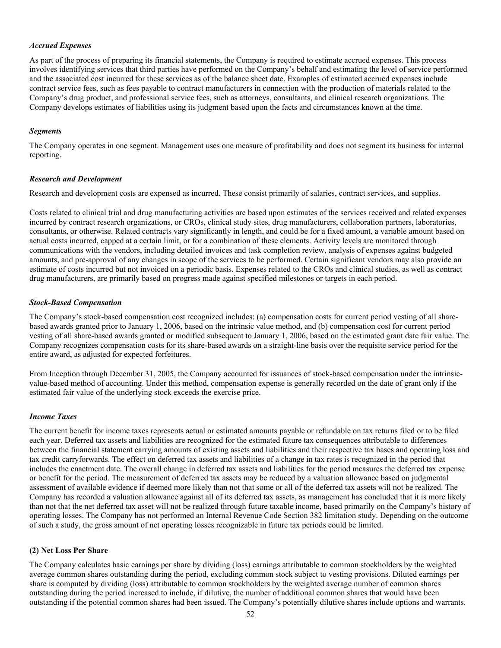## *Accrued Expenses*

As part of the process of preparing its financial statements, the Company is required to estimate accrued expenses. This process involves identifying services that third parties have performed on the Company's behalf and estimating the level of service performed and the associated cost incurred for these services as of the balance sheet date. Examples of estimated accrued expenses include contract service fees, such as fees payable to contract manufacturers in connection with the production of materials related to the Company's drug product, and professional service fees, such as attorneys, consultants, and clinical research organizations. The Company develops estimates of liabilities using its judgment based upon the facts and circumstances known at the time.

## *Segments*

The Company operates in one segment. Management uses one measure of profitability and does not segment its business for internal reporting.

#### *Research and Development*

Research and development costs are expensed as incurred. These consist primarily of salaries, contract services, and supplies.

Costs related to clinical trial and drug manufacturing activities are based upon estimates of the services received and related expenses incurred by contract research organizations, or CROs, clinical study sites, drug manufacturers, collaboration partners, laboratories, consultants, or otherwise. Related contracts vary significantly in length, and could be for a fixed amount, a variable amount based on actual costs incurred, capped at a certain limit, or for a combination of these elements. Activity levels are monitored through communications with the vendors, including detailed invoices and task completion review, analysis of expenses against budgeted amounts, and pre-approval of any changes in scope of the services to be performed. Certain significant vendors may also provide an estimate of costs incurred but not invoiced on a periodic basis. Expenses related to the CROs and clinical studies, as well as contract drug manufacturers, are primarily based on progress made against specified milestones or targets in each period.

#### *Stock-Based Compensation*

The Company's stock-based compensation cost recognized includes: (a) compensation costs for current period vesting of all sharebased awards granted prior to January 1, 2006, based on the intrinsic value method, and (b) compensation cost for current period vesting of all share-based awards granted or modified subsequent to January 1, 2006, based on the estimated grant date fair value. The Company recognizes compensation costs for its share-based awards on a straight-line basis over the requisite service period for the entire award, as adjusted for expected forfeitures.

From Inception through December 31, 2005, the Company accounted for issuances of stock-based compensation under the intrinsicvalue-based method of accounting. Under this method, compensation expense is generally recorded on the date of grant only if the estimated fair value of the underlying stock exceeds the exercise price.

## *Income Taxes*

The current benefit for income taxes represents actual or estimated amounts payable or refundable on tax returns filed or to be filed each year. Deferred tax assets and liabilities are recognized for the estimated future tax consequences attributable to differences between the financial statement carrying amounts of existing assets and liabilities and their respective tax bases and operating loss and tax credit carryforwards. The effect on deferred tax assets and liabilities of a change in tax rates is recognized in the period that includes the enactment date. The overall change in deferred tax assets and liabilities for the period measures the deferred tax expense or benefit for the period. The measurement of deferred tax assets may be reduced by a valuation allowance based on judgmental assessment of available evidence if deemed more likely than not that some or all of the deferred tax assets will not be realized. The Company has recorded a valuation allowance against all of its deferred tax assets, as management has concluded that it is more likely than not that the net deferred tax asset will not be realized through future taxable income, based primarily on the Company's history of operating losses. The Company has not performed an Internal Revenue Code Section 382 limitation study. Depending on the outcome of such a study, the gross amount of net operating losses recognizable in future tax periods could be limited.

## **(2) Net Loss Per Share**

The Company calculates basic earnings per share by dividing (loss) earnings attributable to common stockholders by the weighted average common shares outstanding during the period, excluding common stock subject to vesting provisions. Diluted earnings per share is computed by dividing (loss) attributable to common stockholders by the weighted average number of common shares outstanding during the period increased to include, if dilutive, the number of additional common shares that would have been outstanding if the potential common shares had been issued. The Company's potentially dilutive shares include options and warrants.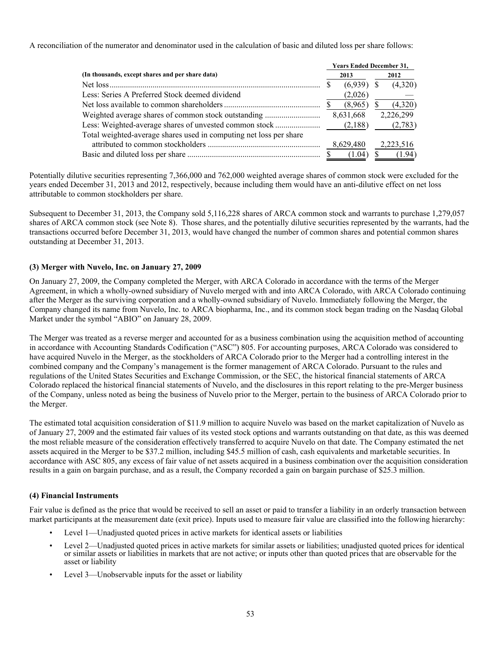A reconciliation of the numerator and denominator used in the calculation of basic and diluted loss per share follows:

|                                                                    | <b>Years Ended December 31,</b> |              |  |                      |  |  |  |  |
|--------------------------------------------------------------------|---------------------------------|--------------|--|----------------------|--|--|--|--|
| (In thousands, except shares and per share data)                   |                                 | 2013         |  | 2012                 |  |  |  |  |
|                                                                    |                                 | $(6,939)$ \$ |  | (4,320)              |  |  |  |  |
| Less: Series A Preferred Stock deemed dividend                     |                                 | (2,026)      |  |                      |  |  |  |  |
|                                                                    |                                 | (8,965)      |  | (4,320)              |  |  |  |  |
|                                                                    |                                 | 8,631,668    |  | 2,226,299            |  |  |  |  |
|                                                                    |                                 | (2,188)      |  | (2,783)              |  |  |  |  |
| Total weighted-average shares used in computing net loss per share |                                 |              |  |                      |  |  |  |  |
|                                                                    |                                 | 8,629,480    |  | 2,223,516            |  |  |  |  |
|                                                                    |                                 |              |  | $(1.04)$ \$ $(1.94)$ |  |  |  |  |

Potentially dilutive securities representing 7,366,000 and 762,000 weighted average shares of common stock were excluded for the years ended December 31, 2013 and 2012, respectively, because including them would have an anti-dilutive effect on net loss attributable to common stockholders per share.

Subsequent to December 31, 2013, the Company sold 5,116,228 shares of ARCA common stock and warrants to purchase 1,279,057 shares of ARCA common stock (see Note 8). Those shares, and the potentially dilutive securities represented by the warrants, had the transactions occurred before December 31, 2013, would have changed the number of common shares and potential common shares outstanding at December 31, 2013.

# **(3) Merger with Nuvelo, Inc. on January 27, 2009**

On January 27, 2009, the Company completed the Merger, with ARCA Colorado in accordance with the terms of the Merger Agreement, in which a wholly-owned subsidiary of Nuvelo merged with and into ARCA Colorado, with ARCA Colorado continuing after the Merger as the surviving corporation and a wholly-owned subsidiary of Nuvelo. Immediately following the Merger, the Company changed its name from Nuvelo, Inc. to ARCA biopharma, Inc., and its common stock began trading on the Nasdaq Global Market under the symbol "ABIO" on January 28, 2009.

The Merger was treated as a reverse merger and accounted for as a business combination using the acquisition method of accounting in accordance with Accounting Standards Codification ("ASC") 805. For accounting purposes, ARCA Colorado was considered to have acquired Nuvelo in the Merger, as the stockholders of ARCA Colorado prior to the Merger had a controlling interest in the combined company and the Company's management is the former management of ARCA Colorado. Pursuant to the rules and regulations of the United States Securities and Exchange Commission, or the SEC, the historical financial statements of ARCA Colorado replaced the historical financial statements of Nuvelo, and the disclosures in this report relating to the pre-Merger business of the Company, unless noted as being the business of Nuvelo prior to the Merger, pertain to the business of ARCA Colorado prior to the Merger.

The estimated total acquisition consideration of \$11.9 million to acquire Nuvelo was based on the market capitalization of Nuvelo as of January 27, 2009 and the estimated fair values of its vested stock options and warrants outstanding on that date, as this was deemed the most reliable measure of the consideration effectively transferred to acquire Nuvelo on that date. The Company estimated the net assets acquired in the Merger to be \$37.2 million, including \$45.5 million of cash, cash equivalents and marketable securities. In accordance with ASC 805, any excess of fair value of net assets acquired in a business combination over the acquisition consideration results in a gain on bargain purchase, and as a result, the Company recorded a gain on bargain purchase of \$25.3 million.

## **(4) Financial Instruments**

Fair value is defined as the price that would be received to sell an asset or paid to transfer a liability in an orderly transaction between market participants at the measurement date (exit price). Inputs used to measure fair value are classified into the following hierarchy:

- Level 1—Unadjusted quoted prices in active markets for identical assets or liabilities
- Level 2—Unadjusted quoted prices in active markets for similar assets or liabilities; unadjusted quoted prices for identical or similar assets or liabilities in markets that are not active; or inputs other than quoted prices that are observable for the asset or liability
- Level 3—Unobservable inputs for the asset or liability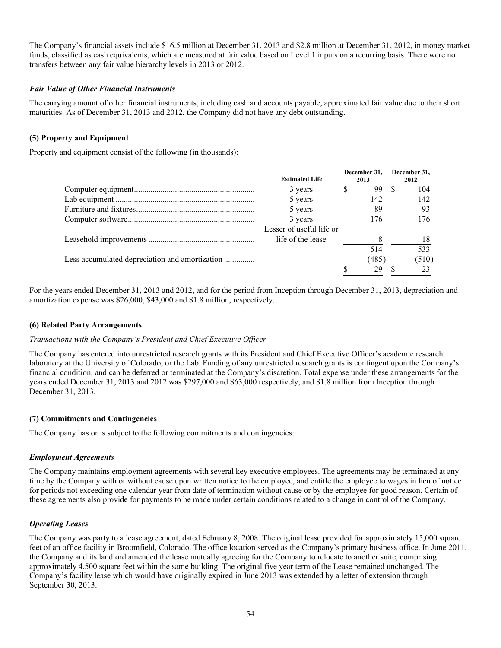The Company's financial assets include \$16.5 million at December 31, 2013 and \$2.8 million at December 31, 2012, in money market funds, classified as cash equivalents, which are measured at fair value based on Level 1 inputs on a recurring basis. There were no transfers between any fair value hierarchy levels in 2013 or 2012.

## *Fair Value of Other Financial Instruments*

The carrying amount of other financial instruments, including cash and accounts payable, approximated fair value due to their short maturities. As of December 31, 2013 and 2012, the Company did not have any debt outstanding.

# **(5) Property and Equipment**

Property and equipment consist of the following (in thousands):

|                                                | <b>Estimated Life</b>    | December 31,<br>2013 | December 31,<br>2012 |
|------------------------------------------------|--------------------------|----------------------|----------------------|
|                                                | 3 years                  | 99                   | 104                  |
|                                                | 5 years                  | 142                  | 142                  |
|                                                | 5 years                  | 89                   | 93                   |
|                                                | 3 years                  | 176                  | 176                  |
|                                                | Lesser of useful life or |                      |                      |
|                                                | life of the lease        |                      | 18                   |
|                                                |                          | 514                  | 533                  |
| Less accumulated depreciation and amortization |                          | (485)                | (510)                |
|                                                |                          | 29                   | 23                   |

For the years ended December 31, 2013 and 2012, and for the period from Inception through December 31, 2013, depreciation and amortization expense was \$26,000, \$43,000 and \$1.8 million, respectively.

## **(6) Related Party Arrangements**

## *Transactions with the Company's President and Chief Executive Officer*

The Company has entered into unrestricted research grants with its President and Chief Executive Officer's academic research laboratory at the University of Colorado, or the Lab. Funding of any unrestricted research grants is contingent upon the Company's financial condition, and can be deferred or terminated at the Company's discretion. Total expense under these arrangements for the years ended December 31, 2013 and 2012 was \$297,000 and \$63,000 respectively, and \$1.8 million from Inception through December 31, 2013.

## **(7) Commitments and Contingencies**

The Company has or is subject to the following commitments and contingencies:

## *Employment Agreements*

The Company maintains employment agreements with several key executive employees. The agreements may be terminated at any time by the Company with or without cause upon written notice to the employee, and entitle the employee to wages in lieu of notice for periods not exceeding one calendar year from date of termination without cause or by the employee for good reason. Certain of these agreements also provide for payments to be made under certain conditions related to a change in control of the Company.

## *Operating Leases*

The Company was party to a lease agreement, dated February 8, 2008. The original lease provided for approximately 15,000 square feet of an office facility in Broomfield, Colorado. The office location served as the Company's primary business office. In June 2011, the Company and its landlord amended the lease mutually agreeing for the Company to relocate to another suite, comprising approximately 4,500 square feet within the same building. The original five year term of the Lease remained unchanged. The Company's facility lease which would have originally expired in June 2013 was extended by a letter of extension through September 30, 2013.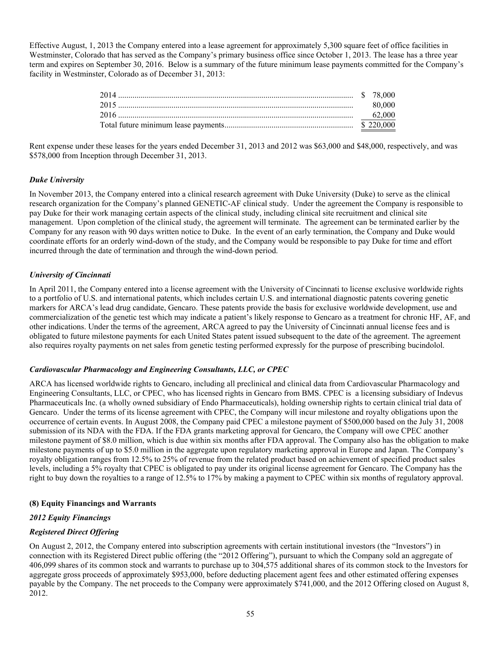Effective August, 1, 2013 the Company entered into a lease agreement for approximately 5,300 square feet of office facilities in Westminster, Colorado that has served as the Company's primary business office since October 1, 2013. The lease has a three year term and expires on September 30, 2016. Below is a summary of the future minimum lease payments committed for the Company's facility in Westminster, Colorado as of December 31, 2013:

| 2014 |        |
|------|--------|
|      | 80.000 |
|      | 62,000 |
|      |        |

Rent expense under these leases for the years ended December 31, 2013 and 2012 was \$63,000 and \$48,000, respectively, and was \$578,000 from Inception through December 31, 2013.

## *Duke University*

In November 2013, the Company entered into a clinical research agreement with Duke University (Duke) to serve as the clinical research organization for the Company's planned GENETIC-AF clinical study. Under the agreement the Company is responsible to pay Duke for their work managing certain aspects of the clinical study, including clinical site recruitment and clinical site management. Upon completion of the clinical study, the agreement will terminate. The agreement can be terminated earlier by the Company for any reason with 90 days written notice to Duke. In the event of an early termination, the Company and Duke would coordinate efforts for an orderly wind-down of the study, and the Company would be responsible to pay Duke for time and effort incurred through the date of termination and through the wind-down period.

# *University of Cincinnati*

In April 2011, the Company entered into a license agreement with the University of Cincinnati to license exclusive worldwide rights to a portfolio of U.S. and international patents, which includes certain U.S. and international diagnostic patents covering genetic markers for ARCA's lead drug candidate, Gencaro. These patents provide the basis for exclusive worldwide development, use and commercialization of the genetic test which may indicate a patient's likely response to Gencaro as a treatment for chronic HF, AF, and other indications. Under the terms of the agreement, ARCA agreed to pay the University of Cincinnati annual license fees and is obligated to future milestone payments for each United States patent issued subsequent to the date of the agreement. The agreement also requires royalty payments on net sales from genetic testing performed expressly for the purpose of prescribing bucindolol.

## *Cardiovascular Pharmacology and Engineering Consultants, LLC, or CPEC*

ARCA has licensed worldwide rights to Gencaro, including all preclinical and clinical data from Cardiovascular Pharmacology and Engineering Consultants, LLC, or CPEC, who has licensed rights in Gencaro from BMS. CPEC is a licensing subsidiary of Indevus Pharmaceuticals Inc. (a wholly owned subsidiary of Endo Pharmaceuticals), holding ownership rights to certain clinical trial data of Gencaro. Under the terms of its license agreement with CPEC, the Company will incur milestone and royalty obligations upon the occurrence of certain events. In August 2008, the Company paid CPEC a milestone payment of \$500,000 based on the July 31, 2008 submission of its NDA with the FDA. If the FDA grants marketing approval for Gencaro, the Company will owe CPEC another milestone payment of \$8.0 million, which is due within six months after FDA approval. The Company also has the obligation to make milestone payments of up to \$5.0 million in the aggregate upon regulatory marketing approval in Europe and Japan. The Company's royalty obligation ranges from 12.5% to 25% of revenue from the related product based on achievement of specified product sales levels, including a 5% royalty that CPEC is obligated to pay under its original license agreement for Gencaro. The Company has the right to buy down the royalties to a range of 12.5% to 17% by making a payment to CPEC within six months of regulatory approval.

## **(8) Equity Financings and Warrants**

## *2012 Equity Financings*

## *Registered Direct Offering*

On August 2, 2012, the Company entered into subscription agreements with certain institutional investors (the "Investors") in connection with its Registered Direct public offering (the "2012 Offering"), pursuant to which the Company sold an aggregate of 406,099 shares of its common stock and warrants to purchase up to 304,575 additional shares of its common stock to the Investors for aggregate gross proceeds of approximately \$953,000, before deducting placement agent fees and other estimated offering expenses payable by the Company. The net proceeds to the Company were approximately \$741,000, and the 2012 Offering closed on August 8, 2012.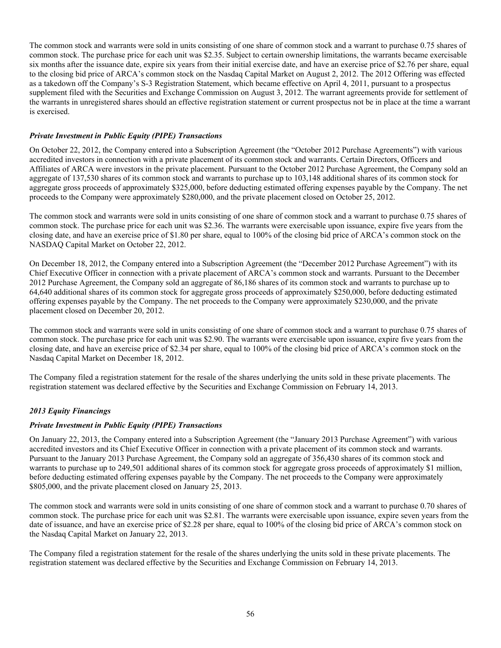The common stock and warrants were sold in units consisting of one share of common stock and a warrant to purchase 0.75 shares of common stock. The purchase price for each unit was \$2.35. Subject to certain ownership limitations, the warrants became exercisable six months after the issuance date, expire six years from their initial exercise date, and have an exercise price of \$2.76 per share, equal to the closing bid price of ARCA's common stock on the Nasdaq Capital Market on August 2, 2012. The 2012 Offering was effected as a takedown off the Company's S-3 Registration Statement, which became effective on April 4, 2011, pursuant to a prospectus supplement filed with the Securities and Exchange Commission on August 3, 2012. The warrant agreements provide for settlement of the warrants in unregistered shares should an effective registration statement or current prospectus not be in place at the time a warrant is exercised.

# *Private Investment in Public Equity (PIPE) Transactions*

On October 22, 2012, the Company entered into a Subscription Agreement (the "October 2012 Purchase Agreements") with various accredited investors in connection with a private placement of its common stock and warrants. Certain Directors, Officers and Affiliates of ARCA were investors in the private placement. Pursuant to the October 2012 Purchase Agreement, the Company sold an aggregate of 137,530 shares of its common stock and warrants to purchase up to 103,148 additional shares of its common stock for aggregate gross proceeds of approximately \$325,000, before deducting estimated offering expenses payable by the Company. The net proceeds to the Company were approximately \$280,000, and the private placement closed on October 25, 2012.

The common stock and warrants were sold in units consisting of one share of common stock and a warrant to purchase 0.75 shares of common stock. The purchase price for each unit was \$2.36. The warrants were exercisable upon issuance, expire five years from the closing date, and have an exercise price of \$1.80 per share, equal to 100% of the closing bid price of ARCA's common stock on the NASDAQ Capital Market on October 22, 2012.

On December 18, 2012, the Company entered into a Subscription Agreement (the "December 2012 Purchase Agreement") with its Chief Executive Officer in connection with a private placement of ARCA's common stock and warrants. Pursuant to the December 2012 Purchase Agreement, the Company sold an aggregate of 86,186 shares of its common stock and warrants to purchase up to 64,640 additional shares of its common stock for aggregate gross proceeds of approximately \$250,000, before deducting estimated offering expenses payable by the Company. The net proceeds to the Company were approximately \$230,000, and the private placement closed on December 20, 2012.

The common stock and warrants were sold in units consisting of one share of common stock and a warrant to purchase 0.75 shares of common stock. The purchase price for each unit was \$2.90. The warrants were exercisable upon issuance, expire five years from the closing date, and have an exercise price of \$2.34 per share, equal to 100% of the closing bid price of ARCA's common stock on the Nasdaq Capital Market on December 18, 2012.

The Company filed a registration statement for the resale of the shares underlying the units sold in these private placements. The registration statement was declared effective by the Securities and Exchange Commission on February 14, 2013.

# *2013 Equity Financings*

## *Private Investment in Public Equity (PIPE) Transactions*

On January 22, 2013, the Company entered into a Subscription Agreement (the "January 2013 Purchase Agreement") with various accredited investors and its Chief Executive Officer in connection with a private placement of its common stock and warrants. Pursuant to the January 2013 Purchase Agreement, the Company sold an aggregate of 356,430 shares of its common stock and warrants to purchase up to 249,501 additional shares of its common stock for aggregate gross proceeds of approximately \$1 million, before deducting estimated offering expenses payable by the Company. The net proceeds to the Company were approximately \$805,000, and the private placement closed on January 25, 2013.

The common stock and warrants were sold in units consisting of one share of common stock and a warrant to purchase 0.70 shares of common stock. The purchase price for each unit was \$2.81. The warrants were exercisable upon issuance, expire seven years from the date of issuance, and have an exercise price of \$2.28 per share, equal to 100% of the closing bid price of ARCA's common stock on the Nasdaq Capital Market on January 22, 2013.

The Company filed a registration statement for the resale of the shares underlying the units sold in these private placements. The registration statement was declared effective by the Securities and Exchange Commission on February 14, 2013.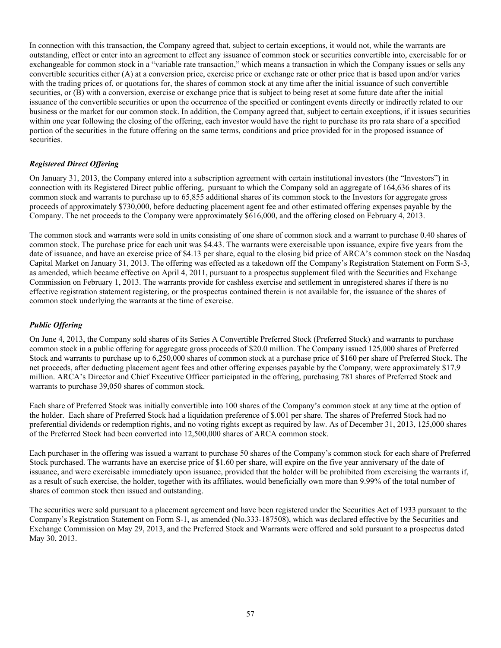In connection with this transaction, the Company agreed that, subject to certain exceptions, it would not, while the warrants are outstanding, effect or enter into an agreement to effect any issuance of common stock or securities convertible into, exercisable for or exchangeable for common stock in a "variable rate transaction," which means a transaction in which the Company issues or sells any convertible securities either (A) at a conversion price, exercise price or exchange rate or other price that is based upon and/or varies with the trading prices of, or quotations for, the shares of common stock at any time after the initial issuance of such convertible securities, or (B) with a conversion, exercise or exchange price that is subject to being reset at some future date after the initial issuance of the convertible securities or upon the occurrence of the specified or contingent events directly or indirectly related to our business or the market for our common stock. In addition, the Company agreed that, subject to certain exceptions, if it issues securities within one year following the closing of the offering, each investor would have the right to purchase its pro rata share of a specified portion of the securities in the future offering on the same terms, conditions and price provided for in the proposed issuance of securities.

# *Registered Direct Offering*

On January 31, 2013, the Company entered into a subscription agreement with certain institutional investors (the "Investors") in connection with its Registered Direct public offering, pursuant to which the Company sold an aggregate of 164,636 shares of its common stock and warrants to purchase up to 65,855 additional shares of its common stock to the Investors for aggregate gross proceeds of approximately \$730,000, before deducting placement agent fee and other estimated offering expenses payable by the Company. The net proceeds to the Company were approximately \$616,000, and the offering closed on February 4, 2013.

The common stock and warrants were sold in units consisting of one share of common stock and a warrant to purchase 0.40 shares of common stock. The purchase price for each unit was \$4.43. The warrants were exercisable upon issuance, expire five years from the date of issuance, and have an exercise price of \$4.13 per share, equal to the closing bid price of ARCA's common stock on the Nasdaq Capital Market on January 31, 2013. The offering was effected as a takedown off the Company's Registration Statement on Form S-3, as amended, which became effective on April 4, 2011, pursuant to a prospectus supplement filed with the Securities and Exchange Commission on February 1, 2013. The warrants provide for cashless exercise and settlement in unregistered shares if there is no effective registration statement registering, or the prospectus contained therein is not available for, the issuance of the shares of common stock underlying the warrants at the time of exercise.

## *Public Offering*

On June 4, 2013, the Company sold shares of its Series A Convertible Preferred Stock (Preferred Stock) and warrants to purchase common stock in a public offering for aggregate gross proceeds of \$20.0 million. The Company issued 125,000 shares of Preferred Stock and warrants to purchase up to 6,250,000 shares of common stock at a purchase price of \$160 per share of Preferred Stock. The net proceeds, after deducting placement agent fees and other offering expenses payable by the Company, were approximately \$17.9 million. ARCA's Director and Chief Executive Officer participated in the offering, purchasing 781 shares of Preferred Stock and warrants to purchase 39,050 shares of common stock.

Each share of Preferred Stock was initially convertible into 100 shares of the Company's common stock at any time at the option of the holder. Each share of Preferred Stock had a liquidation preference of \$.001 per share. The shares of Preferred Stock had no preferential dividends or redemption rights, and no voting rights except as required by law. As of December 31, 2013, 125,000 shares of the Preferred Stock had been converted into 12,500,000 shares of ARCA common stock.

Each purchaser in the offering was issued a warrant to purchase 50 shares of the Company's common stock for each share of Preferred Stock purchased. The warrants have an exercise price of \$1.60 per share, will expire on the five year anniversary of the date of issuance, and were exercisable immediately upon issuance, provided that the holder will be prohibited from exercising the warrants if, as a result of such exercise, the holder, together with its affiliates, would beneficially own more than 9.99% of the total number of shares of common stock then issued and outstanding.

The securities were sold pursuant to a placement agreement and have been registered under the Securities Act of 1933 pursuant to the Company's Registration Statement on Form S-1, as amended (No.333-187508), which was declared effective by the Securities and Exchange Commission on May 29, 2013, and the Preferred Stock and Warrants were offered and sold pursuant to a prospectus dated May 30, 2013.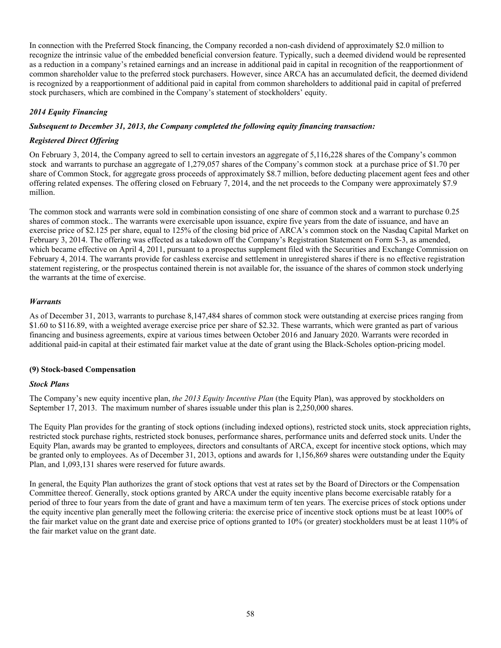In connection with the Preferred Stock financing, the Company recorded a non-cash dividend of approximately \$2.0 million to recognize the intrinsic value of the embedded beneficial conversion feature. Typically, such a deemed dividend would be represented as a reduction in a company's retained earnings and an increase in additional paid in capital in recognition of the reapportionment of common shareholder value to the preferred stock purchasers. However, since ARCA has an accumulated deficit, the deemed dividend is recognized by a reapportionment of additional paid in capital from common shareholders to additional paid in capital of preferred stock purchasers, which are combined in the Company's statement of stockholders' equity.

# *2014 Equity Financing*

## *Subsequent to December 31, 2013, the Company completed the following equity financing transaction:*

## *Registered Direct Offering*

On February 3, 2014, the Company agreed to sell to certain investors an aggregate of 5,116,228 shares of the Company's common stock and warrants to purchase an aggregate of 1,279,057 shares of the Company's common stock at a purchase price of \$1.70 per share of Common Stock, for aggregate gross proceeds of approximately \$8.7 million, before deducting placement agent fees and other offering related expenses. The offering closed on February 7, 2014, and the net proceeds to the Company were approximately \$7.9 million.

The common stock and warrants were sold in combination consisting of one share of common stock and a warrant to purchase 0.25 shares of common stock.. The warrants were exercisable upon issuance, expire five years from the date of issuance, and have an exercise price of \$2.125 per share, equal to 125% of the closing bid price of ARCA's common stock on the Nasdaq Capital Market on February 3, 2014. The offering was effected as a takedown off the Company's Registration Statement on Form S-3, as amended, which became effective on April 4, 2011, pursuant to a prospectus supplement filed with the Securities and Exchange Commission on February 4, 2014. The warrants provide for cashless exercise and settlement in unregistered shares if there is no effective registration statement registering, or the prospectus contained therein is not available for, the issuance of the shares of common stock underlying the warrants at the time of exercise.

# *Warrants*

As of December 31, 2013, warrants to purchase 8,147,484 shares of common stock were outstanding at exercise prices ranging from \$1.60 to \$116.89, with a weighted average exercise price per share of \$2.32. These warrants, which were granted as part of various financing and business agreements, expire at various times between October 2016 and January 2020. Warrants were recorded in additional paid-in capital at their estimated fair market value at the date of grant using the Black-Scholes option-pricing model.

## **(9) Stock-based Compensation**

## *Stock Plans*

The Company's new equity incentive plan, *the 2013 Equity Incentive Plan* (the Equity Plan), was approved by stockholders on September 17, 2013. The maximum number of shares issuable under this plan is 2,250,000 shares.

The Equity Plan provides for the granting of stock options (including indexed options), restricted stock units, stock appreciation rights, restricted stock purchase rights, restricted stock bonuses, performance shares, performance units and deferred stock units. Under the Equity Plan, awards may be granted to employees, directors and consultants of ARCA, except for incentive stock options, which may be granted only to employees. As of December 31, 2013, options and awards for 1,156,869 shares were outstanding under the Equity Plan, and 1,093,131 shares were reserved for future awards.

In general, the Equity Plan authorizes the grant of stock options that vest at rates set by the Board of Directors or the Compensation Committee thereof. Generally, stock options granted by ARCA under the equity incentive plans become exercisable ratably for a period of three to four years from the date of grant and have a maximum term of ten years. The exercise prices of stock options under the equity incentive plan generally meet the following criteria: the exercise price of incentive stock options must be at least 100% of the fair market value on the grant date and exercise price of options granted to 10% (or greater) stockholders must be at least 110% of the fair market value on the grant date.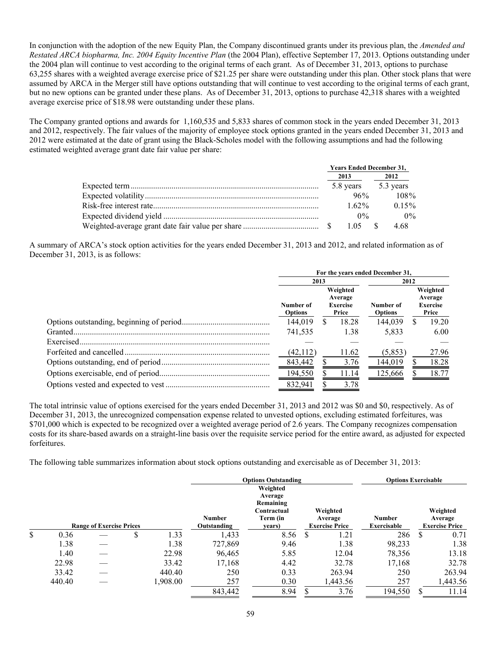In conjunction with the adoption of the new Equity Plan, the Company discontinued grants under its previous plan, the *Amended and Restated ARCA biopharma, Inc. 2004 Equity Incentive Plan* (the 2004 Plan), effective September 17, 2013. Options outstanding under the 2004 plan will continue to vest according to the original terms of each grant. As of December 31, 2013, options to purchase 63,255 shares with a weighted average exercise price of \$21.25 per share were outstanding under this plan. Other stock plans that were assumed by ARCA in the Merger still have options outstanding that will continue to vest according to the original terms of each grant, but no new options can be granted under these plans. As of December 31, 2013, options to purchase 42,318 shares with a weighted average exercise price of \$18.98 were outstanding under these plans.

The Company granted options and awards for 1,160,535 and 5,833 shares of common stock in the years ended December 31, 2013 and 2012, respectively. The fair values of the majority of employee stock options granted in the years ended December 31, 2013 and 2012 were estimated at the date of grant using the Black-Scholes model with the following assumptions and had the following estimated weighted average grant date fair value per share:

|  |          | <b>Years Ended December 31,</b> |
|--|----------|---------------------------------|
|  | 2013     | 2012                            |
|  |          | 5.8 years 5.3 years             |
|  | 96%      | $108\%$                         |
|  | $1.62\%$ | $0.15\%$                        |
|  | $0\%$    | $0\%$                           |
|  | 1.05 \$  | 4.68                            |

A summary of ARCA's stock option activities for the years ended December 31, 2013 and 2012, and related information as of December 31, 2013, is as follows:

|            | For the years ended December 31,                                               |      |                             |         |                                                 |       |
|------------|--------------------------------------------------------------------------------|------|-----------------------------|---------|-------------------------------------------------|-------|
|            |                                                                                | 2013 |                             |         | 2012                                            |       |
|            | Weighted<br>Average<br>Number of<br><b>Exercise</b><br>Price<br><b>Options</b> |      | Number of<br><b>Options</b> |         | Weighted<br>Average<br><b>Exercise</b><br>Price |       |
|            | 144.019                                                                        | S    | 18.28                       | 144.039 | S                                               | 19.20 |
|            | 741.535                                                                        |      | 1.38                        | 5,833   |                                                 | 6.00  |
| Exercised. |                                                                                |      |                             |         |                                                 |       |
|            | (42,112)                                                                       |      | 11.62                       | (5,853) |                                                 | 27.96 |
|            | 843,442                                                                        |      | 3.76                        | 144,019 |                                                 | 18.28 |
|            | 194,550                                                                        |      | 11.14                       | 125,666 |                                                 | 18.77 |
|            | 832,941                                                                        |      | 3.78                        |         |                                                 |       |

The total intrinsic value of options exercised for the years ended December 31, 2013 and 2012 was \$0 and \$0, respectively. As of December 31, 2013, the unrecognized compensation expense related to unvested options, excluding estimated forfeitures, was \$701,000 which is expected to be recognized over a weighted average period of 2.6 years. The Company recognizes compensation costs for its share-based awards on a straight-line basis over the requisite service period for the entire award, as adjusted for expected forfeitures.

The following table summarizes information about stock options outstanding and exercisable as of December 31, 2013:

|                                 |  |    |          |               | <b>Options Outstanding</b><br>Weighted          |   |                     |               |                       | <b>Options Exercisable</b> |  |  |
|---------------------------------|--|----|----------|---------------|-------------------------------------------------|---|---------------------|---------------|-----------------------|----------------------------|--|--|
|                                 |  |    |          | <b>Number</b> | Average<br>Remaining<br>Contractual<br>Term (in |   | Weighted<br>Average | <b>Number</b> |                       | Weighted<br>Average        |  |  |
| <b>Range of Exercise Prices</b> |  |    |          | Outstanding   | <b>Exercise Price</b><br>vears)                 |   | <b>Exercisable</b>  |               | <b>Exercise Price</b> |                            |  |  |
| \$<br>0.36                      |  | \$ | 1.33     | 1,433         | 8.56                                            | S | 1.21                | 286           | -S                    | 0.71                       |  |  |
| 1.38                            |  |    | 1.38     | 727,869       | 9.46                                            |   | 1.38                | 98,233        |                       | 1.38                       |  |  |
| 1.40                            |  |    | 22.98    | 96,465        | 5.85                                            |   | 12.04               | 78,356        |                       | 13.18                      |  |  |
| 22.98                           |  |    | 33.42    | 17,168        | 4.42                                            |   | 32.78               | 17,168        |                       | 32.78                      |  |  |
| 33.42                           |  |    | 440.40   | 250           | 0.33                                            |   | 263.94              | 250           |                       | 263.94                     |  |  |
| 440.40                          |  |    | 1,908.00 | 257           | 0.30                                            |   | 1,443.56            | 257           |                       | 1,443.56                   |  |  |
|                                 |  |    |          | 843,442       | 8.94                                            | S | 3.76                | 194,550       |                       | 11.14                      |  |  |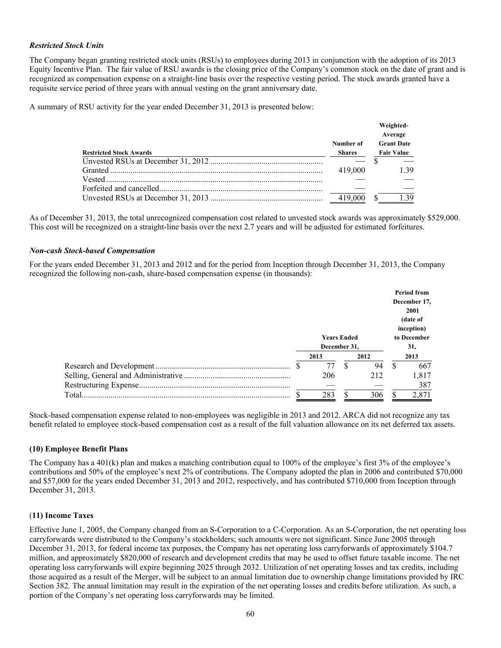## *Restricted Stock Units*

The Company began granting restricted stock units (RSUs) to employees during 2013 in conjunction with the adoption of its 2013 Equity Incentive Plan. The fair value of RSU awards is the closing price of the Company's common stock on the date of grant and is recognized as compensation expense on a straight-line basis over the respective vesting period. The stock awards granted have a requisite service period of three years with annual vesting on the grant anniversary date.

A summary of RSU activity for the year ended December 31, 2013 is presented below:

|                                |                            | Weighted-<br>Average                   |  |  |
|--------------------------------|----------------------------|----------------------------------------|--|--|
| <b>Restricted Stock Awards</b> | Number of<br><b>Shares</b> | <b>Grant Date</b><br><b>Fair Value</b> |  |  |
|                                |                            |                                        |  |  |
|                                | 419,000                    | 1 39                                   |  |  |
|                                |                            |                                        |  |  |
|                                |                            |                                        |  |  |
|                                | 419,000                    | 1 39                                   |  |  |

As of December 31, 2013, the total unrecognized compensation cost related to unvested stock awards was approximately \$529,000. This cost will be recognized on a straight-line basis over the next 2.7 years and will be adjusted for estimated forfeitures.

#### *Non-cash Stock-based Compensation*

For the years ended December 31, 2013 and 2012 and for the period from Inception through December 31, 2013, the Company recognized the following non-cash, share-based compensation expense (in thousands):

|  | <b>Years Ended</b> |  |      |     | <b>Period from</b><br>December 17,<br>2001<br>(date of<br>inception)<br>to December |  |
|--|--------------------|--|------|-----|-------------------------------------------------------------------------------------|--|
|  | December 31.       |  |      | 31, |                                                                                     |  |
|  | 2013               |  | 2012 |     | 2013                                                                                |  |
|  | 77                 |  | 94   |     | 667                                                                                 |  |
|  | 206                |  | 212  |     | 1,817                                                                               |  |
|  |                    |  |      |     | 387                                                                                 |  |
|  | 283                |  | 306  |     | 2,871                                                                               |  |

Stock-based compensation expense related to non-employees was negligible in 2013 and 2012. ARCA did not recognize any tax benefit related to employee stock-based compensation cost as a result of the full valuation allowance on its net deferred tax assets.

## **(10) Employee Benefit Plans**

The Company has a 401(k) plan and makes a matching contribution equal to 100% of the employee's first 3% of the employee's contributions and 50% of the employee's next 2% of contributions. The Company adopted the plan in 2006 and contributed \$70,000 and \$57,000 for the years ended December 31, 2013 and 2012, respectively, and has contributed \$710,000 from Inception through December 31, 2013.

## (**11) Income Taxes**

Effective June 1, 2005, the Company changed from an S-Corporation to a C-Corporation. As an S-Corporation, the net operating loss carryforwards were distributed to the Company's stockholders; such amounts were not significant. Since June 2005 through December 31, 2013, for federal income tax purposes, the Company has net operating loss carryforwards of approximately \$104.7 million, and approximately \$820,000 of research and development credits that may be used to offset future taxable income. The net operating loss carryforwards will expire beginning 2025 through 2032. Utilization of net operating losses and tax credits, including those acquired as a result of the Merger, will be subject to an annual limitation due to ownership change limitations provided by IRC Section 382. The annual limitation may result in the expiration of the net operating losses and credits before utilization. As such, a portion of the Company's net operating loss carryforwards may be limited.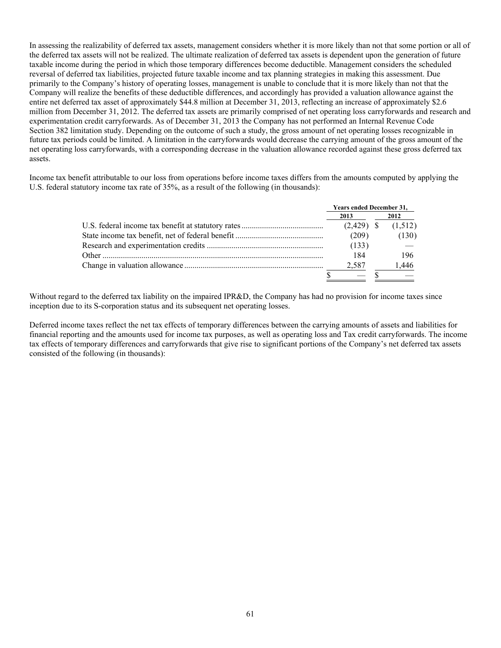In assessing the realizability of deferred tax assets, management considers whether it is more likely than not that some portion or all of the deferred tax assets will not be realized. The ultimate realization of deferred tax assets is dependent upon the generation of future taxable income during the period in which those temporary differences become deductible. Management considers the scheduled reversal of deferred tax liabilities, projected future taxable income and tax planning strategies in making this assessment. Due primarily to the Company's history of operating losses, management is unable to conclude that it is more likely than not that the Company will realize the benefits of these deductible differences, and accordingly has provided a valuation allowance against the entire net deferred tax asset of approximately \$44.8 million at December 31, 2013, reflecting an increase of approximately \$2.6 million from December 31, 2012. The deferred tax assets are primarily comprised of net operating loss carryforwards and research and experimentation credit carryforwards. As of December 31, 2013 the Company has not performed an Internal Revenue Code Section 382 limitation study. Depending on the outcome of such a study, the gross amount of net operating losses recognizable in future tax periods could be limited. A limitation in the carryforwards would decrease the carrying amount of the gross amount of the net operating loss carryforwards, with a corresponding decrease in the valuation allowance recorded against these gross deferred tax assets.

Income tax benefit attributable to our loss from operations before income taxes differs from the amounts computed by applying the U.S. federal statutory income tax rate of 35%, as a result of the following (in thousands):

| <b>Years ended December 31,</b> |  |         |
|---------------------------------|--|---------|
| 2013                            |  | 2012    |
| $(2,429)$ \$                    |  | (1,512) |
| (209)                           |  | (130)   |
| (133)                           |  |         |
| 184                             |  | 196     |
| 2.587                           |  | 1,446   |
|                                 |  |         |

Without regard to the deferred tax liability on the impaired IPR&D, the Company has had no provision for income taxes since inception due to its S-corporation status and its subsequent net operating losses.

Deferred income taxes reflect the net tax effects of temporary differences between the carrying amounts of assets and liabilities for financial reporting and the amounts used for income tax purposes, as well as operating loss and Tax credit carryforwards. The income tax effects of temporary differences and carryforwards that give rise to significant portions of the Company's net deferred tax assets consisted of the following (in thousands):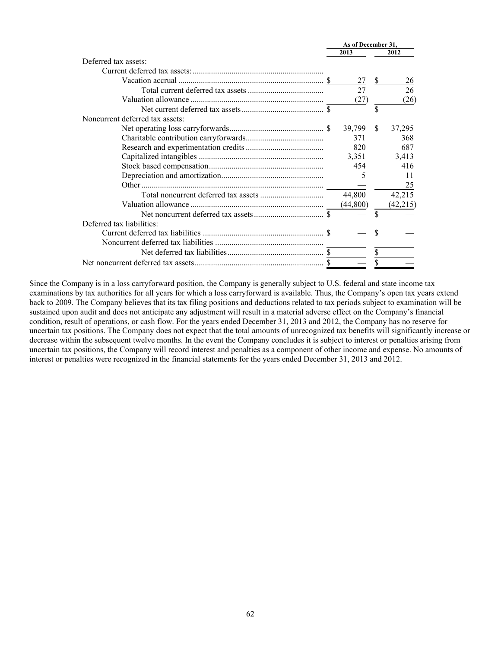|                                 | As of December 31, |           |             |           |
|---------------------------------|--------------------|-----------|-------------|-----------|
|                                 |                    | 2013      |             | 2012      |
| Deferred tax assets:            |                    |           |             |           |
|                                 |                    |           |             |           |
|                                 |                    | 27        | \$          | 26        |
|                                 |                    | 27        |             | 26        |
|                                 |                    | (27)      |             | (26)      |
|                                 |                    |           | $\mathbf S$ |           |
| Noncurrent deferred tax assets: |                    |           |             |           |
|                                 |                    | 39,799    | \$.         | 37,295    |
|                                 |                    | 371       |             | 368       |
|                                 |                    | 820       |             | 687       |
|                                 |                    | 3,351     |             | 3,413     |
|                                 |                    | 454       |             | 416       |
|                                 |                    | 5         |             | 11        |
|                                 |                    |           |             | 25        |
|                                 |                    | 44,800    |             | 42,215    |
|                                 |                    | (44, 800) |             | (42, 215) |
|                                 |                    |           | \$          |           |
| Deferred tax liabilities:       |                    |           |             |           |
|                                 |                    |           |             |           |
|                                 |                    |           |             |           |
|                                 |                    |           |             |           |
|                                 |                    |           |             |           |

Since the Company is in a loss carryforward position, the Company is generally subject to U.S. federal and state income tax examinations by tax authorities for all years for which a loss carryforward is available. Thus, the Company's open tax years extend back to 2009. The Company believes that its tax filing positions and deductions related to tax periods subject to examination will be sustained upon audit and does not anticipate any adjustment will result in a material adverse effect on the Company's financial condition, result of operations, or cash flow. For the years ended December 31, 2013 and 2012, the Company has no reserve for uncertain tax positions. The Company does not expect that the total amounts of unrecognized tax benefits will significantly increase or decrease within the subsequent twelve months. In the event the Company concludes it is subject to interest or penalties arising from uncertain tax positions, the Company will record interest and penalties as a component of other income and expense. No amounts of interest or penalties were recognized in the financial statements for the years ended December 31, 2013 and 2012.

.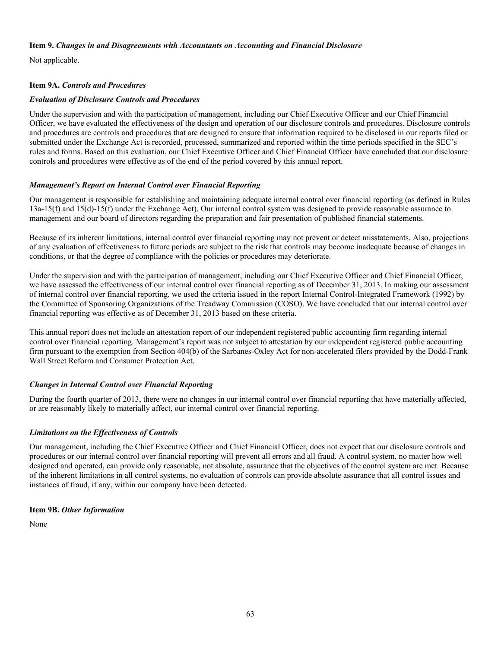#### **Item 9.** *Changes in and Disagreements with Accountants on Accounting and Financial Disclosure*

Not applicable.

# **Item 9A.** *Controls and Procedures*

## *Evaluation of Disclosure Controls and Procedures*

Under the supervision and with the participation of management, including our Chief Executive Officer and our Chief Financial Officer, we have evaluated the effectiveness of the design and operation of our disclosure controls and procedures. Disclosure controls and procedures are controls and procedures that are designed to ensure that information required to be disclosed in our reports filed or submitted under the Exchange Act is recorded, processed, summarized and reported within the time periods specified in the SEC's rules and forms. Based on this evaluation, our Chief Executive Officer and Chief Financial Officer have concluded that our disclosure controls and procedures were effective as of the end of the period covered by this annual report.

# *Management's Report on Internal Control over Financial Reporting*

Our management is responsible for establishing and maintaining adequate internal control over financial reporting (as defined in Rules 13a-15(f) and 15(d)-15(f) under the Exchange Act). Our internal control system was designed to provide reasonable assurance to management and our board of directors regarding the preparation and fair presentation of published financial statements.

Because of its inherent limitations, internal control over financial reporting may not prevent or detect misstatements. Also, projections of any evaluation of effectiveness to future periods are subject to the risk that controls may become inadequate because of changes in conditions, or that the degree of compliance with the policies or procedures may deteriorate.

Under the supervision and with the participation of management, including our Chief Executive Officer and Chief Financial Officer, we have assessed the effectiveness of our internal control over financial reporting as of December 31, 2013. In making our assessment of internal control over financial reporting, we used the criteria issued in the report Internal Control-Integrated Framework (1992) by the Committee of Sponsoring Organizations of the Treadway Commission (COSO). We have concluded that our internal control over financial reporting was effective as of December 31, 2013 based on these criteria.

This annual report does not include an attestation report of our independent registered public accounting firm regarding internal control over financial reporting. Management's report was not subject to attestation by our independent registered public accounting firm pursuant to the exemption from Section 404(b) of the Sarbanes-Oxley Act for non-accelerated filers provided by the Dodd-Frank Wall Street Reform and Consumer Protection Act.

# *Changes in Internal Control over Financial Reporting*

During the fourth quarter of 2013, there were no changes in our internal control over financial reporting that have materially affected, or are reasonably likely to materially affect, our internal control over financial reporting.

# *Limitations on the Effectiveness of Controls*

Our management, including the Chief Executive Officer and Chief Financial Officer, does not expect that our disclosure controls and procedures or our internal control over financial reporting will prevent all errors and all fraud. A control system, no matter how well designed and operated, can provide only reasonable, not absolute, assurance that the objectives of the control system are met. Because of the inherent limitations in all control systems, no evaluation of controls can provide absolute assurance that all control issues and instances of fraud, if any, within our company have been detected.

## **Item 9B.** *Other Information*

None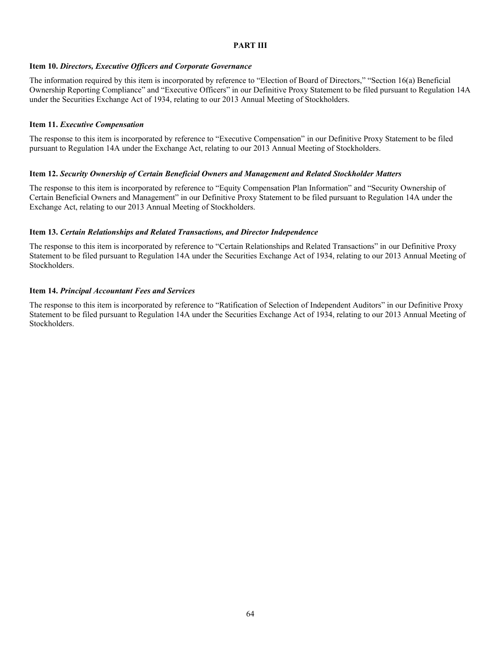#### **PART III**

#### **Item 10.** *Directors, Executive Officers and Corporate Governance*

The information required by this item is incorporated by reference to "Election of Board of Directors," "Section 16(a) Beneficial Ownership Reporting Compliance" and "Executive Officers" in our Definitive Proxy Statement to be filed pursuant to Regulation 14A under the Securities Exchange Act of 1934, relating to our 2013 Annual Meeting of Stockholders.

#### **Item 11.** *Executive Compensation*

The response to this item is incorporated by reference to "Executive Compensation" in our Definitive Proxy Statement to be filed pursuant to Regulation 14A under the Exchange Act, relating to our 2013 Annual Meeting of Stockholders.

#### **Item 12.** *Security Ownership of Certain Beneficial Owners and Management and Related Stockholder Matters*

The response to this item is incorporated by reference to "Equity Compensation Plan Information" and "Security Ownership of Certain Beneficial Owners and Management" in our Definitive Proxy Statement to be filed pursuant to Regulation 14A under the Exchange Act, relating to our 2013 Annual Meeting of Stockholders.

#### **Item 13.** *Certain Relationships and Related Transactions, and Director Independence*

The response to this item is incorporated by reference to "Certain Relationships and Related Transactions" in our Definitive Proxy Statement to be filed pursuant to Regulation 14A under the Securities Exchange Act of 1934, relating to our 2013 Annual Meeting of Stockholders.

#### **Item 14.** *Principal Accountant Fees and Services*

The response to this item is incorporated by reference to "Ratification of Selection of Independent Auditors" in our Definitive Proxy Statement to be filed pursuant to Regulation 14A under the Securities Exchange Act of 1934, relating to our 2013 Annual Meeting of Stockholders.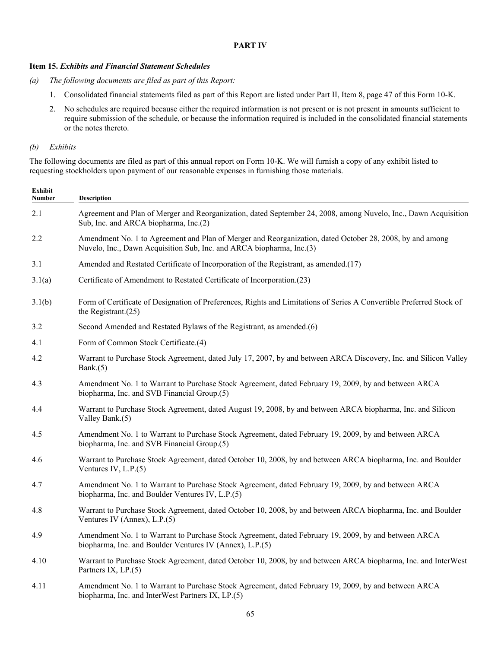#### **PART IV**

## **Item 15.** *Exhibits and Financial Statement Schedules*

- *(a) The following documents are filed as part of this Report:*
	- 1. Consolidated financial statements filed as part of this Report are listed under Part II, Item 8, page 47 of this Form 10-K.
	- 2. No schedules are required because either the required information is not present or is not present in amounts sufficient to require submission of the schedule, or because the information required is included in the consolidated financial statements or the notes thereto.

## *(b) Exhibits*

The following documents are filed as part of this annual report on Form 10-K. We will furnish a copy of any exhibit listed to requesting stockholders upon payment of our reasonable expenses in furnishing those materials.

| <b>Exhibit</b><br><b>Number</b> | Description                                                                                                                                                                      |
|---------------------------------|----------------------------------------------------------------------------------------------------------------------------------------------------------------------------------|
| 2.1                             | Agreement and Plan of Merger and Reorganization, dated September 24, 2008, among Nuvelo, Inc., Dawn Acquisition<br>Sub, Inc. and ARCA biopharma, Inc.(2)                         |
| 2.2                             | Amendment No. 1 to Agreement and Plan of Merger and Reorganization, dated October 28, 2008, by and among<br>Nuvelo, Inc., Dawn Acquisition Sub, Inc. and ARCA biopharma, Inc.(3) |
| 3.1                             | Amended and Restated Certificate of Incorporation of the Registrant, as amended.(17)                                                                                             |
| 3.1(a)                          | Certificate of Amendment to Restated Certificate of Incorporation.(23)                                                                                                           |
| 3.1(b)                          | Form of Certificate of Designation of Preferences, Rights and Limitations of Series A Convertible Preferred Stock of<br>the Registrant. $(25)$                                   |
| 3.2                             | Second Amended and Restated Bylaws of the Registrant, as amended.(6)                                                                                                             |
| 4.1                             | Form of Common Stock Certificate.(4)                                                                                                                                             |
| 4.2                             | Warrant to Purchase Stock Agreement, dated July 17, 2007, by and between ARCA Discovery, Inc. and Silicon Valley<br>Bank. $(5)$                                                  |
| 4.3                             | Amendment No. 1 to Warrant to Purchase Stock Agreement, dated February 19, 2009, by and between ARCA<br>biopharma, Inc. and SVB Financial Group.(5)                              |
| 4.4                             | Warrant to Purchase Stock Agreement, dated August 19, 2008, by and between ARCA biopharma, Inc. and Silicon<br>Valley Bank.(5)                                                   |
| 4.5                             | Amendment No. 1 to Warrant to Purchase Stock Agreement, dated February 19, 2009, by and between ARCA<br>biopharma, Inc. and SVB Financial Group.(5)                              |
| 4.6                             | Warrant to Purchase Stock Agreement, dated October 10, 2008, by and between ARCA biopharma, Inc. and Boulder<br>Ventures IV, $L.P.(5)$                                           |
| 4.7                             | Amendment No. 1 to Warrant to Purchase Stock Agreement, dated February 19, 2009, by and between ARCA<br>biopharma, Inc. and Boulder Ventures IV, L.P.(5)                         |
| 4.8                             | Warrant to Purchase Stock Agreement, dated October 10, 2008, by and between ARCA biopharma, Inc. and Boulder<br>Ventures IV (Annex), $L.P.(5)$                                   |
| 4.9                             | Amendment No. 1 to Warrant to Purchase Stock Agreement, dated February 19, 2009, by and between ARCA<br>biopharma, Inc. and Boulder Ventures IV (Annex), L.P.(5)                 |
| 4.10                            | Warrant to Purchase Stock Agreement, dated October 10, 2008, by and between ARCA biopharma, Inc. and InterWest<br>Partners IX, LP.(5)                                            |
| 4.11                            | Amendment No. 1 to Warrant to Purchase Stock Agreement, dated February 19, 2009, by and between ARCA<br>biopharma, Inc. and InterWest Partners IX, LP.(5)                        |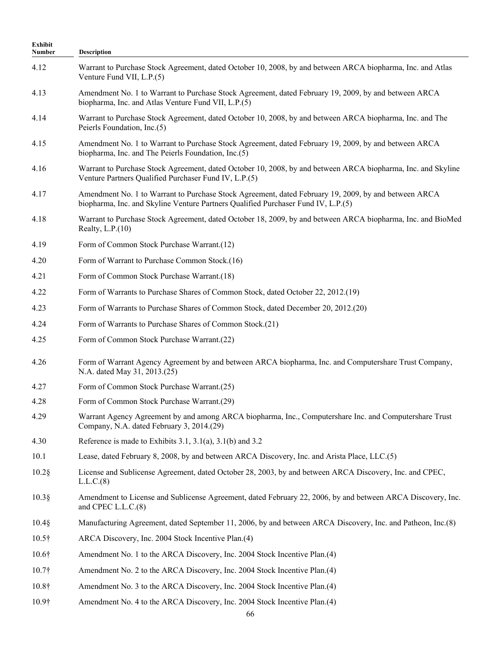| Exhibit<br>Number | Description                                                                                                                                                                               |
|-------------------|-------------------------------------------------------------------------------------------------------------------------------------------------------------------------------------------|
| 4.12              | Warrant to Purchase Stock Agreement, dated October 10, 2008, by and between ARCA biopharma, Inc. and Atlas<br>Venture Fund VII, L.P.(5)                                                   |
| 4.13              | Amendment No. 1 to Warrant to Purchase Stock Agreement, dated February 19, 2009, by and between ARCA<br>biopharma, Inc. and Atlas Venture Fund VII, L.P.(5)                               |
| 4.14              | Warrant to Purchase Stock Agreement, dated October 10, 2008, by and between ARCA biopharma, Inc. and The<br>Peierls Foundation, Inc.(5)                                                   |
| 4.15              | Amendment No. 1 to Warrant to Purchase Stock Agreement, dated February 19, 2009, by and between ARCA<br>biopharma, Inc. and The Peierls Foundation, Inc.(5)                               |
| 4.16              | Warrant to Purchase Stock Agreement, dated October 10, 2008, by and between ARCA biopharma, Inc. and Skyline<br>Venture Partners Qualified Purchaser Fund IV, L.P.(5)                     |
| 4.17              | Amendment No. 1 to Warrant to Purchase Stock Agreement, dated February 19, 2009, by and between ARCA<br>biopharma, Inc. and Skyline Venture Partners Qualified Purchaser Fund IV, L.P.(5) |
| 4.18              | Warrant to Purchase Stock Agreement, dated October 18, 2009, by and between ARCA biopharma, Inc. and BioMed<br>Realty, $L.P.(10)$                                                         |
| 4.19              | Form of Common Stock Purchase Warrant.(12)                                                                                                                                                |
| 4.20              | Form of Warrant to Purchase Common Stock.(16)                                                                                                                                             |
| 4.21              | Form of Common Stock Purchase Warrant.(18)                                                                                                                                                |
| 4.22              | Form of Warrants to Purchase Shares of Common Stock, dated October 22, 2012.(19)                                                                                                          |
| 4.23              | Form of Warrants to Purchase Shares of Common Stock, dated December 20, 2012.(20)                                                                                                         |
| 4.24              | Form of Warrants to Purchase Shares of Common Stock.(21)                                                                                                                                  |
| 4.25              | Form of Common Stock Purchase Warrant.(22)                                                                                                                                                |
| 4.26              | Form of Warrant Agency Agreement by and between ARCA biopharma, Inc. and Computershare Trust Company,<br>N.A. dated May 31, 2013.(25)                                                     |
| 4.27              | Form of Common Stock Purchase Warrant.(25)                                                                                                                                                |
| 4.28              | Form of Common Stock Purchase Warrant.(29)                                                                                                                                                |
| 4.29              | Warrant Agency Agreement by and among ARCA biopharma, Inc., Computershare Inc. and Computershare Trust<br>Company, N.A. dated February 3, 2014.(29)                                       |
| 4.30              | Reference is made to Exhibits 3.1, 3.1(a), 3.1(b) and 3.2                                                                                                                                 |
| 10.1              | Lease, dated February 8, 2008, by and between ARCA Discovery, Inc. and Arista Place, LLC.(5)                                                                                              |
| $10.2$ §          | License and Sublicense Agreement, dated October 28, 2003, by and between ARCA Discovery, Inc. and CPEC,<br>L.L.C.(8)                                                                      |
| $10.3\$           | Amendment to License and Sublicense Agreement, dated February 22, 2006, by and between ARCA Discovery, Inc.<br>and CPEC L.L.C.(8)                                                         |
| $10.4\$           | Manufacturing Agreement, dated September 11, 2006, by and between ARCA Discovery, Inc. and Patheon, Inc.(8)                                                                               |
| $10.5\dagger$     | ARCA Discovery, Inc. 2004 Stock Incentive Plan.(4)                                                                                                                                        |
| $10.6\dagger$     | Amendment No. 1 to the ARCA Discovery, Inc. 2004 Stock Incentive Plan.(4)                                                                                                                 |
| 10.7 <sup>†</sup> | Amendment No. 2 to the ARCA Discovery, Inc. 2004 Stock Incentive Plan.(4)                                                                                                                 |
| $10.8\dagger$     | Amendment No. 3 to the ARCA Discovery, Inc. 2004 Stock Incentive Plan.(4)                                                                                                                 |
| $10.9\dagger$     | Amendment No. 4 to the ARCA Discovery, Inc. 2004 Stock Incentive Plan.(4)<br>66                                                                                                           |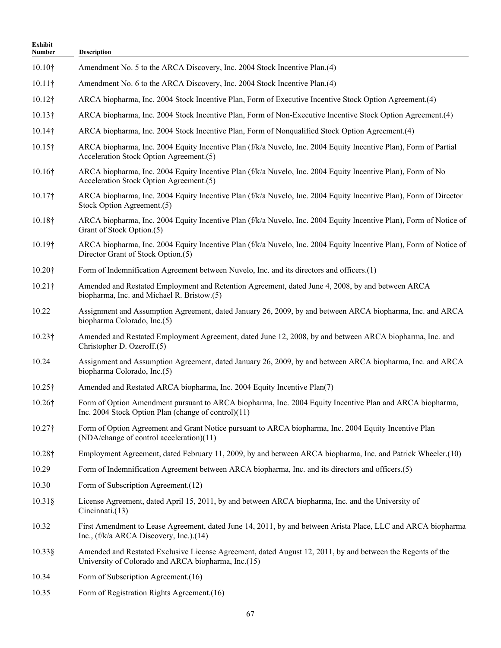| Exhibit<br>Number | <b>Description</b>                                                                                                                                                |
|-------------------|-------------------------------------------------------------------------------------------------------------------------------------------------------------------|
| 10.10†            | Amendment No. 5 to the ARCA Discovery, Inc. 2004 Stock Incentive Plan.(4)                                                                                         |
| $10.11\dagger$    | Amendment No. 6 to the ARCA Discovery, Inc. 2004 Stock Incentive Plan.(4)                                                                                         |
| $10.12\dagger$    | ARCA biopharma, Inc. 2004 Stock Incentive Plan, Form of Executive Incentive Stock Option Agreement. (4)                                                           |
| $10.13\dagger$    | ARCA biopharma, Inc. 2004 Stock Incentive Plan, Form of Non-Executive Incentive Stock Option Agreement.(4)                                                        |
| $10.14\dagger$    | ARCA biopharma, Inc. 2004 Stock Incentive Plan, Form of Nonqualified Stock Option Agreement.(4)                                                                   |
| $10.15\dagger$    | ARCA biopharma, Inc. 2004 Equity Incentive Plan (f/k/a Nuvelo, Inc. 2004 Equity Incentive Plan), Form of Partial<br>Acceleration Stock Option Agreement.(5)       |
| $10.16\dagger$    | ARCA biopharma, Inc. 2004 Equity Incentive Plan (f/k/a Nuvelo, Inc. 2004 Equity Incentive Plan), Form of No<br>Acceleration Stock Option Agreement.(5)            |
| $10.17\dagger$    | ARCA biopharma, Inc. 2004 Equity Incentive Plan (f/k/a Nuvelo, Inc. 2004 Equity Incentive Plan), Form of Director<br>Stock Option Agreement.(5)                   |
| $10.18\dagger$    | ARCA biopharma, Inc. 2004 Equity Incentive Plan (f/k/a Nuvelo, Inc. 2004 Equity Incentive Plan), Form of Notice of<br>Grant of Stock Option.(5)                   |
| $10.19\dagger$    | ARCA biopharma, Inc. 2004 Equity Incentive Plan (f/k/a Nuvelo, Inc. 2004 Equity Incentive Plan), Form of Notice of<br>Director Grant of Stock Option.(5)          |
| $10.20\dagger$    | Form of Indemnification Agreement between Nuvelo, Inc. and its directors and officers.(1)                                                                         |
| $10.21\dagger$    | Amended and Restated Employment and Retention Agreement, dated June 4, 2008, by and between ARCA<br>biopharma, Inc. and Michael R. Bristow.(5)                    |
| 10.22             | Assignment and Assumption Agreement, dated January 26, 2009, by and between ARCA biopharma, Inc. and ARCA<br>biopharma Colorado, Inc.(5)                          |
| $10.23\dagger$    | Amended and Restated Employment Agreement, dated June 12, 2008, by and between ARCA biopharma, Inc. and<br>Christopher D. Ozeroff.(5)                             |
| 10.24             | Assignment and Assumption Agreement, dated January 26, 2009, by and between ARCA biopharma, Inc. and ARCA<br>biopharma Colorado, Inc.(5)                          |
| $10.25\dagger$    | Amended and Restated ARCA biopharma, Inc. 2004 Equity Incentive Plan(7)                                                                                           |
| $10.26\dagger$    | Form of Option Amendment pursuant to ARCA biopharma, Inc. 2004 Equity Incentive Plan and ARCA biopharma,<br>Inc. 2004 Stock Option Plan (change of control)(11)   |
| 10.27†            | Form of Option Agreement and Grant Notice pursuant to ARCA biopharma, Inc. 2004 Equity Incentive Plan<br>(NDA/change of control acceleration)(11)                 |
| $10.28\dagger$    | Employment Agreement, dated February 11, 2009, by and between ARCA biopharma, Inc. and Patrick Wheeler.(10)                                                       |
| 10.29             | Form of Indemnification Agreement between ARCA biopharma, Inc. and its directors and officers.(5)                                                                 |
| 10.30             | Form of Subscription Agreement.(12)                                                                                                                               |
| $10.31\$          | License Agreement, dated April 15, 2011, by and between ARCA biopharma, Inc. and the University of<br>Cincinnati.(13)                                             |
| 10.32             | First Amendment to Lease Agreement, dated June 14, 2011, by and between Arista Place, LLC and ARCA biopharma<br>Inc., (f/k/a ARCA Discovery, Inc.).(14)           |
| $10.33\$          | Amended and Restated Exclusive License Agreement, dated August 12, 2011, by and between the Regents of the<br>University of Colorado and ARCA biopharma, Inc.(15) |
| 10.34             | Form of Subscription Agreement.(16)                                                                                                                               |
| 10.35             | Form of Registration Rights Agreement.(16)                                                                                                                        |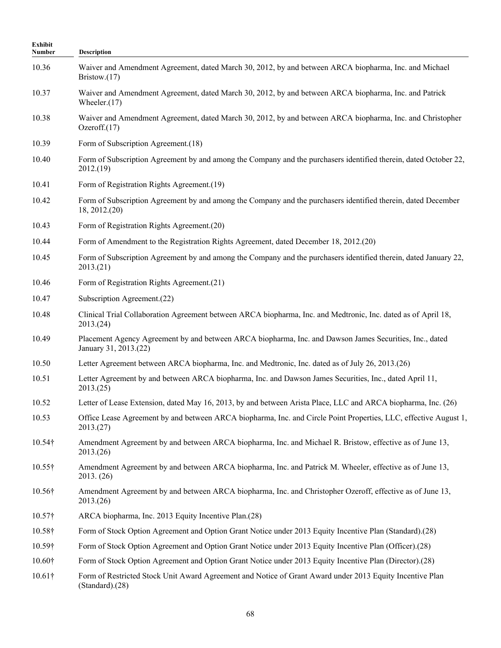| Exhibit<br><b>Number</b> | Description                                                                                                                       |
|--------------------------|-----------------------------------------------------------------------------------------------------------------------------------|
| 10.36                    | Waiver and Amendment Agreement, dated March 30, 2012, by and between ARCA biopharma, Inc. and Michael<br>Bristow. $(17)$          |
| 10.37                    | Waiver and Amendment Agreement, dated March 30, 2012, by and between ARCA biopharma, Inc. and Patrick<br>Wheeler. $(17)$          |
| 10.38                    | Waiver and Amendment Agreement, dated March 30, 2012, by and between ARCA biopharma, Inc. and Christopher<br>Ozeroff. $(17)$      |
| 10.39                    | Form of Subscription Agreement.(18)                                                                                               |
| 10.40                    | Form of Subscription Agreement by and among the Company and the purchasers identified therein, dated October 22,<br>2012(19)      |
| 10.41                    | Form of Registration Rights Agreement.(19)                                                                                        |
| 10.42                    | Form of Subscription Agreement by and among the Company and the purchasers identified therein, dated December<br>18, 2012. (20)   |
| 10.43                    | Form of Registration Rights Agreement.(20)                                                                                        |
| 10.44                    | Form of Amendment to the Registration Rights Agreement, dated December 18, 2012.(20)                                              |
| 10.45                    | Form of Subscription Agreement by and among the Company and the purchasers identified therein, dated January 22,<br>2013(21)      |
| 10.46                    | Form of Registration Rights Agreement.(21)                                                                                        |
| 10.47                    | Subscription Agreement.(22)                                                                                                       |
| 10.48                    | Clinical Trial Collaboration Agreement between ARCA biopharma, Inc. and Medtronic, Inc. dated as of April 18,<br>2013(24)         |
| 10.49                    | Placement Agency Agreement by and between ARCA biopharma, Inc. and Dawson James Securities, Inc., dated<br>January 31, 2013.(22)  |
| 10.50                    | Letter Agreement between ARCA biopharma, Inc. and Medtronic, Inc. dated as of July 26, 2013.(26)                                  |
| 10.51                    | Letter Agreement by and between ARCA biopharma, Inc. and Dawson James Securities, Inc., dated April 11,<br>2013(25)               |
| 10.52                    | Letter of Lease Extension, dated May 16, 2013, by and between Arista Place, LLC and ARCA biopharma, Inc. (26)                     |
| 10.53                    | Office Lease Agreement by and between ARCA biopharma, Inc. and Circle Point Properties, LLC, effective August 1,<br>2013(27)      |
| $10.54\dagger$           | Amendment Agreement by and between ARCA biopharma, Inc. and Michael R. Bristow, effective as of June 13,<br>2013(26)              |
| $10.55\dagger$           | Amendment Agreement by and between ARCA biopharma, Inc. and Patrick M. Wheeler, effective as of June 13,<br>2013. (26)            |
| 10.56†                   | Amendment Agreement by and between ARCA biopharma, Inc. and Christopher Ozeroff, effective as of June 13,<br>2013(26)             |
| $10.57\dagger$           | ARCA biopharma, Inc. 2013 Equity Incentive Plan.(28)                                                                              |
| $10.58\dagger$           | Form of Stock Option Agreement and Option Grant Notice under 2013 Equity Incentive Plan (Standard).(28)                           |
| 10.59†                   | Form of Stock Option Agreement and Option Grant Notice under 2013 Equity Incentive Plan (Officer).(28)                            |
| 10.60†                   | Form of Stock Option Agreement and Option Grant Notice under 2013 Equity Incentive Plan (Director).(28)                           |
| $10.61\dagger$           | Form of Restricted Stock Unit Award Agreement and Notice of Grant Award under 2013 Equity Incentive Plan<br>$(Standard)$ . $(28)$ |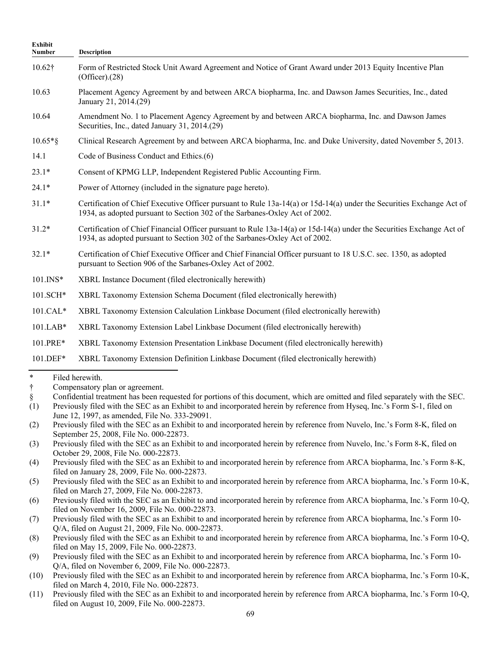| Exhibit<br><b>Number</b> | <b>Description</b>                                                                                                                                                                                   |
|--------------------------|------------------------------------------------------------------------------------------------------------------------------------------------------------------------------------------------------|
| $10.62\dagger$           | Form of Restricted Stock Unit Award Agreement and Notice of Grant Award under 2013 Equity Incentive Plan<br>$(Officer)$ . $(28)$                                                                     |
| 10.63                    | Placement Agency Agreement by and between ARCA biopharma, Inc. and Dawson James Securities, Inc., dated<br>January 21, 2014.(29)                                                                     |
| 10.64                    | Amendment No. 1 to Placement Agency Agreement by and between ARCA biopharma, Inc. and Dawson James<br>Securities, Inc., dated January 31, 2014.(29)                                                  |
| $10.65*$ §               | Clinical Research Agreement by and between ARCA biopharma, Inc. and Duke University, dated November 5, 2013.                                                                                         |
| 14.1                     | Code of Business Conduct and Ethics.(6)                                                                                                                                                              |
| $23.1*$                  | Consent of KPMG LLP, Independent Registered Public Accounting Firm.                                                                                                                                  |
| $24.1*$                  | Power of Attorney (included in the signature page hereto).                                                                                                                                           |
| $31.1*$                  | Certification of Chief Executive Officer pursuant to Rule 13a-14(a) or 15d-14(a) under the Securities Exchange Act of<br>1934, as adopted pursuant to Section 302 of the Sarbanes-Oxley Act of 2002. |
| $31.2*$                  | Certification of Chief Financial Officer pursuant to Rule 13a-14(a) or 15d-14(a) under the Securities Exchange Act of<br>1934, as adopted pursuant to Section 302 of the Sarbanes-Oxley Act of 2002. |
| $32.1*$                  | Certification of Chief Executive Officer and Chief Financial Officer pursuant to 18 U.S.C. sec. 1350, as adopted<br>pursuant to Section 906 of the Sarbanes-Oxley Act of 2002.                       |
| $101$ . INS*             | XBRL Instance Document (filed electronically herewith)                                                                                                                                               |
| 101.SCH*                 | XBRL Taxonomy Extension Schema Document (filed electronically herewith)                                                                                                                              |
| $101.CAL*$               | XBRL Taxonomy Extension Calculation Linkbase Document (filed electronically herewith)                                                                                                                |
| $101.LAB*$               | XBRL Taxonomy Extension Label Linkbase Document (filed electronically herewith)                                                                                                                      |
| 101.PRE*                 | XBRL Taxonomy Extension Presentation Linkbase Document (filed electronically herewith)                                                                                                               |
| 101.DEF*                 | XBRL Taxonomy Extension Definition Linkbase Document (filed electronically herewith)                                                                                                                 |
| $\ast$                   | Filed herewith                                                                                                                                                                                       |

<sup>\*</sup> Filed herewith.

<sup>†</sup> Compensatory plan or agreement.

<sup>§</sup> Confidential treatment has been requested for portions of this document, which are omitted and filed separately with the SEC.

<sup>(1)</sup> Previously filed with the SEC as an Exhibit to and incorporated herein by reference from Hyseq, Inc.'s Form S-1, filed on June 12, 1997, as amended, File No. 333-29091.

<sup>(2)</sup> Previously filed with the SEC as an Exhibit to and incorporated herein by reference from Nuvelo, Inc.'s Form 8-K, filed on September 25, 2008, File No. 000-22873.

<sup>(3)</sup> Previously filed with the SEC as an Exhibit to and incorporated herein by reference from Nuvelo, Inc.'s Form 8-K, filed on October 29, 2008, File No. 000-22873.

<sup>(4)</sup> Previously filed with the SEC as an Exhibit to and incorporated herein by reference from ARCA biopharma, Inc.'s Form 8-K, filed on January 28, 2009, File No. 000-22873.

<sup>(5)</sup> Previously filed with the SEC as an Exhibit to and incorporated herein by reference from ARCA biopharma, Inc.'s Form 10-K, filed on March 27, 2009, File No. 000-22873.

<sup>(6)</sup> Previously filed with the SEC as an Exhibit to and incorporated herein by reference from ARCA biopharma, Inc.'s Form 10-Q, filed on November 16, 2009, File No. 000-22873.

<sup>(7)</sup> Previously filed with the SEC as an Exhibit to and incorporated herein by reference from ARCA biopharma, Inc.'s Form 10- Q/A, filed on August 21, 2009, File No. 000-22873.

<sup>(8)</sup> Previously filed with the SEC as an Exhibit to and incorporated herein by reference from ARCA biopharma, Inc.'s Form 10-Q, filed on May 15, 2009, File No. 000-22873.

<sup>(9)</sup> Previously filed with the SEC as an Exhibit to and incorporated herein by reference from ARCA biopharma, Inc.'s Form 10- Q/A, filed on November 6, 2009, File No. 000-22873.

<sup>(10)</sup> Previously filed with the SEC as an Exhibit to and incorporated herein by reference from ARCA biopharma, Inc.'s Form 10-K, filed on March 4, 2010, File No. 000-22873.

<sup>(11)</sup> Previously filed with the SEC as an Exhibit to and incorporated herein by reference from ARCA biopharma, Inc.'s Form 10-Q, filed on August 10, 2009, File No. 000-22873.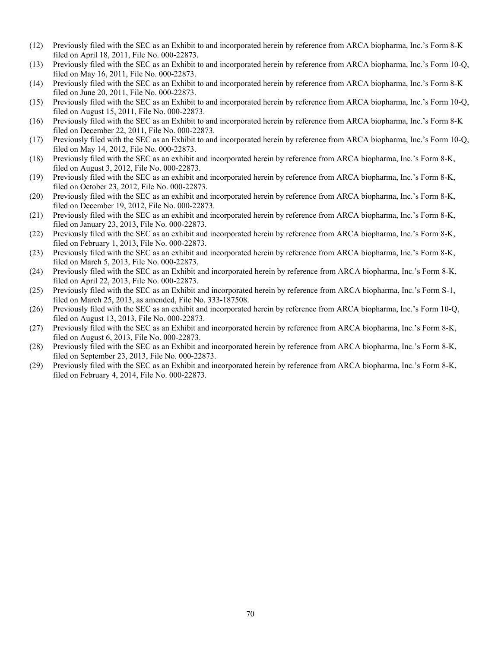- (12) Previously filed with the SEC as an Exhibit to and incorporated herein by reference from ARCA biopharma, Inc.'s Form 8-K filed on April 18, 2011, File No. 000-22873.
- (13) Previously filed with the SEC as an Exhibit to and incorporated herein by reference from ARCA biopharma, Inc.'s Form 10-Q, filed on May 16, 2011, File No. 000-22873.
- (14) Previously filed with the SEC as an Exhibit to and incorporated herein by reference from ARCA biopharma, Inc.'s Form 8-K filed on June 20, 2011, File No. 000-22873.
- (15) Previously filed with the SEC as an Exhibit to and incorporated herein by reference from ARCA biopharma, Inc.'s Form 10-Q, filed on August 15, 2011, File No. 000-22873.
- (16) Previously filed with the SEC as an Exhibit to and incorporated herein by reference from ARCA biopharma, Inc.'s Form 8-K filed on December 22, 2011, File No. 000-22873.
- (17) Previously filed with the SEC as an Exhibit to and incorporated herein by reference from ARCA biopharma, Inc.'s Form 10-Q, filed on May 14, 2012, File No. 000-22873.
- (18) Previously filed with the SEC as an exhibit and incorporated herein by reference from ARCA biopharma, Inc.'s Form 8-K, filed on August 3, 2012, File No. 000-22873.
- (19) Previously filed with the SEC as an exhibit and incorporated herein by reference from ARCA biopharma, Inc.'s Form 8-K, filed on October 23, 2012, File No. 000-22873.
- (20) Previously filed with the SEC as an exhibit and incorporated herein by reference from ARCA biopharma, Inc.'s Form 8-K, filed on December 19, 2012, File No. 000-22873.
- (21) Previously filed with the SEC as an exhibit and incorporated herein by reference from ARCA biopharma, Inc.'s Form 8-K, filed on January 23, 2013, File No. 000-22873.
- (22) Previously filed with the SEC as an exhibit and incorporated herein by reference from ARCA biopharma, Inc.'s Form 8-K, filed on February 1, 2013, File No. 000-22873.
- (23) Previously filed with the SEC as an exhibit and incorporated herein by reference from ARCA biopharma, Inc.'s Form 8-K, filed on March 5, 2013, File No. 000-22873.
- (24) Previously filed with the SEC as an Exhibit and incorporated herein by reference from ARCA biopharma, Inc.'s Form 8-K, filed on April 22, 2013, File No. 000-22873.
- (25) Previously filed with the SEC as an Exhibit and incorporated herein by reference from ARCA biopharma, Inc.'s Form S-1, filed on March 25, 2013, as amended, File No. 333-187508.
- (26) Previously filed with the SEC as an exhibit and incorporated herein by reference from ARCA biopharma, Inc.'s Form 10-Q, filed on August 13, 2013, File No. 000-22873.
- (27) Previously filed with the SEC as an Exhibit and incorporated herein by reference from ARCA biopharma, Inc.'s Form 8-K, filed on August 6, 2013, File No. 000-22873.
- (28) Previously filed with the SEC as an Exhibit and incorporated herein by reference from ARCA biopharma, Inc.'s Form 8-K, filed on September 23, 2013, File No. 000-22873.
- (29) Previously filed with the SEC as an Exhibit and incorporated herein by reference from ARCA biopharma, Inc.'s Form 8-K, filed on February 4, 2014, File No. 000-22873.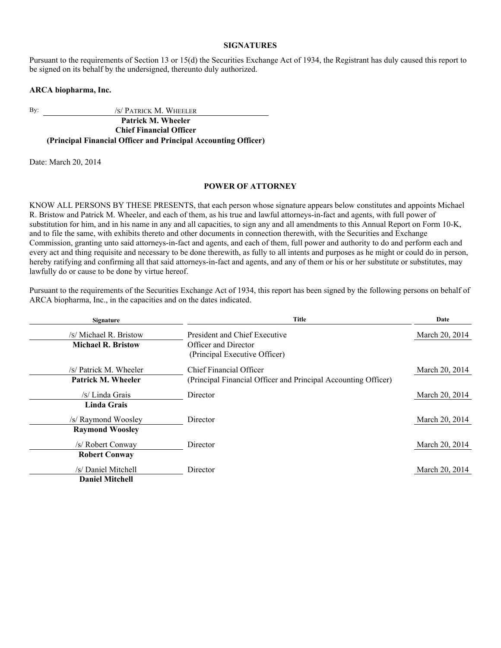## **SIGNATURES**

Pursuant to the requirements of Section 13 or 15(d) the Securities Exchange Act of 1934, the Registrant has duly caused this report to be signed on its behalf by the undersigned, thereunto duly authorized.

## **ARCA biopharma, Inc.**

By: /S/ PATRICK M. WHEELER

**Patrick M. Wheeler Chief Financial Officer (Principal Financial Officer and Principal Accounting Officer)**

Date: March 20, 2014

## **POWER OF ATTORNEY**

KNOW ALL PERSONS BY THESE PRESENTS, that each person whose signature appears below constitutes and appoints Michael R. Bristow and Patrick M. Wheeler, and each of them, as his true and lawful attorneys-in-fact and agents, with full power of substitution for him, and in his name in any and all capacities, to sign any and all amendments to this Annual Report on Form 10-K, and to file the same, with exhibits thereto and other documents in connection therewith, with the Securities and Exchange Commission, granting unto said attorneys-in-fact and agents, and each of them, full power and authority to do and perform each and every act and thing requisite and necessary to be done therewith, as fully to all intents and purposes as he might or could do in person, hereby ratifying and confirming all that said attorneys-in-fact and agents, and any of them or his or her substitute or substitutes, may lawfully do or cause to be done by virtue hereof.

Pursuant to the requirements of the Securities Exchange Act of 1934, this report has been signed by the following persons on behalf of ARCA biopharma, Inc., in the capacities and on the dates indicated.

| <b>Signature</b>          | <b>Title</b>                                                   | Date           |
|---------------------------|----------------------------------------------------------------|----------------|
| /s/ Michael R. Bristow    | President and Chief Executive                                  | March 20, 2014 |
| <b>Michael R. Bristow</b> | Officer and Director                                           |                |
|                           | (Principal Executive Officer)                                  |                |
| /s/ Patrick M. Wheeler    | Chief Financial Officer                                        | March 20, 2014 |
| Patrick M. Wheeler        | (Principal Financial Officer and Principal Accounting Officer) |                |
| /s/ Linda Grais           | Director                                                       | March 20, 2014 |
| <b>Linda Grais</b>        |                                                                |                |
| /s/ Raymond Woosley       | Director                                                       | March 20, 2014 |
| <b>Raymond Woosley</b>    |                                                                |                |
| /s/ Robert Conway         | Director                                                       | March 20, 2014 |
| <b>Robert Conway</b>      |                                                                |                |
| /s/ Daniel Mitchell       | Director                                                       | March 20, 2014 |
| <b>Daniel Mitchell</b>    |                                                                |                |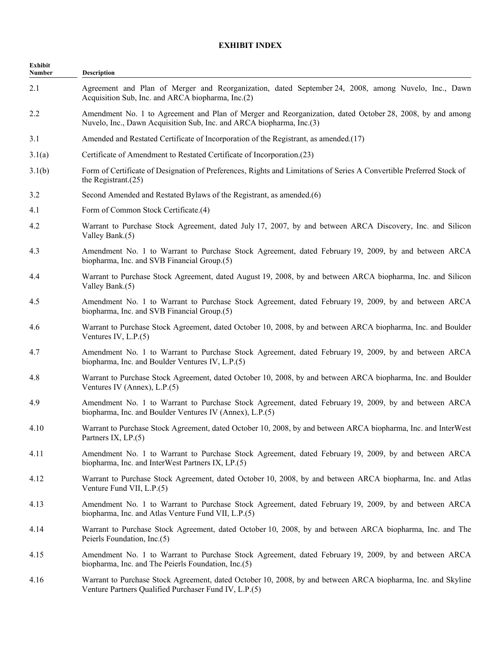## **EXHIBIT INDEX**

| <b>Exhibit</b><br>Number | Description                                                                                                                                                                      |
|--------------------------|----------------------------------------------------------------------------------------------------------------------------------------------------------------------------------|
| 2.1                      | Agreement and Plan of Merger and Reorganization, dated September 24, 2008, among Nuvelo, Inc., Dawn<br>Acquisition Sub, Inc. and ARCA biopharma, Inc.(2)                         |
| 2.2                      | Amendment No. 1 to Agreement and Plan of Merger and Reorganization, dated October 28, 2008, by and among<br>Nuvelo, Inc., Dawn Acquisition Sub, Inc. and ARCA biopharma, Inc.(3) |
| 3.1                      | Amended and Restated Certificate of Incorporation of the Registrant, as amended.(17)                                                                                             |
| 3.1(a)                   | Certificate of Amendment to Restated Certificate of Incorporation.(23)                                                                                                           |
| 3.1(b)                   | Form of Certificate of Designation of Preferences, Rights and Limitations of Series A Convertible Preferred Stock of<br>the Registrant. $(25)$                                   |
| 3.2                      | Second Amended and Restated Bylaws of the Registrant, as amended.(6)                                                                                                             |
| 4.1                      | Form of Common Stock Certificate.(4)                                                                                                                                             |
| 4.2                      | Warrant to Purchase Stock Agreement, dated July 17, 2007, by and between ARCA Discovery, Inc. and Silicon<br>Valley Bank.(5)                                                     |
| 4.3                      | Amendment No. 1 to Warrant to Purchase Stock Agreement, dated February 19, 2009, by and between ARCA<br>biopharma, Inc. and SVB Financial Group.(5)                              |
| 4.4                      | Warrant to Purchase Stock Agreement, dated August 19, 2008, by and between ARCA biopharma, Inc. and Silicon<br>Valley Bank.(5)                                                   |
| 4.5                      | Amendment No. 1 to Warrant to Purchase Stock Agreement, dated February 19, 2009, by and between ARCA<br>biopharma, Inc. and SVB Financial Group.(5)                              |
| 4.6                      | Warrant to Purchase Stock Agreement, dated October 10, 2008, by and between ARCA biopharma, Inc. and Boulder<br>Ventures IV, $L.P.(5)$                                           |
| 4.7                      | Amendment No. 1 to Warrant to Purchase Stock Agreement, dated February 19, 2009, by and between ARCA<br>biopharma, Inc. and Boulder Ventures IV, L.P.(5)                         |
| 4.8                      | Warrant to Purchase Stock Agreement, dated October 10, 2008, by and between ARCA biopharma, Inc. and Boulder<br>Ventures IV (Annex), $L.P.(5)$                                   |
| 4.9                      | Amendment No. 1 to Warrant to Purchase Stock Agreement, dated February 19, 2009, by and between ARCA<br>biopharma, Inc. and Boulder Ventures IV (Annex), L.P.(5)                 |
| 4.10                     | Warrant to Purchase Stock Agreement, dated October 10, 2008, by and between ARCA biopharma, Inc. and InterWest<br>Partners IX, $LP(5)$                                           |
| 4.11                     | Amendment No. 1 to Warrant to Purchase Stock Agreement, dated February 19, 2009, by and between ARCA<br>biopharma, Inc. and InterWest Partners IX, LP.(5)                        |
| 4.12                     | Warrant to Purchase Stock Agreement, dated October 10, 2008, by and between ARCA biopharma, Inc. and Atlas<br>Venture Fund VII, L.P.(5)                                          |
| 4.13                     | Amendment No. 1 to Warrant to Purchase Stock Agreement, dated February 19, 2009, by and between ARCA<br>biopharma, Inc. and Atlas Venture Fund VII, L.P.(5)                      |
| 4.14                     | Warrant to Purchase Stock Agreement, dated October 10, 2008, by and between ARCA biopharma, Inc. and The<br>Peierls Foundation, Inc.(5)                                          |
| 4.15                     | Amendment No. 1 to Warrant to Purchase Stock Agreement, dated February 19, 2009, by and between ARCA<br>biopharma, Inc. and The Peierls Foundation, Inc.(5)                      |
| 4.16                     | Warrant to Purchase Stock Agreement, dated October 10, 2008, by and between ARCA biopharma, Inc. and Skyline<br>Venture Partners Qualified Purchaser Fund IV, L.P.(5)            |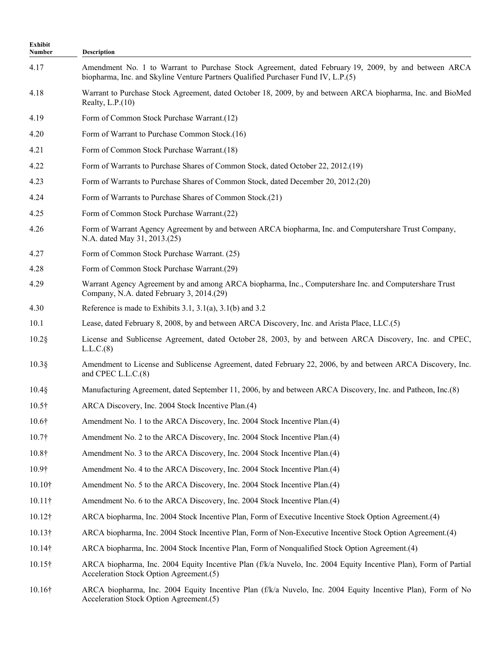| Exhibit<br>Number | Description                                                                                                                                                                               |
|-------------------|-------------------------------------------------------------------------------------------------------------------------------------------------------------------------------------------|
| 4.17              | Amendment No. 1 to Warrant to Purchase Stock Agreement, dated February 19, 2009, by and between ARCA<br>biopharma, Inc. and Skyline Venture Partners Qualified Purchaser Fund IV, L.P.(5) |
| 4.18              | Warrant to Purchase Stock Agreement, dated October 18, 2009, by and between ARCA biopharma, Inc. and BioMed<br>Realty, $L.P.(10)$                                                         |
| 4.19              | Form of Common Stock Purchase Warrant.(12)                                                                                                                                                |
| 4.20              | Form of Warrant to Purchase Common Stock.(16)                                                                                                                                             |
| 4.21              | Form of Common Stock Purchase Warrant.(18)                                                                                                                                                |
| 4.22              | Form of Warrants to Purchase Shares of Common Stock, dated October 22, 2012.(19)                                                                                                          |
| 4.23              | Form of Warrants to Purchase Shares of Common Stock, dated December 20, 2012.(20)                                                                                                         |
| 4.24              | Form of Warrants to Purchase Shares of Common Stock.(21)                                                                                                                                  |
| 4.25              | Form of Common Stock Purchase Warrant.(22)                                                                                                                                                |
| 4.26              | Form of Warrant Agency Agreement by and between ARCA biopharma, Inc. and Computershare Trust Company,<br>N.A. dated May 31, 2013.(25)                                                     |
| 4.27              | Form of Common Stock Purchase Warrant. (25)                                                                                                                                               |
| 4.28              | Form of Common Stock Purchase Warrant.(29)                                                                                                                                                |
| 4.29              | Warrant Agency Agreement by and among ARCA biopharma, Inc., Computershare Inc. and Computershare Trust<br>Company, N.A. dated February 3, 2014.(29)                                       |
| 4.30              | Reference is made to Exhibits 3.1, 3.1(a), 3.1(b) and 3.2                                                                                                                                 |
| 10.1              | Lease, dated February 8, 2008, by and between ARCA Discovery, Inc. and Arista Place, LLC.(5)                                                                                              |
| $10.2$ §          | License and Sublicense Agreement, dated October 28, 2003, by and between ARCA Discovery, Inc. and CPEC,<br>L.L.C.(8)                                                                      |
| $10.3$ §          | Amendment to License and Sublicense Agreement, dated February 22, 2006, by and between ARCA Discovery, Inc.<br>and CPEC L.L.C.(8)                                                         |
| $10.4$ §          | Manufacturing Agreement, dated September 11, 2006, by and between ARCA Discovery, Inc. and Patheon, Inc.(8)                                                                               |
| $10.5\dagger$     | ARCA Discovery, Inc. 2004 Stock Incentive Plan.(4)                                                                                                                                        |
| $10.6\dagger$     | Amendment No. 1 to the ARCA Discovery, Inc. 2004 Stock Incentive Plan. (4)                                                                                                                |
| 10.7 <sup>†</sup> | Amendment No. 2 to the ARCA Discovery, Inc. 2004 Stock Incentive Plan.(4)                                                                                                                 |
| $10.8\dagger$     | Amendment No. 3 to the ARCA Discovery, Inc. 2004 Stock Incentive Plan.(4)                                                                                                                 |
| 10.9 <sup>†</sup> | Amendment No. 4 to the ARCA Discovery, Inc. 2004 Stock Incentive Plan.(4)                                                                                                                 |
| $10.10\dagger$    | Amendment No. 5 to the ARCA Discovery, Inc. 2004 Stock Incentive Plan.(4)                                                                                                                 |
| $10.11\dagger$    | Amendment No. 6 to the ARCA Discovery, Inc. 2004 Stock Incentive Plan.(4)                                                                                                                 |
| $10.12\dagger$    | ARCA biopharma, Inc. 2004 Stock Incentive Plan, Form of Executive Incentive Stock Option Agreement. (4)                                                                                   |
| $10.13\dagger$    | ARCA biopharma, Inc. 2004 Stock Incentive Plan, Form of Non-Executive Incentive Stock Option Agreement.(4)                                                                                |
| $10.14\dagger$    | ARCA biopharma, Inc. 2004 Stock Incentive Plan, Form of Nonqualified Stock Option Agreement.(4)                                                                                           |
| $10.15\dagger$    | ARCA biopharma, Inc. 2004 Equity Incentive Plan (f/k/a Nuvelo, Inc. 2004 Equity Incentive Plan), Form of Partial<br>Acceleration Stock Option Agreement.(5)                               |
| $10.16\dagger$    | ARCA biopharma, Inc. 2004 Equity Incentive Plan (f/k/a Nuvelo, Inc. 2004 Equity Incentive Plan), Form of No<br>Acceleration Stock Option Agreement.(5)                                    |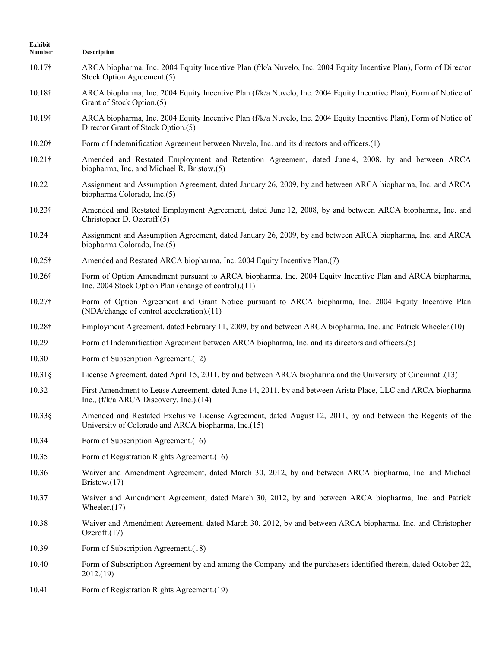| Exhibit<br>Number | Description                                                                                                                                                       |
|-------------------|-------------------------------------------------------------------------------------------------------------------------------------------------------------------|
| $10.17\dagger$    | ARCA biopharma, Inc. 2004 Equity Incentive Plan (f/k/a Nuvelo, Inc. 2004 Equity Incentive Plan), Form of Director<br>Stock Option Agreement.(5)                   |
| $10.18\dagger$    | ARCA biopharma, Inc. 2004 Equity Incentive Plan (f/k/a Nuvelo, Inc. 2004 Equity Incentive Plan), Form of Notice of<br>Grant of Stock Option.(5)                   |
| 10.19†            | ARCA biopharma, Inc. 2004 Equity Incentive Plan (f/k/a Nuvelo, Inc. 2004 Equity Incentive Plan), Form of Notice of<br>Director Grant of Stock Option.(5)          |
| 10.20†            | Form of Indemnification Agreement between Nuvelo, Inc. and its directors and officers.(1)                                                                         |
| $10.21\dagger$    | Amended and Restated Employment and Retention Agreement, dated June 4, 2008, by and between ARCA<br>biopharma, Inc. and Michael R. Bristow.(5)                    |
| 10.22             | Assignment and Assumption Agreement, dated January 26, 2009, by and between ARCA biopharma, Inc. and ARCA<br>biopharma Colorado, Inc.(5)                          |
| $10.23\dagger$    | Amended and Restated Employment Agreement, dated June 12, 2008, by and between ARCA biopharma, Inc. and<br>Christopher D. Ozeroff.(5)                             |
| 10.24             | Assignment and Assumption Agreement, dated January 26, 2009, by and between ARCA biopharma, Inc. and ARCA<br>biopharma Colorado, Inc.(5)                          |
| $10.25\dagger$    | Amended and Restated ARCA biopharma, Inc. 2004 Equity Incentive Plan.(7)                                                                                          |
| 10.26†            | Form of Option Amendment pursuant to ARCA biopharma, Inc. 2004 Equity Incentive Plan and ARCA biopharma,<br>Inc. 2004 Stock Option Plan (change of control).(11)  |
| $10.27\dagger$    | Form of Option Agreement and Grant Notice pursuant to ARCA biopharma, Inc. 2004 Equity Incentive Plan<br>(NDA/change of control acceleration).(11)                |
| $10.28\dagger$    | Employment Agreement, dated February 11, 2009, by and between ARCA biopharma, Inc. and Patrick Wheeler.(10)                                                       |
| 10.29             | Form of Indemnification Agreement between ARCA biopharma, Inc. and its directors and officers.(5)                                                                 |
| 10.30             | Form of Subscription Agreement.(12)                                                                                                                               |
| $10.31\$          | License Agreement, dated April 15, 2011, by and between ARCA biopharma and the University of Cincinnati.(13)                                                      |
| 10.32             | First Amendment to Lease Agreement, dated June 14, 2011, by and between Arista Place, LLC and ARCA biopharma<br>Inc., (f/k/a ARCA Discovery, Inc.).(14)           |
| $10.33\$          | Amended and Restated Exclusive License Agreement, dated August 12, 2011, by and between the Regents of the<br>University of Colorado and ARCA biopharma, Inc.(15) |
| 10.34             | Form of Subscription Agreement.(16)                                                                                                                               |
| 10.35             | Form of Registration Rights Agreement.(16)                                                                                                                        |
| 10.36             | Waiver and Amendment Agreement, dated March 30, 2012, by and between ARCA biopharma, Inc. and Michael<br>Bristow. $(17)$                                          |
| 10.37             | Waiver and Amendment Agreement, dated March 30, 2012, by and between ARCA biopharma, Inc. and Patrick<br>Wheeler. $(17)$                                          |
| 10.38             | Waiver and Amendment Agreement, dated March 30, 2012, by and between ARCA biopharma, Inc. and Christopher<br>Ozeroff. $(17)$                                      |
| 10.39             | Form of Subscription Agreement.(18)                                                                                                                               |
| 10.40             | Form of Subscription Agreement by and among the Company and the purchasers identified therein, dated October 22,<br>2012.(19)                                     |
| 10.41             | Form of Registration Rights Agreement.(19)                                                                                                                        |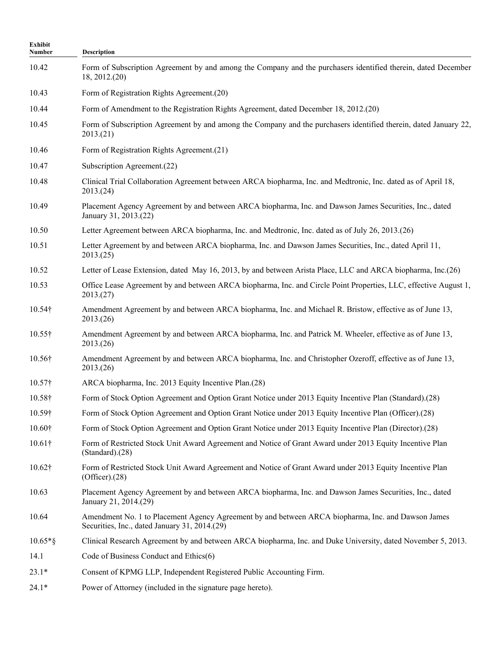| <b>Exhibit</b><br>Number | <b>Description</b>                                                                                                                                  |
|--------------------------|-----------------------------------------------------------------------------------------------------------------------------------------------------|
| 10.42                    | Form of Subscription Agreement by and among the Company and the purchasers identified therein, dated December<br>18, 2012.(20)                      |
| 10.43                    | Form of Registration Rights Agreement.(20)                                                                                                          |
| 10.44                    | Form of Amendment to the Registration Rights Agreement, dated December 18, 2012.(20)                                                                |
| 10.45                    | Form of Subscription Agreement by and among the Company and the purchasers identified therein, dated January 22,<br>2013(21)                        |
| 10.46                    | Form of Registration Rights Agreement.(21)                                                                                                          |
| 10.47                    | Subscription Agreement.(22)                                                                                                                         |
| 10.48                    | Clinical Trial Collaboration Agreement between ARCA biopharma, Inc. and Medtronic, Inc. dated as of April 18,<br>2013(24)                           |
| 10.49                    | Placement Agency Agreement by and between ARCA biopharma, Inc. and Dawson James Securities, Inc., dated<br>January 31, 2013.(22)                    |
| 10.50                    | Letter Agreement between ARCA biopharma, Inc. and Medtronic, Inc. dated as of July 26, 2013.(26)                                                    |
| 10.51                    | Letter Agreement by and between ARCA biopharma, Inc. and Dawson James Securities, Inc., dated April 11,<br>2013(25)                                 |
| 10.52                    | Letter of Lease Extension, dated May 16, 2013, by and between Arista Place, LLC and ARCA biopharma, Inc.(26)                                        |
| 10.53                    | Office Lease Agreement by and between ARCA biopharma, Inc. and Circle Point Properties, LLC, effective August 1,<br>2013(27)                        |
| 10.54†                   | Amendment Agreement by and between ARCA biopharma, Inc. and Michael R. Bristow, effective as of June 13,<br>2013(26)                                |
| $10.55\dagger$           | Amendment Agreement by and between ARCA biopharma, Inc. and Patrick M. Wheeler, effective as of June 13,<br>2013.(26)                               |
| 10.56†                   | Amendment Agreement by and between ARCA biopharma, Inc. and Christopher Ozeroff, effective as of June 13,<br>2013.(26)                              |
| $10.57\dagger$           | ARCA biopharma, Inc. 2013 Equity Incentive Plan.(28)                                                                                                |
| 10.58†                   | Form of Stock Option Agreement and Option Grant Notice under 2013 Equity Incentive Plan (Standard).(28)                                             |
| 10.59†                   | Form of Stock Option Agreement and Option Grant Notice under 2013 Equity Incentive Plan (Officer).(28)                                              |
| 10.60†                   | Form of Stock Option Agreement and Option Grant Notice under 2013 Equity Incentive Plan (Director).(28)                                             |
| $10.61\dagger$           | Form of Restricted Stock Unit Award Agreement and Notice of Grant Award under 2013 Equity Incentive Plan<br>$(Standard)$ . $(28)$                   |
| 10.62†                   | Form of Restricted Stock Unit Award Agreement and Notice of Grant Award under 2013 Equity Incentive Plan<br>$(Officer)$ . $(28)$                    |
| 10.63                    | Placement Agency Agreement by and between ARCA biopharma, Inc. and Dawson James Securities, Inc., dated<br>January 21, 2014.(29)                    |
| 10.64                    | Amendment No. 1 to Placement Agency Agreement by and between ARCA biopharma, Inc. and Dawson James<br>Securities, Inc., dated January 31, 2014.(29) |
| $10.65*$ §               | Clinical Research Agreement by and between ARCA biopharma, Inc. and Duke University, dated November 5, 2013.                                        |
| 14.1                     | Code of Business Conduct and Ethics(6)                                                                                                              |
| $23.1*$                  | Consent of KPMG LLP, Independent Registered Public Accounting Firm.                                                                                 |
| $24.1*$                  | Power of Attorney (included in the signature page hereto).                                                                                          |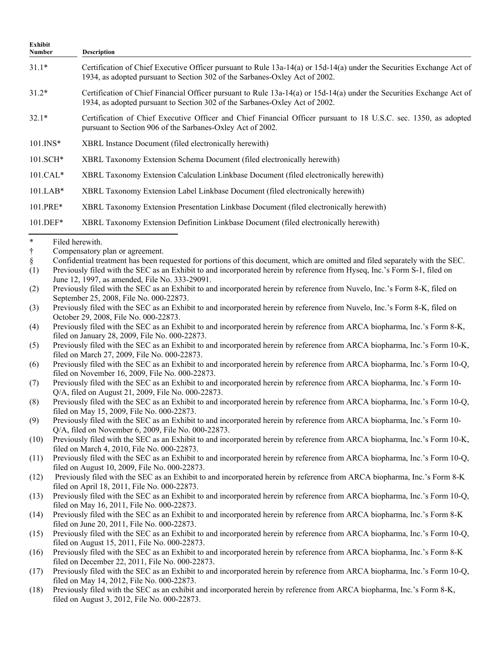| Exhibit<br><b>Number</b> | <b>Description</b>                                                                                                                                                                                   |
|--------------------------|------------------------------------------------------------------------------------------------------------------------------------------------------------------------------------------------------|
| $31.1*$                  | Certification of Chief Executive Officer pursuant to Rule 13a-14(a) or 15d-14(a) under the Securities Exchange Act of<br>1934, as adopted pursuant to Section 302 of the Sarbanes-Oxley Act of 2002. |
| $31.2*$                  | Certification of Chief Financial Officer pursuant to Rule 13a-14(a) or 15d-14(a) under the Securities Exchange Act of<br>1934, as adopted pursuant to Section 302 of the Sarbanes-Oxley Act of 2002. |
| $32.1*$                  | Certification of Chief Executive Officer and Chief Financial Officer pursuant to 18 U.S.C. sec. 1350, as adopted<br>pursuant to Section 906 of the Sarbanes-Oxley Act of 2002.                       |
| $101.$ INS*              | XBRL Instance Document (filed electronically herewith)                                                                                                                                               |
| $101.SCH*$               | XBRL Taxonomy Extension Schema Document (filed electronically herewith)                                                                                                                              |
| $101.CAL*$               | XBRL Taxonomy Extension Calculation Linkbase Document (filed electronically herewith)                                                                                                                |
| $101.LAB*$               | XBRL Taxonomy Extension Label Linkbase Document (filed electronically herewith)                                                                                                                      |
| $101.PRE*$               | XBRL Taxonomy Extension Presentation Linkbase Document (filed electronically herewith)                                                                                                               |
| $101.$ DEF $*$           | XBRL Taxonomy Extension Definition Linkbase Document (filed electronically herewith)                                                                                                                 |
| $\ast$<br>÷              | Filed herewith.<br>Compensatory plan or agreement.                                                                                                                                                   |

§ Confidential treatment has been requested for portions of this document, which are omitted and filed separately with the SEC. (1) Previously filed with the SEC as an Exhibit to and incorporated herein by reference from Hyseq, Inc.'s Form S-1, filed on

June 12, 1997, as amended, File No. 333-29091.

(2) Previously filed with the SEC as an Exhibit to and incorporated herein by reference from Nuvelo, Inc.'s Form 8-K, filed on September 25, 2008, File No. 000-22873.

(3) Previously filed with the SEC as an Exhibit to and incorporated herein by reference from Nuvelo, Inc.'s Form 8-K, filed on October 29, 2008, File No. 000-22873.

(4) Previously filed with the SEC as an Exhibit to and incorporated herein by reference from ARCA biopharma, Inc.'s Form 8-K, filed on January 28, 2009, File No. 000-22873.

(5) Previously filed with the SEC as an Exhibit to and incorporated herein by reference from ARCA biopharma, Inc.'s Form 10-K, filed on March 27, 2009, File No. 000-22873.

(6) Previously filed with the SEC as an Exhibit to and incorporated herein by reference from ARCA biopharma, Inc.'s Form 10-Q, filed on November 16, 2009, File No. 000-22873.

(7) Previously filed with the SEC as an Exhibit to and incorporated herein by reference from ARCA biopharma, Inc.'s Form 10- Q/A, filed on August 21, 2009, File No. 000-22873.

(8) Previously filed with the SEC as an Exhibit to and incorporated herein by reference from ARCA biopharma, Inc.'s Form 10-Q, filed on May 15, 2009, File No. 000-22873.

(9) Previously filed with the SEC as an Exhibit to and incorporated herein by reference from ARCA biopharma, Inc.'s Form 10- Q/A, filed on November 6, 2009, File No. 000-22873.

(10) Previously filed with the SEC as an Exhibit to and incorporated herein by reference from ARCA biopharma, Inc.'s Form 10-K, filed on March 4, 2010, File No. 000-22873.

(11) Previously filed with the SEC as an Exhibit to and incorporated herein by reference from ARCA biopharma, Inc.'s Form 10-Q, filed on August 10, 2009, File No. 000-22873.

(12) Previously filed with the SEC as an Exhibit to and incorporated herein by reference from ARCA biopharma, Inc.'s Form 8-K filed on April 18, 2011, File No. 000-22873.

(13) Previously filed with the SEC as an Exhibit to and incorporated herein by reference from ARCA biopharma, Inc.'s Form 10-Q, filed on May 16, 2011, File No. 000-22873.

(14) Previously filed with the SEC as an Exhibit to and incorporated herein by reference from ARCA biopharma, Inc.'s Form 8-K filed on June 20, 2011, File No. 000-22873.

(15) Previously filed with the SEC as an Exhibit to and incorporated herein by reference from ARCA biopharma, Inc.'s Form 10-Q, filed on August 15, 2011, File No. 000-22873.

(16) Previously filed with the SEC as an Exhibit to and incorporated herein by reference from ARCA biopharma, Inc.'s Form 8-K filed on December 22, 2011, File No. 000-22873.

(17) Previously filed with the SEC as an Exhibit to and incorporated herein by reference from ARCA biopharma, Inc.'s Form 10-Q, filed on May 14, 2012, File No. 000-22873.

(18) Previously filed with the SEC as an exhibit and incorporated herein by reference from ARCA biopharma, Inc.'s Form 8-K, filed on August 3, 2012, File No. 000-22873.